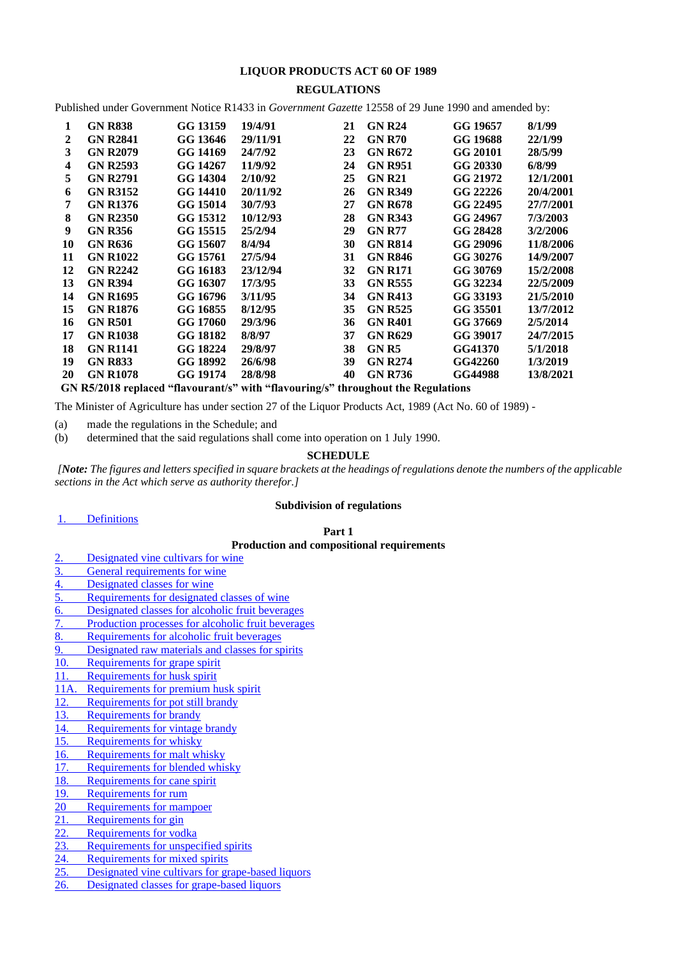### **LIQUOR PRODUCTS ACT 60 OF 1989**

## **REGULATIONS**

Published under Government Notice R1433 in *Government Gazette* 12558 of 29 June 1990 and amended by:

| 1  | <b>GN R838</b>  | GG 13159 | 19/4/91  | 21 | <b>GN R24</b>  | GG 19657       | 8/1/99    |
|----|-----------------|----------|----------|----|----------------|----------------|-----------|
| 2  | <b>GN R2841</b> | GG 13646 | 29/11/91 | 22 | <b>GN R70</b>  | GG 19688       | 22/1/99   |
| 3  | <b>GN R2079</b> | GG 14169 | 24/7/92  | 23 | <b>GN R672</b> | GG 20101       | 28/5/99   |
| 4  | <b>GN R2593</b> | GG 14267 | 11/9/92  | 24 | <b>GN R951</b> | GG 20330       | 6/8/99    |
| 5  | <b>GN R2791</b> | GG 14304 | 2/10/92  | 25 | <b>GN R21</b>  | GG 21972       | 12/1/2001 |
| 6  | <b>GN R3152</b> | GG 14410 | 20/11/92 | 26 | <b>GN R349</b> | GG 22226       | 20/4/2001 |
| 7  | <b>GN R1376</b> | GG 15014 | 30/7/93  | 27 | <b>GN R678</b> | GG 22495       | 27/7/2001 |
| 8  | <b>GN R2350</b> | GG 15312 | 10/12/93 | 28 | <b>GN R343</b> | GG 24967       | 7/3/2003  |
| 9  | <b>GN R356</b>  | GG 15515 | 25/2/94  | 29 | <b>GN R77</b>  | GG 28428       | 3/2/2006  |
| 10 | <b>GN R636</b>  | GG 15607 | 8/4/94   | 30 | <b>GN R814</b> | GG 29096       | 11/8/2006 |
| 11 | <b>GN R1022</b> | GG 15761 | 27/5/94  | 31 | <b>GN R846</b> | GG 30276       | 14/9/2007 |
| 12 | <b>GN R2242</b> | GG 16183 | 23/12/94 | 32 | <b>GN R171</b> | GG 30769       | 15/2/2008 |
| 13 | <b>GN R394</b>  | GG 16307 | 17/3/95  | 33 | <b>GN R555</b> | GG 32234       | 22/5/2009 |
| 14 | <b>GN R1695</b> | GG 16796 | 3/11/95  | 34 | <b>GN R413</b> | GG 33193       | 21/5/2010 |
| 15 | <b>GN R1876</b> | GG 16855 | 8/12/95  | 35 | <b>GN R525</b> | GG 35501       | 13/7/2012 |
| 16 | <b>GN R501</b>  | GG 17060 | 29/3/96  | 36 | <b>GN R401</b> | GG 37669       | 2/5/2014  |
| 17 | <b>GN R1038</b> | GG 18182 | 8/8/97   | 37 | <b>GN R629</b> | GG 39017       | 24/7/2015 |
| 18 | <b>GN R1141</b> | GG 18224 | 29/8/97  | 38 | GN R5          | GG41370        | 5/1/2018  |
| 19 | <b>GN R833</b>  | GG 18992 | 26/6/98  | 39 | <b>GN R274</b> | GG42260        | 1/3/2019  |
| 20 | <b>GN R1078</b> | GG 19174 | 28/8/98  | 40 | <b>GN R736</b> | <b>GG44988</b> | 13/8/2021 |
|    |                 |          |          |    |                |                |           |

**GN R5/2018 replaced "flavourant/s" with "flavouring/s" throughout the Regulations**

The Minister of Agriculture has under section 27 of the Liquor Products Act, 1989 (Act No. 60 of 1989) -

(a) made the regulations in the Schedule; and

(b) determined that the said regulations shall come into operation on 1 July 1990.

#### **SCHEDULE**

*[Note: The figures and letters specified in square brackets at the headings of regulations denote the numbers of the applicable sections in the Act which serve as authority therefor.]*

## **Subdivision of regulations**

<span id="page-0-0"></span>

| <b>Definitions</b> |
|--------------------|
|                    |
|                    |

#### **Part 1 Production and compositional requirements**

- [Designated vine cultivars for wine](#page-3-0)
- [General requirements for wine](#page-3-1)
- 4. [Designated classes for wine](#page-3-2)
- 5. [Requirements for designated classes of wine](#page-3-3)
- 6. [Designated classes for alcoholic fruit beverages](#page-4-0)
- 7. [Production processes for alcoholic fruit beverages](#page-4-1)
- 8. [Requirements for alcoholic fruit beverages](#page-4-2)
- 9. [Designated raw materials and classes for spirits](#page-4-3)
- <span id="page-0-1"></span>10. [Requirements for grape spirit](#page-5-0)
- 11. [Requirements for husk spirit](#page-5-1)<br>11A. Requirements for premium h
- <span id="page-0-2"></span>[Requirements for premium husk spirit](#page-5-2)
- 12. [Requirements for pot still brandy](#page-6-0)
- 13. [Requirements for brandy](#page-6-1)
- 14. [Requirements for vintage brandy](#page-7-0)
- 15. [Requirements for whisky](#page-7-1)
- 16. [Requirements for malt whisky](#page-7-2)
- 17. [Requirements for blended whisky](#page-8-0)
- 18. [Requirements for cane spirit](#page-8-1)<br>19. Requirements for rum
- [Requirements for rum](#page-8-2)
- <span id="page-0-3"></span>20 [Requirements for mampoer](#page-9-0)
- 21. [Requirements for gin](#page-9-1)
- 22. [Requirements for vodka](#page-9-2)
- 23. [Requirements for unspecified spirits](#page-10-0)
- 24. [Requirements for mixed spirits](#page-10-1)
- 25. [Designated vine cultivars for grape-based liquors](#page-10-2)
- 26. [Designated classes for grape-based liquors](#page-10-3)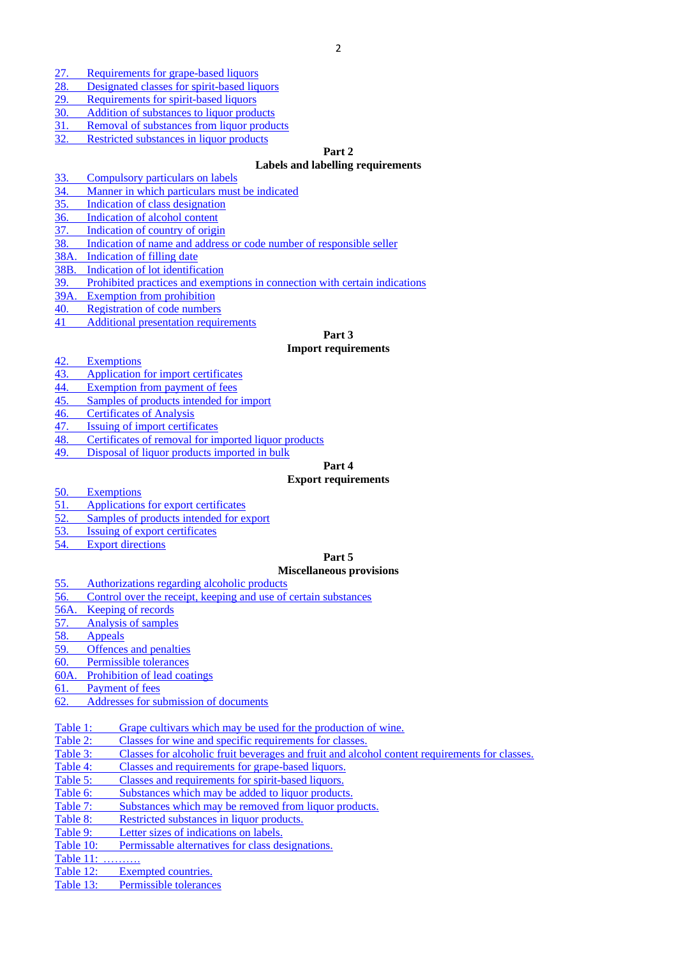- 27. [Requirements for grape-based liquors](#page-10-4)
- 28. [Designated classes for spirit-based liquors](#page-10-5)
- 29. [Requirements for spirit-based liquors](#page-10-6)
- <span id="page-1-0"></span>30. [Addition of substances to liquor products](#page-11-0)
- 31. [Removal of substances from liquor products](#page-11-1)<br>32. Restricted substances in liquor products
- [Restricted substances in liquor products](#page-12-0)

### **Part 2**

### **Labels and labelling requirements**

- <span id="page-1-1"></span>33. [Compulsory particulars on labels](#page-13-0)
- 34. [Manner in which particulars must be indicated](#page-14-0)
- 35. [Indication of class designation](#page-14-1)
- 36. [Indication of alcohol content](#page-16-0)
- 37. [Indication of country of origin](#page-16-1)
- 38. [Indication of name and address or code number of responsible seller](#page-17-0)
- 38A. [Indication of filling date](#page-17-1)
- 38B. [Indication of lot identification](#page-18-0)
- 39. [Prohibited practices and exemptions in connection with certain indications](#page-17-1)
- 39A. [Exemption from prohibition](#page-20-0)
- 40. [Registration of code numbers](#page-21-0)
- 41 [Additional presentation requirements](#page-22-0)

**Part 3**

# **Import requirements**

- <span id="page-1-2"></span>42. [Exemptions](#page-23-0)
- 43. [Application for import certificates](#page-24-0)
- 44. [Exemption from payment of fees](#page-24-1)
- 45. [Samples of products intended for import](#page-25-0)
- 46. [Certificates of Analysis](#page-25-1)
- 47. [Issuing of import certificates](#page-26-0)
- 48. [Certificates of removal for imported liquor products](#page-26-1)
- 49. [Disposal of liquor products imported in bulk](#page-27-0)

# **Part 4**

# **Export requirements**

- <span id="page-1-3"></span>50. [Exemptions](#page-28-0)
- 51. [Applications for export certificates](#page-28-1)
- 52. [Samples of products intended for export](#page-29-0)
- 53. [Issuing of export certificates](#page-31-0)
- 54. [Export directions](#page-32-0)

#### **Part 5**

#### **Miscellaneous provisions**

- <span id="page-1-4"></span>55. [Authorizations regarding alcoholic products](#page-33-0)
- 56. [Control over the receipt, keeping and use of certain substances](#page-33-1)
- 56A. [Keeping of records](#page-34-0)
- 57. [Analysis of samples](#page-34-0)
- 58. [Appeals](#page-35-0)
- 59. [Offences and penalties](#page-36-0)
- 60. [Permissible tolerances](#page-36-1)
- <span id="page-1-5"></span>60A. [Prohibition of lead coatings](#page-36-2)
- 61. [Payment of fees](#page-36-3)
- 62. [Addresses for submission of documents](#page-36-4)
- <span id="page-1-6"></span>[Table 1: Grape cultivars which may be used for the production of wine.](#page-38-0)
- [Table 2: Classes for wine and specific requirements for classes.](#page-39-0)<br>Table 3: Classes for alcoholic fruit beverages and fruit and alco
- [Classes for alcoholic fruit beverages and fruit and alcohol content requirements for classes.](#page-46-0)
- Table 4: [Classes and requirements for grape-based liquors.](#page-46-1)<br>Table 5: Classes and requirements for spirit-based liquors
- [Classes and requirements for spirit-based liquors.](#page-47-0)
- Table 6: [Substances which may be added to liquor products.](#page-47-1)
- Table 7: [Substances which may be removed from liquor products.](#page-60-0)<br>Table 8: Restricted substances in liquor products.
- [Restricted substances in liquor products.](#page-63-0)
- Table 9: [Letter sizes of indications on labels.](#page-64-0)
- [Table 10: Permissable alternatives for class designations.](#page-65-0)
- Table 11:
- [Table 12: Exempted countries.](#page-67-1)
- Table 13: [Permissible tolerances](#page-67-2)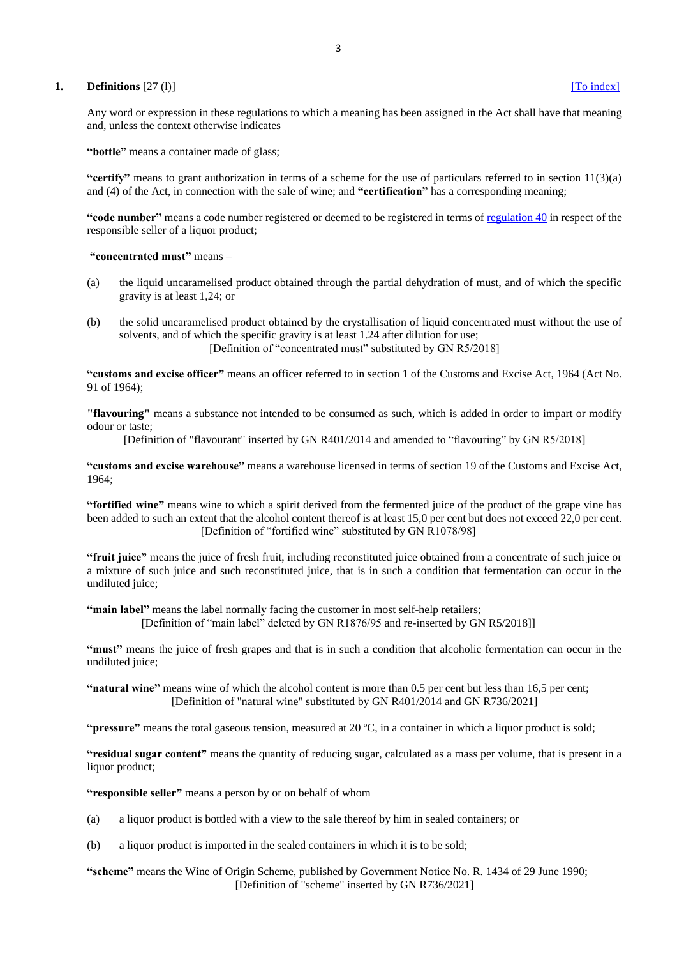### <span id="page-2-0"></span>**1. Definitions** [27 (l)] **[\[To index\]](#page-0-0) [To index] [To index]**

Any word or expression in these regulations to which a meaning has been assigned in the Act shall have that meaning and, unless the context otherwise indicates

**"bottle"** means a container made of glass;

**"certify"** means to grant authorization in terms of a scheme for the use of particulars referred to in section 11(3)(a) and (4) of the Act, in connection with the sale of wine; and **"certification"** has a corresponding meaning;

**"code number"** means a code number registered or deemed to be registered in terms of [regulation 40](#page-21-0) in respect of the responsible seller of a liquor product;

**"concentrated must"** means –

- (a) the liquid uncaramelised product obtained through the partial dehydration of must, and of which the specific gravity is at least 1,24; or
- (b) the solid uncaramelised product obtained by the crystallisation of liquid concentrated must without the use of solvents, and of which the specific gravity is at least 1.24 after dilution for use; [Definition of "concentrated must" substituted by GN R5/2018]

**"customs and excise officer"** means an officer referred to in section 1 of the Customs and Excise Act, 1964 (Act No. 91 of 1964);

**"flavouring"** means a substance not intended to be consumed as such, which is added in order to impart or modify odour or taste;

[Definition of "flavourant" inserted by GN R401/2014 and amended to "flavouring" by GN R5/2018]

**"customs and excise warehouse"** means a warehouse licensed in terms of section 19 of the Customs and Excise Act, 1964;

**"fortified wine"** means wine to which a spirit derived from the fermented juice of the product of the grape vine has been added to such an extent that the alcohol content thereof is at least 15,0 per cent but does not exceed 22,0 per cent. [Definition of "fortified wine" substituted by GN R1078/98]

**"fruit juice"** means the juice of fresh fruit, including reconstituted juice obtained from a concentrate of such juice or a mixture of such juice and such reconstituted juice, that is in such a condition that fermentation can occur in the undiluted juice;

**"main label"** means the label normally facing the customer in most self-help retailers;

[Definition of "main label" deleted by GN R1876/95 and re-inserted by GN R5/2018]]

**"must"** means the juice of fresh grapes and that is in such a condition that alcoholic fermentation can occur in the undiluted juice;

**"natural wine"** means wine of which the alcohol content is more than 0.5 per cent but less than 16,5 per cent; [Definition of "natural wine" substituted by GN R401/2014 and GN R736/2021]

**"pressure"** means the total gaseous tension, measured at 20 ºC, in a container in which a liquor product is sold;

**"residual sugar content"** means the quantity of reducing sugar, calculated as a mass per volume, that is present in a liquor product:

**"responsible seller"** means a person by or on behalf of whom

- (a) a liquor product is bottled with a view to the sale thereof by him in sealed containers; or
- (b) a liquor product is imported in the sealed containers in which it is to be sold;

**"scheme"** means the Wine of Origin Scheme, published by Government Notice No. R. 1434 of 29 June 1990; [Definition of "scheme" inserted by GN R736/2021]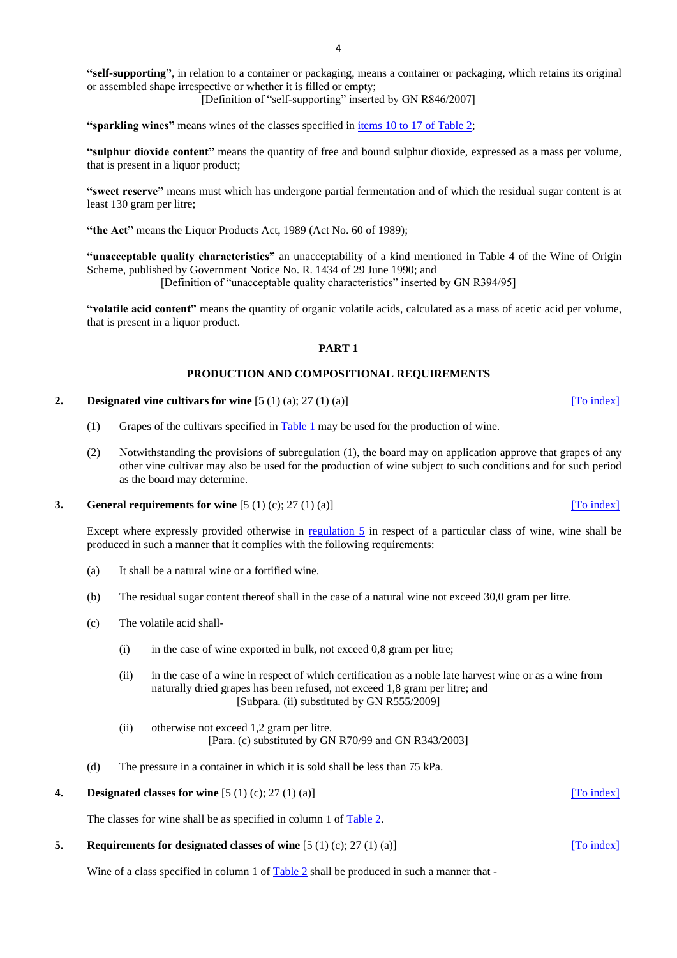**"self-supporting"**, in relation to a container or packaging, means a container or packaging, which retains its original or assembled shape irrespective or whether it is filled or empty;

[Definition of "self-supporting" inserted by GN R846/2007]

"sparkling wines" means wines of the classes specified in **items 10 to 17 of Table 2**;

**"sulphur dioxide content"** means the quantity of free and bound sulphur dioxide, expressed as a mass per volume, that is present in a liquor product;

**"sweet reserve"** means must which has undergone partial fermentation and of which the residual sugar content is at least 130 gram per litre;

**"the Act"** means the Liquor Products Act, 1989 (Act No. 60 of 1989);

**"unacceptable quality characteristics"** an unacceptability of a kind mentioned in Table 4 of the Wine of Origin Scheme, published by Government Notice No. R. 1434 of 29 June 1990; and [Definition of "unacceptable quality characteristics" inserted by GN R394/95]

**"volatile acid content"** means the quantity of organic volatile acids, calculated as a mass of acetic acid per volume, that is present in a liquor product.

#### **PART 1**

#### **PRODUCTION AND COMPOSITIONAL REQUIREMENTS**

### <span id="page-3-0"></span>**2. Designated vine cultivars for wine**  $[5 (1) (a); 27 (1) (a)]$  [\[To index\]](#page-0-0)

- (1) Grapes of the cultivars specified in  $Table 1$  may be used for the production of wine.
- (2) Notwithstanding the provisions of subregulation (1), the board may on application approve that grapes of any other vine cultivar may also be used for the production of wine subject to such conditions and for such period as the board may determine.

#### <span id="page-3-1"></span>**3. General requirements for wine**  $[5 (1) (c); 27 (1) (a)]$  [\[To index\]](#page-0-0)

Except where expressly provided otherwise in [regulation 5](#page-3-3) in respect of a particular class of wine, wine shall be produced in such a manner that it complies with the following requirements:

- (a) It shall be a natural wine or a fortified wine.
- (b) The residual sugar content thereof shall in the case of a natural wine not exceed 30,0 gram per litre.
- (c) The volatile acid shall-
	- (i) in the case of wine exported in bulk, not exceed 0,8 gram per litre;
	- (ii) in the case of a wine in respect of which certification as a noble late harvest wine or as a wine from naturally dried grapes has been refused, not exceed 1,8 gram per litre; and [Subpara. (ii) substituted by GN R555/2009]
	- (ii) otherwise not exceed 1,2 gram per litre. [Para. (c) substituted by GN R70/99 and GN R343/2003]
- (d) The pressure in a container in which it is sold shall be less than 75 kPa.
- <span id="page-3-2"></span>**4. Designated classes for wine**  $[5 (1) (c); 27 (1) (a)]$  [\[To index\]](#page-0-0)

The classes for wine shall be as specified in column 1 of [Table 2.](#page-39-0)

<span id="page-3-3"></span>**5. Requirements for designated classes of wine**  $[5 (1) (c); 27 (1) (a)]$  [\[To index\]](#page-0-0)

Wine of a class specified in column 1 of [Table 2](#page-39-0) shall be produced in such a manner that -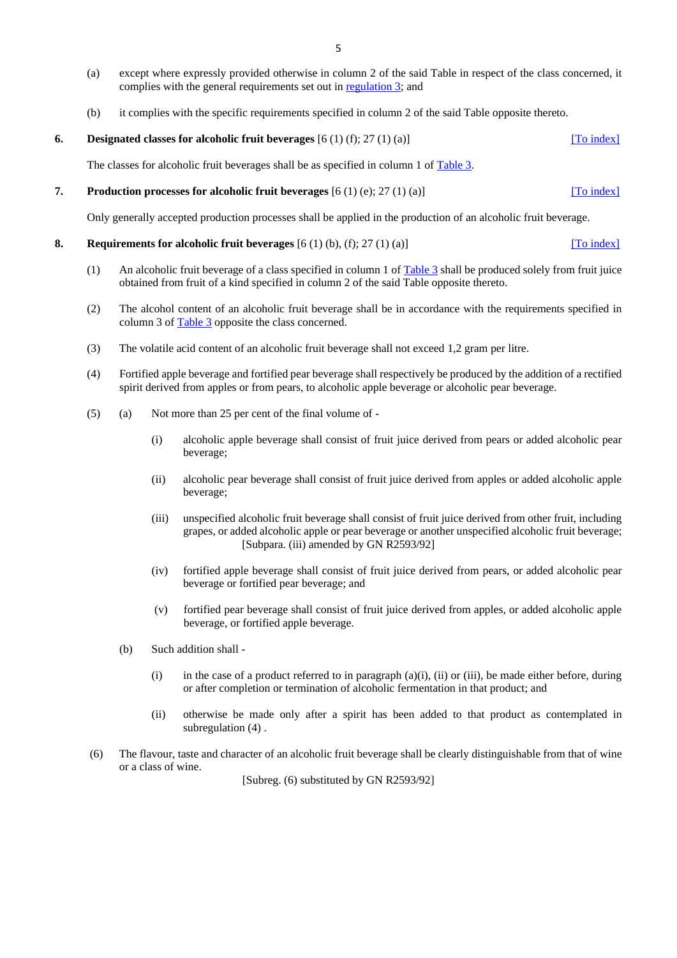- 5
- (a) except where expressly provided otherwise in column 2 of the said Table in respect of the class concerned, it complies with the general requirements set out in [regulation 3;](#page-3-1) and
- (b) it complies with the specific requirements specified in column 2 of the said Table opposite thereto.

# <span id="page-4-0"></span>**6. Designated classes for alcoholic fruit beverages** [6 (1) (f); 27 (1) (a)] [\[To index\]](#page-0-0)

The classes for alcoholic fruit beverages shall be as specified in column 1 of [Table 3.](#page-46-0)

# <span id="page-4-1"></span>**7. Production processes for alcoholic fruit beverages** [6 (1) (e); 27 (1) (a)] [\[To index\]](#page-0-0)

Only generally accepted production processes shall be applied in the production of an alcoholic fruit beverage.

## <span id="page-4-2"></span>**8. Requirements for alcoholic fruit beverages** [6 (1) (b), (f); 27 (1) (a)] [\[To index\]](#page-0-0)

- (1) An alcoholic fruit beverage of a class specified in column 1 of  $Table 3$  shall be produced solely from fruit juice obtained from fruit of a kind specified in column 2 of the said Table opposite thereto.
- (2) The alcohol content of an alcoholic fruit beverage shall be in accordance with the requirements specified in column 3 of [Table 3](#page-46-0) opposite the class concerned.
- (3) The volatile acid content of an alcoholic fruit beverage shall not exceed 1,2 gram per litre.
- (4) Fortified apple beverage and fortified pear beverage shall respectively be produced by the addition of a rectified spirit derived from apples or from pears, to alcoholic apple beverage or alcoholic pear beverage.
- (5) (a) Not more than 25 per cent of the final volume of
	- (i) alcoholic apple beverage shall consist of fruit juice derived from pears or added alcoholic pear beverage;
	- (ii) alcoholic pear beverage shall consist of fruit juice derived from apples or added alcoholic apple beverage;
	- (iii) unspecified alcoholic fruit beverage shall consist of fruit juice derived from other fruit, including grapes, or added alcoholic apple or pear beverage or another unspecified alcoholic fruit beverage; [Subpara. (iii) amended by GN R2593/92]
	- (iv) fortified apple beverage shall consist of fruit juice derived from pears, or added alcoholic pear beverage or fortified pear beverage; and
	- (v) fortified pear beverage shall consist of fruit juice derived from apples, or added alcoholic apple beverage, or fortified apple beverage.
	- (b) Such addition shall
		- (i) in the case of a product referred to in paragraph  $(a)(i)$ , (ii) or (iii), be made either before, during or after completion or termination of alcoholic fermentation in that product; and
		- (ii) otherwise be made only after a spirit has been added to that product as contemplated in subregulation  $(4)$ .
- <span id="page-4-3"></span>(6) The flavour, taste and character of an alcoholic fruit beverage shall be clearly distinguishable from that of wine or a class of wine.

[Subreg. (6) substituted by GN R2593/92]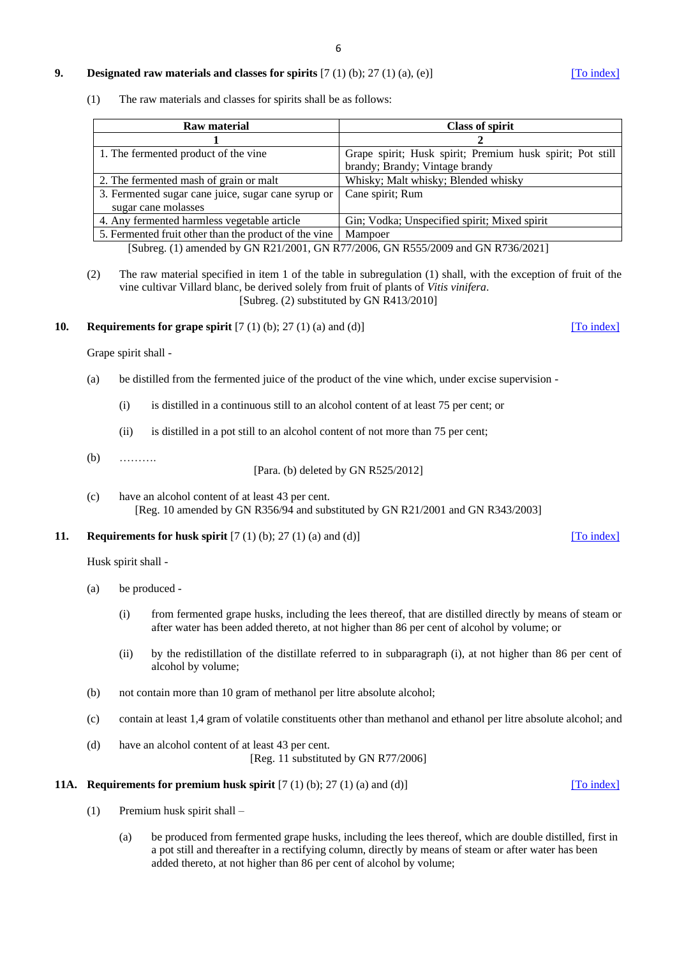#### **9. Designated raw materials and classes for spirits** [7 (1) (b); 27 (1) (a), (e)] [\[To index\]](#page-0-0)

(1) The raw materials and classes for spirits shall be as follows:

| <b>Class of spirit</b>                                    |
|-----------------------------------------------------------|
|                                                           |
| Grape spirit; Husk spirit; Premium husk spirit; Pot still |
| brandy; Brandy; Vintage brandy                            |
| Whisky; Malt whisky; Blended whisky                       |
| Cane spirit; Rum                                          |
|                                                           |
| Gin; Vodka; Unspecified spirit; Mixed spirit              |
| Mampoer                                                   |
|                                                           |

[Subreg. (1) amended by GN R21/2001, GN R77/2006, GN R555/2009 and GN R736/2021]

(2) The raw material specified in item 1 of the table in subregulation (1) shall, with the exception of fruit of the vine cultivar Villard blanc, be derived solely from fruit of plants of *Vitis vinifera*. [Subreg. (2) substituted by GN R413/2010]

### <span id="page-5-0"></span>**10. Requirements for grape spirit**  $[7 (1) (b); 27 (1) (a)$  and (d)] [\[To index\]](#page-0-1)

Grape spirit shall -

- (a) be distilled from the fermented juice of the product of the vine which, under excise supervision
	- (i) is distilled in a continuous still to an alcohol content of at least 75 per cent; or
	- (ii) is distilled in a pot still to an alcohol content of not more than 75 per cent;
- (b) ……….

[Para. (b) deleted by GN R525/2012]

(c) have an alcohol content of at least 43 per cent. [Reg. 10 amended by GN R356/94 and substituted by GN R21/2001 and GN R343/2003]

#### <span id="page-5-1"></span>**11. Requirements for husk spirit** [7 (1) (b); 27 (1) (a) and (d)] [\[To index\]](#page-0-1)

Husk spirit shall -

- (a) be produced
	- (i) from fermented grape husks, including the lees thereof, that are distilled directly by means of steam or after water has been added thereto, at not higher than 86 per cent of alcohol by volume; or
	- (ii) by the redistillation of the distillate referred to in subparagraph (i), at not higher than 86 per cent of alcohol by volume;
- (b) not contain more than 10 gram of methanol per litre absolute alcohol;
- (c) contain at least 1,4 gram of volatile constituents other than methanol and ethanol per litre absolute alcohol; and
- (d) have an alcohol content of at least 43 per cent. [Reg. 11 substituted by GN R77/2006]

#### <span id="page-5-2"></span>**11A. Requirements for premium husk spirit** [7 (1) (b); 27 (1) (a) and (d)] [\[To index\]](#page-0-2)

- (1) Premium husk spirit shall
	- (a) be produced from fermented grape husks, including the lees thereof, which are double distilled, first in a pot still and thereafter in a rectifying column, directly by means of steam or after water has been added thereto, at not higher than 86 per cent of alcohol by volume;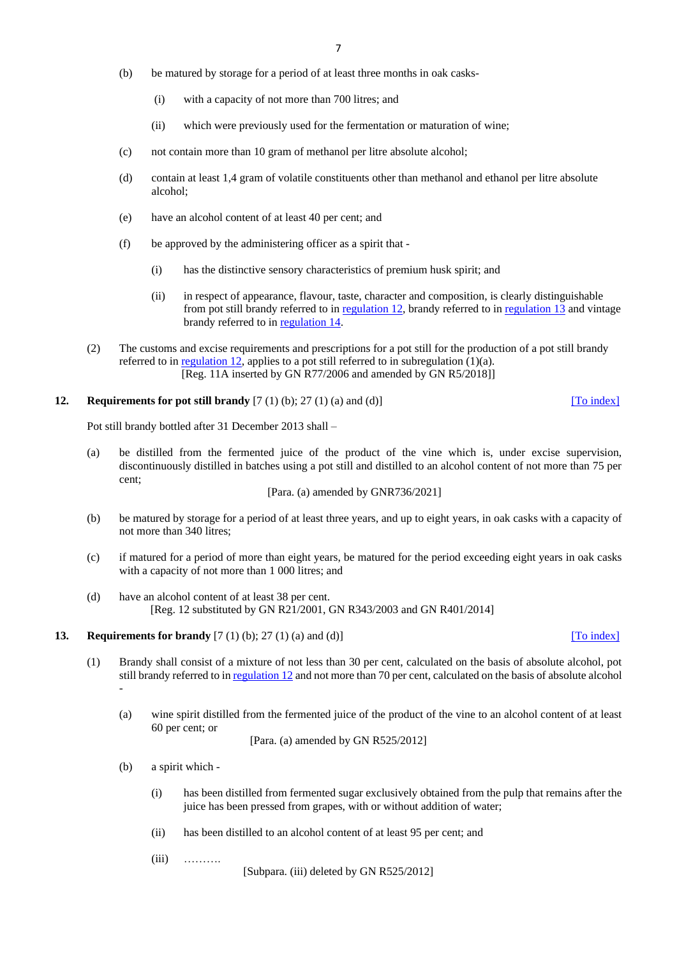- (b) be matured by storage for a period of at least three months in oak casks-
	- (i) with a capacity of not more than 700 litres; and
	- (ii) which were previously used for the fermentation or maturation of wine;
- (c) not contain more than 10 gram of methanol per litre absolute alcohol;
- (d) contain at least 1,4 gram of volatile constituents other than methanol and ethanol per litre absolute alcohol;
- (e) have an alcohol content of at least 40 per cent; and
- (f) be approved by the administering officer as a spirit that
	- (i) has the distinctive sensory characteristics of premium husk spirit; and
	- (ii) in respect of appearance, flavour, taste, character and composition, is clearly distinguishable from pot still brandy referred to in [regulation 12,](#page-6-0) brandy referred to in [regulation 13](#page-6-1) and vintage brandy referred to i[n regulation 14.](#page-7-0)
- (2) The customs and excise requirements and prescriptions for a pot still for the production of a pot still brandy referred to in <u>regulation 12</u>, applies to a pot still referred to in subregulation  $(1)(a)$ . [Reg. 11A inserted by GN R77/2006 and amended by GN R5/2018]]

## <span id="page-6-0"></span>**12. Requirements for pot still brandy** [7 (1) (b); 27 (1) (a) and (d)] **[\[To index\]](#page-0-1)**

Pot still brandy bottled after 31 December 2013 shall –

(a) be distilled from the fermented juice of the product of the vine which is, under excise supervision, discontinuously distilled in batches using a pot still and distilled to an alcohol content of not more than 75 per cent;

### [Para. (a) amended by GNR736/2021]

- (b) be matured by storage for a period of at least three years, and up to eight years, in oak casks with a capacity of not more than 340 litres;
- (c) if matured for a period of more than eight years, be matured for the period exceeding eight years in oak casks with a capacity of not more than 1 000 litres; and
- (d) have an alcohol content of at least 38 per cent. [Reg. 12 substituted by GN R21/2001, GN R343/2003 and GN R401/2014]

## <span id="page-6-1"></span>**13. Requirements for brandy** [7 (1) (b); 27 (1) (a) and (d)] [\[To index\]](#page-0-1)

- <span id="page-6-2"></span>(1) Brandy shall consist of a mixture of not less than 30 per cent, calculated on the basis of absolute alcohol, pot still brandy referred to i[n regulation 12](#page-6-0) and not more than 70 per cent, calculated on the basis of absolute alcohol -
	- (a) wine spirit distilled from the fermented juice of the product of the vine to an alcohol content of at least 60 per cent; or

[Para. (a) amended by GN R525/2012]

- <span id="page-6-3"></span>(b) a spirit which -
	- (i) has been distilled from fermented sugar exclusively obtained from the pulp that remains after the juice has been pressed from grapes, with or without addition of water;
	- (ii) has been distilled to an alcohol content of at least 95 per cent; and
	- (iii) ……….

[Subpara. (iii) deleted by GN R525/2012]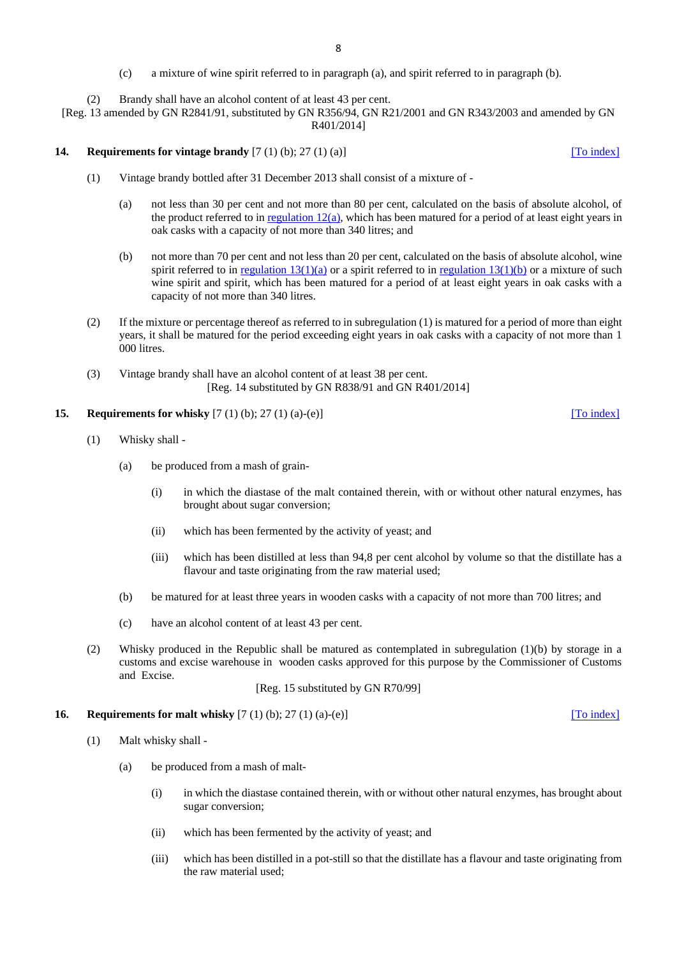(c) a mixture of wine spirit referred to in paragraph (a), and spirit referred to in paragraph (b).

(2) Brandy shall have an alcohol content of at least 43 per cent.

[Reg. 13 amended by GN R2841/91, substituted by GN R356/94, GN R21/2001 and GN R343/2003 and amended by GN R401/2014]

#### <span id="page-7-0"></span>**14. Requirements for vintage brandy**  $[7 (1) (b); 27 (1) (a)]$  [\[To index\]](#page-0-1)

- (1) Vintage brandy bottled after 31 December 2013 shall consist of a mixture of
	- (a) not less than 30 per cent and not more than 80 per cent, calculated on the basis of absolute alcohol, of the product referred to in regulation  $12(a)$ , which has been matured for a period of at least eight years in oak casks with a capacity of not more than 340 litres; and
	- (b) not more than 70 per cent and not less than 20 per cent, calculated on the basis of absolute alcohol, wine spirit referred to in <u>regulation  $13(1)(a)$ </u> or a spirit referred to in <u>regulation  $13(1)(b)$ </u> or a mixture of such wine spirit and spirit, which has been matured for a period of at least eight years in oak casks with a capacity of not more than 340 litres.
- (2) If the mixture or percentage thereof as referred to in subregulation  $(1)$  is matured for a period of more than eight years, it shall be matured for the period exceeding eight years in oak casks with a capacity of not more than 1 000 litres.
- (3) Vintage brandy shall have an alcohol content of at least 38 per cent. [Reg. 14 substituted by GN R838/91 and GN R401/2014]

## <span id="page-7-1"></span>**15. Requirements for whisky** [7 (1) (b); 27 (1) (a)-(e)] [\[To index\]](#page-0-1)

- (1) Whisky shall
	- (a) be produced from a mash of grain-
		- (i) in which the diastase of the malt contained therein, with or without other natural enzymes, has brought about sugar conversion;
		- (ii) which has been fermented by the activity of yeast; and
		- (iii) which has been distilled at less than 94,8 per cent alcohol by volume so that the distillate has a flavour and taste originating from the raw material used;
	- (b) be matured for at least three years in wooden casks with a capacity of not more than 700 litres; and
	- (c) have an alcohol content of at least 43 per cent.
- (2) Whisky produced in the Republic shall be matured as contemplated in subregulation (1)(b) by storage in a customs and excise warehouse in wooden casks approved for this purpose by the Commissioner of Customs and Excise.

[Reg. 15 substituted by GN R70/99]

## <span id="page-7-2"></span>**16. Requirements for malt whisky**  $[7 (1) (b); 27 (1) (a)-(e)]$  [\[To index\]](#page-0-1)

- (1) Malt whisky shall
	- (a) be produced from a mash of malt-
		- (i) in which the diastase contained therein, with or without other natural enzymes, has brought about sugar conversion;
		- (ii) which has been fermented by the activity of yeast; and
		- (iii) which has been distilled in a pot-still so that the distillate has a flavour and taste originating from the raw material used;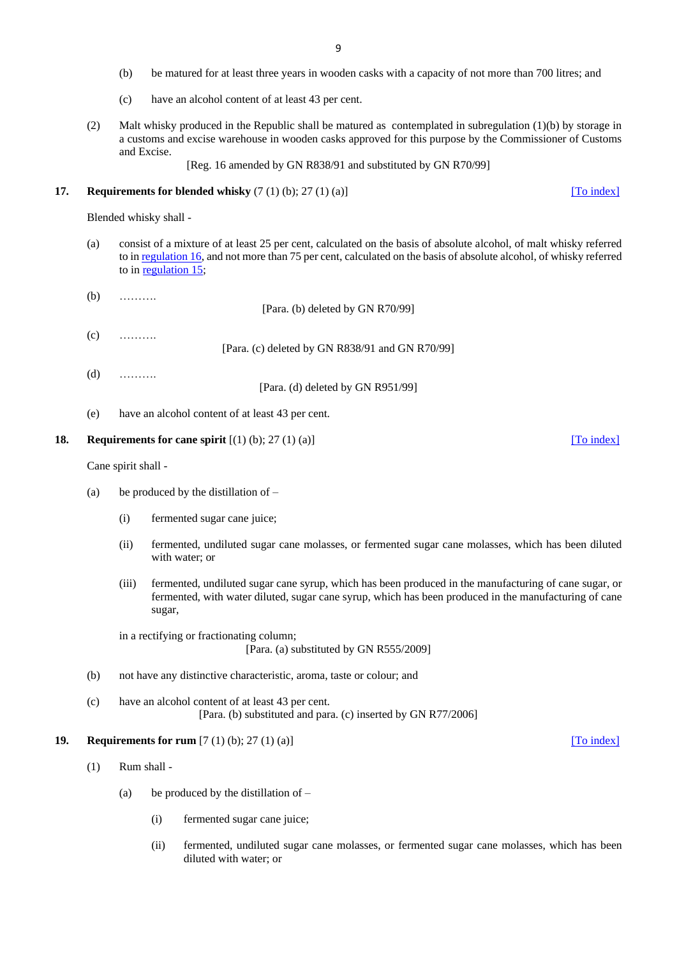- (b) be matured for at least three years in wooden casks with a capacity of not more than 700 litres; and
- (c) have an alcohol content of at least 43 per cent.
- (2) Malt whisky produced in the Republic shall be matured as contemplated in subregulation (1)(b) by storage in a customs and excise warehouse in wooden casks approved for this purpose by the Commissioner of Customs and Excise.

[Reg. 16 amended by GN R838/91 and substituted by GN R70/99]

## <span id="page-8-0"></span>**17. Requirements for blended whisky**  $(7 \t(1) \t(b); 27 \t(1) \t(a)]$  [\[To index\]](#page-0-1)

Blended whisky shall -

- (a) consist of a mixture of at least 25 per cent, calculated on the basis of absolute alcohol, of malt whisky referred to i[n regulation 16,](#page-7-2) and not more than 75 per cent, calculated on the basis of absolute alcohol, of whisky referred to in [regulation 15;](#page-7-1)
- (b) ………. [Para. (b) deleted by GN R70/99]  $(c)$  ……… [Para. (c) deleted by GN R838/91 and GN R70/99]  $(d)$  ……… [Para. (d) deleted by GN R951/99]
- (e) have an alcohol content of at least 43 per cent.

#### <span id="page-8-1"></span>**18. Requirements for cane spirit**  $[(1) (b); 27 (1) (a)]$  [\[To index\]](#page-0-1)

Cane spirit shall -

- (a) be produced by the distillation of  $-$ 
	- (i) fermented sugar cane juice;
	- (ii) fermented, undiluted sugar cane molasses, or fermented sugar cane molasses, which has been diluted with water; or
	- (iii) fermented, undiluted sugar cane syrup, which has been produced in the manufacturing of cane sugar, or fermented, with water diluted, sugar cane syrup, which has been produced in the manufacturing of cane sugar,

in a rectifying or fractionating column; [Para. (a) substituted by GN R555/2009]

- (b) not have any distinctive characteristic, aroma, taste or colour; and
- (c) have an alcohol content of at least 43 per cent. [Para. (b) substituted and para. (c) inserted by GN R77/2006]

#### <span id="page-8-2"></span>**19. Requirements for rum** [7 (1) (b); 27 (1) (a)] **[10]** [\[To index\]](#page-0-1)

- (1) Rum shall
	- (a) be produced by the distillation of  $-$ 
		- (i) fermented sugar cane juice;
		- (ii) fermented, undiluted sugar cane molasses, or fermented sugar cane molasses, which has been diluted with water; or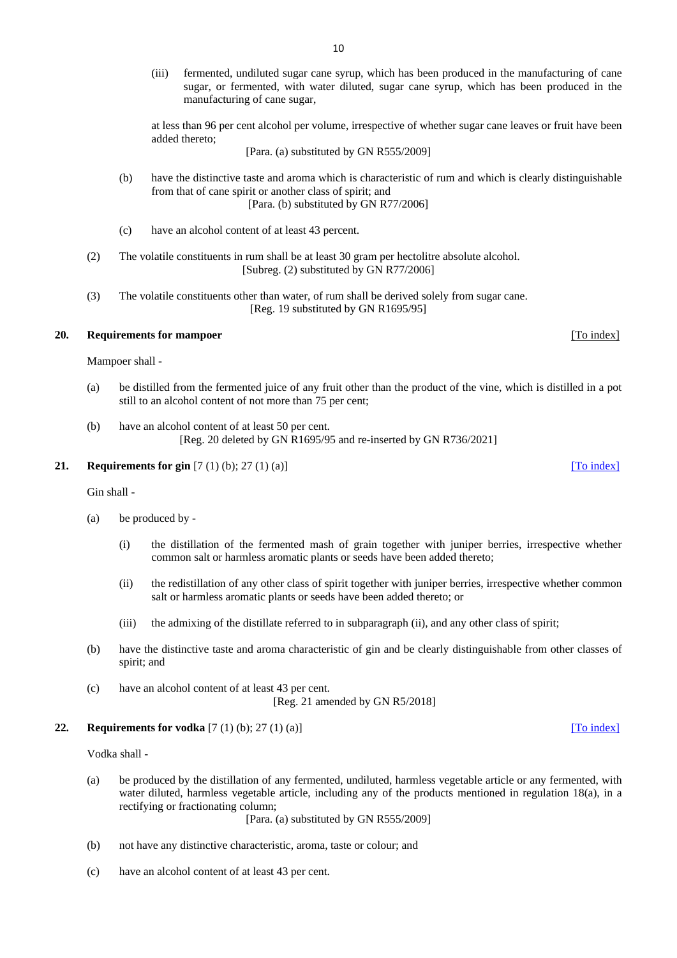(iii) fermented, undiluted sugar cane syrup, which has been produced in the manufacturing of cane sugar, or fermented, with water diluted, sugar cane syrup, which has been produced in the manufacturing of cane sugar,

at less than 96 per cent alcohol per volume, irrespective of whether sugar cane leaves or fruit have been added thereto;

[Para. (a) substituted by GN R555/2009]

- (b) have the distinctive taste and aroma which is characteristic of rum and which is clearly distinguishable from that of cane spirit or another class of spirit; and [Para. (b) substituted by GN R77/2006]
- (c) have an alcohol content of at least 43 percent.
- (2) The volatile constituents in rum shall be at least 30 gram per hectolitre absolute alcohol. [Subreg. (2) substituted by GN R77/2006]
- (3) The volatile constituents other than water, of rum shall be derived solely from sugar cane. [Reg. 19 substituted by GN R1695/95]

#### <span id="page-9-0"></span>**20. Requirements for mampoer** [\[To index\]](#page-0-3)

Mampoer shall -

- (a) be distilled from the fermented juice of any fruit other than the product of the vine, which is distilled in a pot still to an alcohol content of not more than 75 per cent;
- (b) have an alcohol content of at least 50 per cent. [Reg. 20 deleted by GN R1695/95 and re-inserted by GN R736/2021]

## <span id="page-9-1"></span>**21. Requirements for gin**  $[7 (1) (b); 27 (1) (a)]$  [\[To index\]](#page-0-3)

Gin shall -

- (a) be produced by
	- (i) the distillation of the fermented mash of grain together with juniper berries, irrespective whether common salt or harmless aromatic plants or seeds have been added thereto;
	- (ii) the redistillation of any other class of spirit together with juniper berries, irrespective whether common salt or harmless aromatic plants or seeds have been added thereto; or
	- (iii) the admixing of the distillate referred to in subparagraph (ii), and any other class of spirit;
- (b) have the distinctive taste and aroma characteristic of gin and be clearly distinguishable from other classes of spirit; and
- (c) have an alcohol content of at least 43 per cent. [Reg. 21 amended by GN R5/2018]

#### <span id="page-9-2"></span>**22. Requirements for vodka**  $[7 (1) (b); 27 (1) (a)]$  [\[To index\]](#page-0-3)

Vodka shall -

(a) be produced by the distillation of any fermented, undiluted, harmless vegetable article or any fermented, with water diluted, harmless vegetable article, including any of the products mentioned in regulation 18(a), in a rectifying or fractionating column;

[Para. (a) substituted by GN R555/2009]

- (b) not have any distinctive characteristic, aroma, taste or colour; and
- (c) have an alcohol content of at least 43 per cent.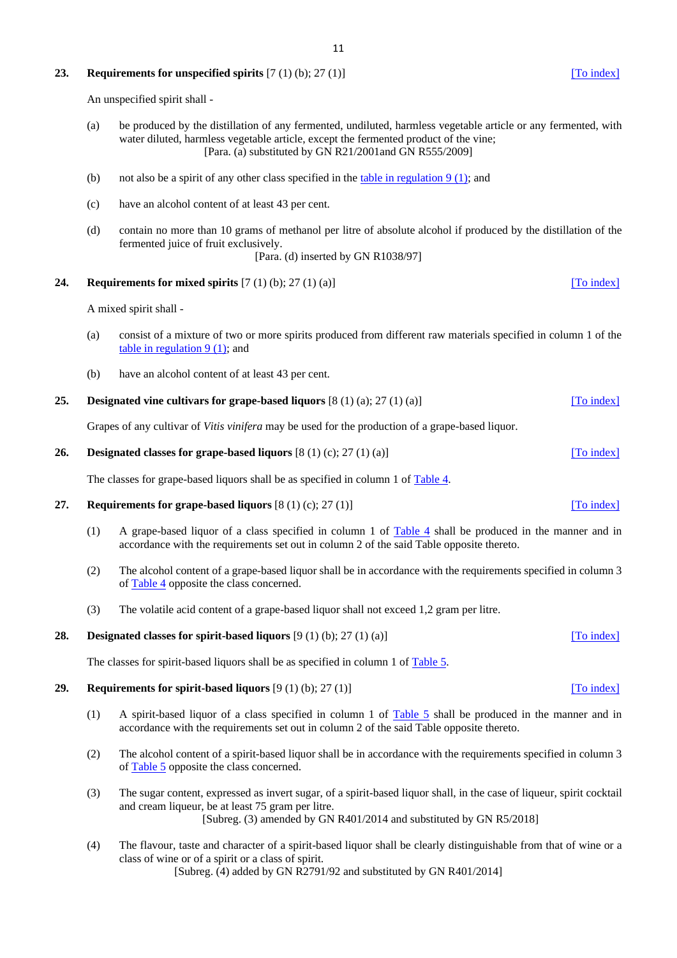## <span id="page-10-0"></span>**23. Requirements for unspecified spirits** [7 (1) (b); 27 (1)] *To index*

An unspecified spirit shall -

- (a) be produced by the distillation of any fermented, undiluted, harmless vegetable article or any fermented, with water diluted, harmless vegetable article, except the fermented product of the vine; [Para. (a) substituted by GN R21/2001and GN R555/2009]
- (b) not also be a spirit of any other class specified in the table in regulation  $9(1)$ ; and
- (c) have an alcohol content of at least 43 per cent.
- <span id="page-10-7"></span>(d) contain no more than 10 grams of methanol per litre of absolute alcohol if produced by the distillation of the fermented juice of fruit exclusively. [Para. (d) inserted by GN R1038/97]

# <span id="page-10-1"></span>**24. Requirements for mixed spirits**  $[7 (1) (b); 27 (1) (a)]$  [\[To index\]](#page-0-3)

A mixed spirit shall -

- (a) consist of a mixture of two or more spirits produced from different raw materials specified in column 1 of the [table in regulation 9 \(1\);](#page-4-3) and
- (b) have an alcohol content of at least 43 per cent.

### <span id="page-10-2"></span>**25. Designated vine cultivars for grape-based liquors** [8 (1) (a); 27 (1) (a)] [\[To index\]](#page-0-3)

Grapes of any cultivar of *Vitis vinifera* may be used for the production of a grape-based liquor.

#### <span id="page-10-3"></span>**26. Designated classes for grape-based liquors**  $[8 (1) (c); 27 (1) (a)]$  [\[To index\]](#page-0-3)

The classes for grape-based liquors shall be as specified in column 1 of Table 4.

# <span id="page-10-4"></span>**27. Requirements for grape-based liquors**  $[8 (1) (c); 27 (1)]$  [\[To index\]](#page-0-3)

- (1) A grape-based liquor of a class specified in column 1 of  $Table 4$  shall be produced in the manner and in accordance with the requirements set out in column 2 of the said Table opposite thereto.
- (2) The alcohol content of a grape-based liquor shall be in accordance with the requirements specified in column 3 o[f Table 4](#page-46-1) opposite the class concerned.
- (3) The volatile acid content of a grape-based liquor shall not exceed 1,2 gram per litre.

# <span id="page-10-5"></span>**28. Designated classes for spirit-based liquors** [9 (1) (b); 27 (1) (a)] **[10 Index]**

The classes for spirit-based liquors shall be as specified in column 1 of [Table 5.](#page-47-0)

# <span id="page-10-6"></span>**29. Requirements for spirit-based liquors** [9 (1) (b); 27 (1)] [\[To index\]](#page-0-3)

- (1) A spirit-based liquor of a class specified in column 1 of [Table 5](#page-47-0) shall be produced in the manner and in accordance with the requirements set out in column 2 of the said Table opposite thereto.
- (2) The alcohol content of a spirit-based liquor shall be in accordance with the requirements specified in column 3 o[f Table 5](#page-47-0) opposite the class concerned.
- (3) The sugar content, expressed as invert sugar, of a spirit-based liquor shall, in the case of liqueur, spirit cocktail and cream liqueur, be at least 75 gram per litre. [Subreg. (3) amended by GN R401/2014 and substituted by GN R5/2018]
- (4) The flavour, taste and character of a spirit-based liquor shall be clearly distinguishable from that of wine or a class of wine or of a spirit or a class of spirit.

[Subreg. (4) added by GN R2791/92 and substituted by GN R401/2014]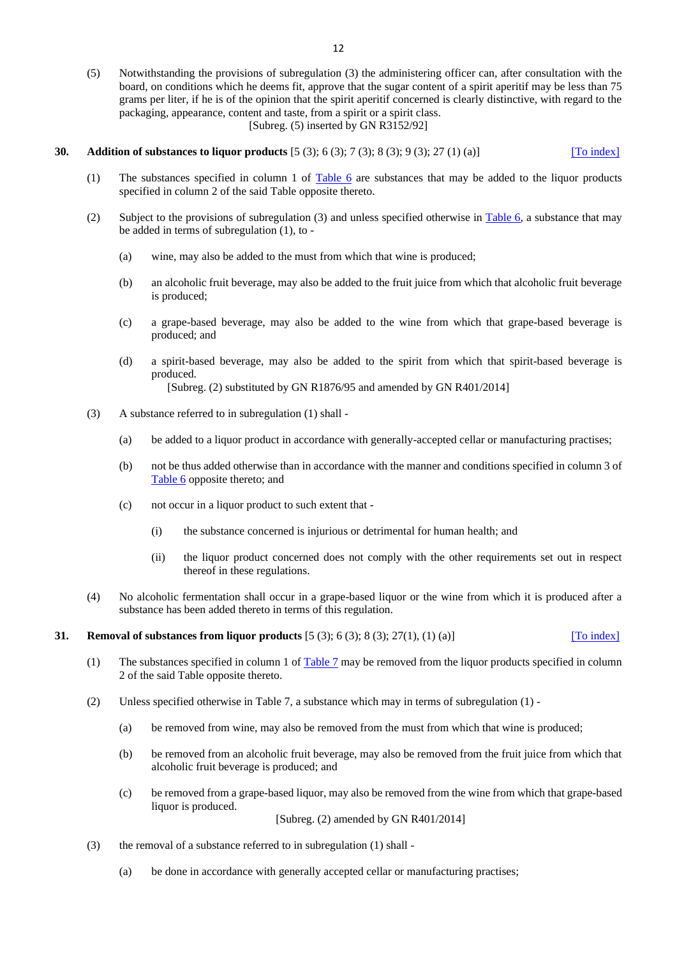(5) Notwithstanding the provisions of subregulation (3) the administering officer can, after consultation with the board, on conditions which he deems fit, approve that the sugar content of a spirit aperitif may be less than 75 grams per liter, if he is of the opinion that the spirit aperitif concerned is clearly distinctive, with regard to the packaging, appearance, content and taste, from a spirit or a spirit class. [Subreg. (5) inserted by GN R3152/92]

#### <span id="page-11-0"></span>**30. Addition of substances to liquor products** [5 (3); 6 (3); 7 (3); 8 (3); 9 (3); 27 (1) (a)] [\[To index\]](#page-1-0)

- (1) The substances specified in column 1 of [Table 6](#page-47-1) are substances that may be added to the liquor products specified in column 2 of the said Table opposite thereto.
- (2) Subject to the provisions of subregulation (3) and unless specified otherwise in [Table 6,](#page-47-1) a substance that may be added in terms of subregulation (1), to -
	- (a) wine, may also be added to the must from which that wine is produced;
	- (b) an alcoholic fruit beverage, may also be added to the fruit juice from which that alcoholic fruit beverage is produced;
	- (c) a grape-based beverage, may also be added to the wine from which that grape-based beverage is produced; and
	- (d) a spirit-based beverage, may also be added to the spirit from which that spirit-based beverage is produced. [Subreg. (2) substituted by GN R1876/95 and amended by GN R401/2014]
- (3) A substance referred to in subregulation (1) shall
	- (a) be added to a liquor product in accordance with generally-accepted cellar or manufacturing practises;
	- (b) not be thus added otherwise than in accordance with the manner and conditions specified in column 3 of [Table 6](#page-47-1) opposite thereto; and
	- (c) not occur in a liquor product to such extent that
		- (i) the substance concerned is injurious or detrimental for human health; and
		- (ii) the liquor product concerned does not comply with the other requirements set out in respect thereof in these regulations.
- (4) No alcoholic fermentation shall occur in a grape-based liquor or the wine from which it is produced after a substance has been added thereto in terms of this regulation.

#### <span id="page-11-1"></span>**31. Removal of substances from liquor products** [5 (3); 6 (3); 8 (3); 27(1), (1) (a)] [\[To index\]](#page-1-0)

- (1) The substances specified in column 1 of [Table 7](#page-60-0) may be removed from the liquor products specified in column 2 of the said Table opposite thereto.
- (2) Unless specified otherwise in Table 7, a substance which may in terms of subregulation (1)
	- (a) be removed from wine, may also be removed from the must from which that wine is produced;
	- (b) be removed from an alcoholic fruit beverage, may also be removed from the fruit juice from which that alcoholic fruit beverage is produced; and
	- (c) be removed from a grape-based liquor, may also be removed from the wine from which that grape-based liquor is produced.

[Subreg. (2) amended by GN R401/2014]

- (3) the removal of a substance referred to in subregulation (1) shall
	- (a) be done in accordance with generally accepted cellar or manufacturing practises;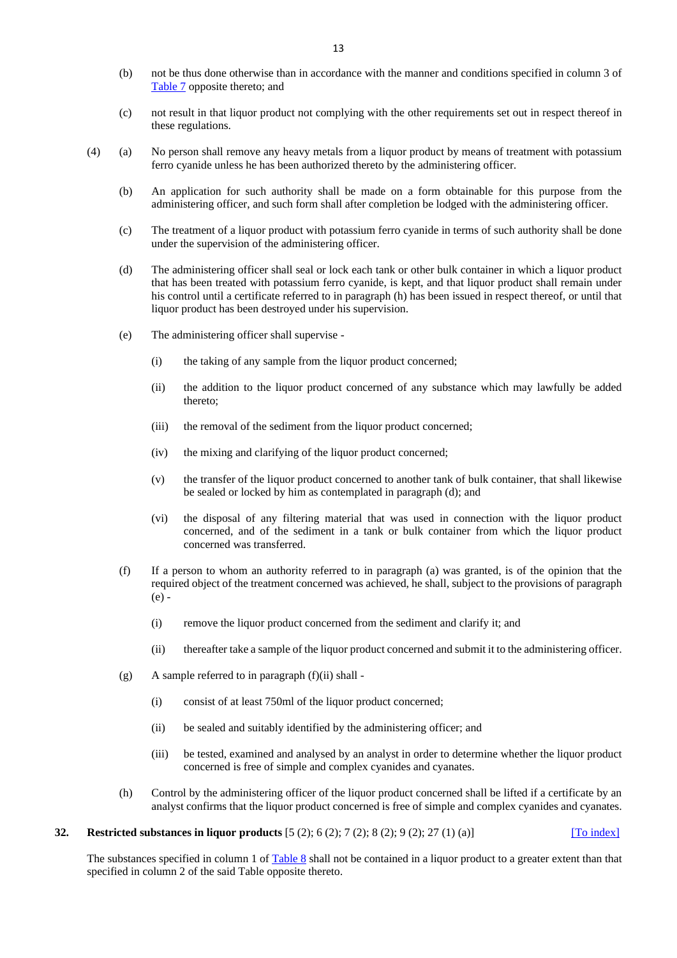- (b) not be thus done otherwise than in accordance with the manner and conditions specified in column 3 of [Table 7](#page-60-0) opposite thereto; and
- (c) not result in that liquor product not complying with the other requirements set out in respect thereof in these regulations.
- (4) (a) No person shall remove any heavy metals from a liquor product by means of treatment with potassium ferro cyanide unless he has been authorized thereto by the administering officer.
	- (b) An application for such authority shall be made on a form obtainable for this purpose from the administering officer, and such form shall after completion be lodged with the administering officer.
	- (c) The treatment of a liquor product with potassium ferro cyanide in terms of such authority shall be done under the supervision of the administering officer.
	- (d) The administering officer shall seal or lock each tank or other bulk container in which a liquor product that has been treated with potassium ferro cyanide, is kept, and that liquor product shall remain under his control until a certificate referred to in paragraph (h) has been issued in respect thereof, or until that liquor product has been destroyed under his supervision.
	- (e) The administering officer shall supervise
		- (i) the taking of any sample from the liquor product concerned;
		- (ii) the addition to the liquor product concerned of any substance which may lawfully be added thereto;
		- (iii) the removal of the sediment from the liquor product concerned;
		- (iv) the mixing and clarifying of the liquor product concerned;
		- (v) the transfer of the liquor product concerned to another tank of bulk container, that shall likewise be sealed or locked by him as contemplated in paragraph (d); and
		- (vi) the disposal of any filtering material that was used in connection with the liquor product concerned, and of the sediment in a tank or bulk container from which the liquor product concerned was transferred.
	- (f) If a person to whom an authority referred to in paragraph (a) was granted, is of the opinion that the required object of the treatment concerned was achieved, he shall, subject to the provisions of paragraph (e) -
		- (i) remove the liquor product concerned from the sediment and clarify it; and
		- (ii) thereafter take a sample of the liquor product concerned and submit it to the administering officer.
	- $(g)$  A sample referred to in paragraph  $(f)(ii)$  shall -
		- (i) consist of at least 750ml of the liquor product concerned;
		- (ii) be sealed and suitably identified by the administering officer; and
		- (iii) be tested, examined and analysed by an analyst in order to determine whether the liquor product concerned is free of simple and complex cyanides and cyanates.
	- (h) Control by the administering officer of the liquor product concerned shall be lifted if a certificate by an analyst confirms that the liquor product concerned is free of simple and complex cyanides and cyanates.

# <span id="page-12-0"></span>**32. Restricted substances in liquor products** [5 (2); 6 (2); 7 (2); 8 (2); 9 (2); 27 (1) (a)] [\[To index\]](#page-1-0)

The substances specified in column 1 of [Table 8](#page-63-0) shall not be contained in a liquor product to a greater extent than that specified in column 2 of the said Table opposite thereto.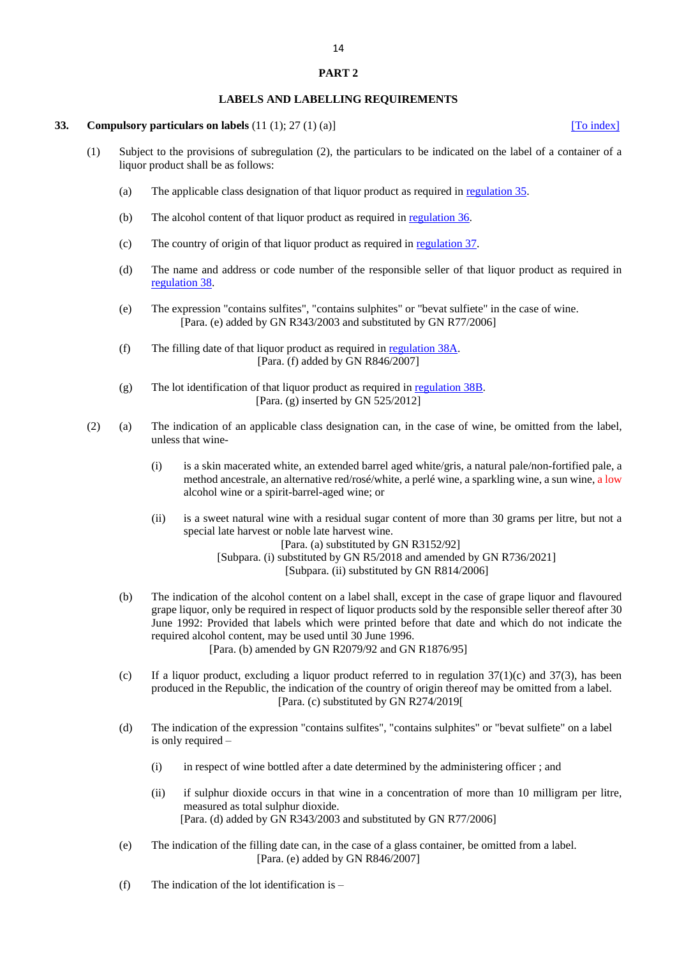#### **PART 2**

### **LABELS AND LABELLING REQUIREMENTS**

#### <span id="page-13-0"></span>**33. Compulsory particulars on labels**  $(11 (1); 27 (1) (a))$  [\[To index\]](#page-1-1)

- (1) Subject to the provisions of subregulation (2), the particulars to be indicated on the label of a container of a liquor product shall be as follows:
	- (a) The applicable class designation of that liquor product as required in [regulation 35.](#page-14-1)
	- (b) The alcohol content of that liquor product as required in [regulation 36.](#page-16-0)
	- (c) The country of origin of that liquor product as required in [regulation 37.](#page-16-1)
	- (d) The name and address or code number of the responsible seller of that liquor product as required in [regulation 38.](#page-17-0)
	- (e) The expression "contains sulfites", "contains sulphites" or "bevat sulfiete" in the case of wine. [Para. (e) added by GN R343/2003 and substituted by GN R77/2006]
	- (f) The filling date of that liquor product as required in [regulation 38A.](#page-17-1) [Para. (f) added by GN R846/2007]
	- (g) The lot identification of that liquor product as required in [regulation 38B.](#page-18-0) [Para. (g) inserted by GN 525/2012]
- <span id="page-13-3"></span><span id="page-13-2"></span>(2) (a) The indication of an applicable class designation can, in the case of wine, be omitted from the label, unless that wine-
	- (i) is a skin macerated white, an extended barrel aged white/gris, a natural pale/non-fortified pale, a method ancestrale, an alternative red/rosé/white, a perlé wine, a sparkling wine, a sun wine, a low alcohol wine or a spirit-barrel-aged wine; or
	- (ii) is a sweet natural wine with a residual sugar content of more than 30 grams per litre, but not a special late harvest or noble late harvest wine.

[Para. (a) substituted by GN R3152/92] [Subpara. (i) substituted by GN R5/2018 and amended by GN R736/2021] [Subpara. (ii) substituted by GN R814/2006]

- (b) The indication of the alcohol content on a label shall, except in the case of grape liquor and flavoured grape liquor, only be required in respect of liquor products sold by the responsible seller thereof after 30 June 1992: Provided that labels which were printed before that date and which do not indicate the required alcohol content, may be used until 30 June 1996. [Para. (b) amended by GN R2079/92 and GN R1876/95]
- (c) If a liquor product, excluding a liquor product referred to in regulation  $37(1)(c)$  and  $37(3)$ , has been produced in the Republic, the indication of the country of origin thereof may be omitted from a label. [Para. (c) substituted by GN R274/2019[
- (d) The indication of the expression "contains sulfites", "contains sulphites" or "bevat sulfiete" on a label is only required –
	- (i) in respect of wine bottled after a date determined by the administering officer ; and
	- (ii) if sulphur dioxide occurs in that wine in a concentration of more than 10 milligram per litre, measured as total sulphur dioxide. [Para. (d) added by GN R343/2003 and substituted by GN R77/2006]
- <span id="page-13-1"></span>(e) The indication of the filling date can, in the case of a glass container, be omitted from a label. [Para. (e) added by GN R846/2007]
- (f) The indication of the lot identification is  $-$

14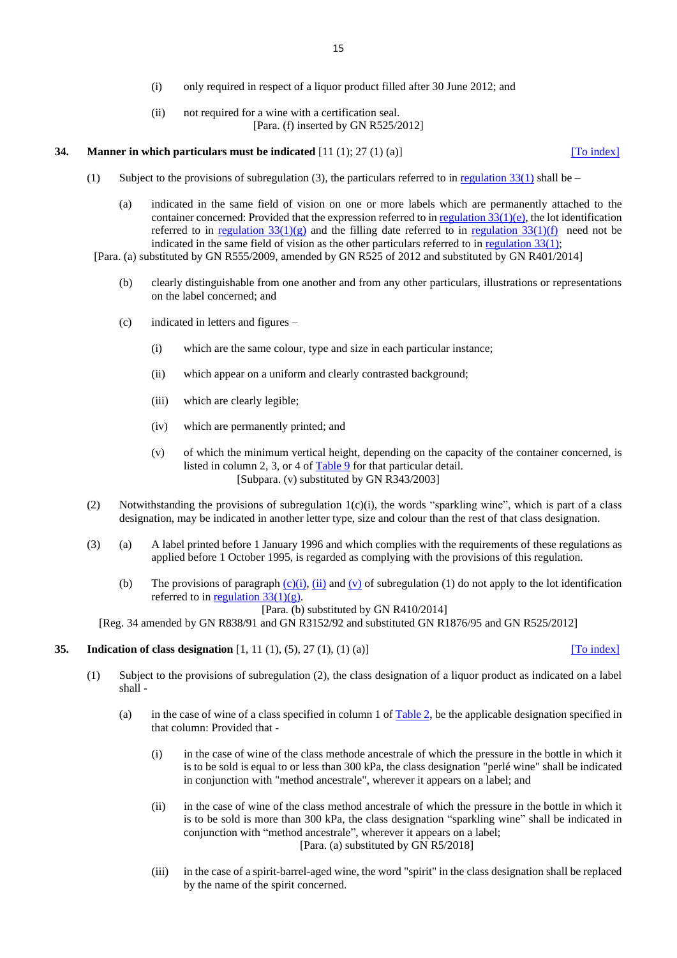- (i) only required in respect of a liquor product filled after 30 June 2012; and
- (ii) not required for a wine with a certification seal. [Para. (f) inserted by GN R525/2012]

#### <span id="page-14-0"></span>**34. Manner in which particulars must be indicated** [11 (1); 27 (1) (a)] [\[To index\]](#page-1-1)

- (1) Subject to the provisions of subregulation (3), the particulars referred to in regulation  $33(1)$  shall be
	- (a) indicated in the same field of vision on one or more labels which are permanently attached to the container concerned: Provided that the expression referred to in regulation  $33(1)(e)$ , the lot identification referred to in <u>regulation 33(1)(g)</u> and the filling date referred to in <u>regulation 33(1)(f)</u> need not be indicated in the same field of vision as the other particulars referred to in regulation  $33(1)$ ;

[Para. (a) substituted by GN R555/2009, amended by GN R525 of 2012 and substituted by GN R401/2014]

- (b) clearly distinguishable from one another and from any other particulars, illustrations or representations on the label concerned; and
- <span id="page-14-3"></span><span id="page-14-2"></span>(c) indicated in letters and figures –
	- (i) which are the same colour, type and size in each particular instance;
	- (ii) which appear on a uniform and clearly contrasted background;
	- (iii) which are clearly legible;
	- (iv) which are permanently printed; and
	- (v) of which the minimum vertical height, depending on the capacity of the container concerned, is listed in column 2, 3, or 4 o[f Table 9](#page-64-0) for that particular detail. [Subpara. (v) substituted by GN R343/2003]
- <span id="page-14-4"></span>(2) Notwithstanding the provisions of subregulation 1(c)(i), the words "sparkling wine", which is part of a class designation, may be indicated in another letter type, size and colour than the rest of that class designation.
- (3) (a) A label printed before 1 January 1996 and which complies with the requirements of these regulations as applied before 1 October 1995, is regarded as complying with the provisions of this regulation.
	- (b) The provisions of paragraph  $(c)(i)$ ,  $(ii)$  and  $(v)$  of subregulation (1) do not apply to the lot identification referred to in <u>regulation  $33(1)(g)$ </u>.

[Para. (b) substituted by GN R410/2014]

[Reg. 34 amended by GN R838/91 and GN R3152/92 and substituted GN R1876/95 and GN R525/2012]

# <span id="page-14-1"></span>**35. Indication of class designation** [1, 11 (1), (5), 27 (1), (1) (a)] **[\[To index\]](#page-1-1)**

- 
- (1) Subject to the provisions of subregulation (2), the class designation of a liquor product as indicated on a label shall -
	- (a) in the case of wine of a class specified in column 1 of [Table 2,](#page-39-0) be the applicable designation specified in that column: Provided that -
		- (i) in the case of wine of the class methode ancestrale of which the pressure in the bottle in which it is to be sold is equal to or less than 300 kPa, the class designation "perlé wine" shall be indicated in conjunction with "method ancestrale", wherever it appears on a label; and
		- (ii) in the case of wine of the class method ancestrale of which the pressure in the bottle in which it is to be sold is more than 300 kPa, the class designation "sparkling wine" shall be indicated in conjunction with "method ancestrale", wherever it appears on a label; [Para. (a) substituted by GN R5/2018]
		- (iii) in the case of a spirit-barrel-aged wine, the word "spirit" in the class designation shall be replaced by the name of the spirit concerned.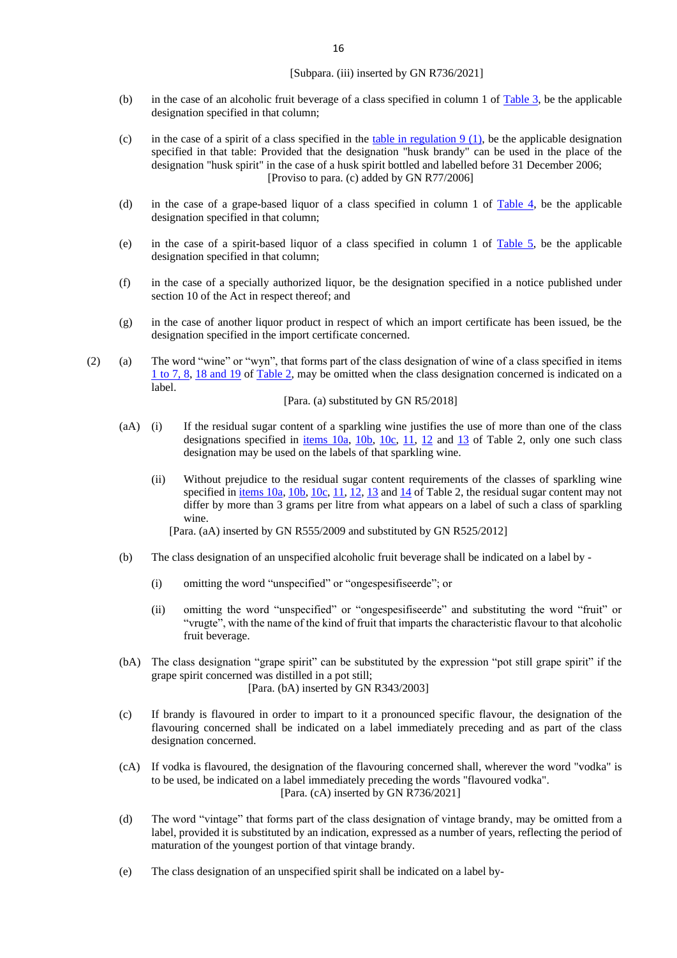#### [Subpara. (iii) inserted by GN R736/2021]

- (b) in the case of an alcoholic fruit beverage of a class specified in column 1 of [Table 3,](#page-46-0) be the applicable designation specified in that column;
- (c) in the case of a spirit of a class specified in the table in regulation  $9(1)$ , be the applicable designation specified in that table: Provided that the designation "husk brandy" can be used in the place of the designation "husk spirit" in the case of a husk spirit bottled and labelled before 31 December 2006; [Proviso to para. (c) added by GN R77/2006]
- (d) in the case of a grape-based liquor of a class specified in column 1 of [Table 4,](#page-46-1) be the applicable designation specified in that column;
- (e) in the case of a spirit-based liquor of a class specified in column 1 of [Table 5,](#page-47-0) be the applicable designation specified in that column;
- (f) in the case of a specially authorized liquor, be the designation specified in a notice published under section 10 of the Act in respect thereof; and
- (g) in the case of another liquor product in respect of which an import certificate has been issued, be the designation specified in the import certificate concerned.
- (2) (a) The word "wine" or "wyn", that forms part of the class designation of wine of a class specified in items [1 to](#page-39-1) 7, 8, [18 and 19](#page-42-0) of [Table 2,](#page-39-0) may be omitted when the class designation concerned is indicated on a label.

[Para. (a) substituted by GN R5/2018]

- (aA) (i) If the residual sugar content of a sparkling wine justifies the use of more than one of the class designations specified in <u>items 10a, [10b,](#page-40-2) [10c,](#page-40-3) [11,](#page-41-0) [12](#page-41-1)</u> and  $\frac{13}{13}$  of Table 2, only one such class designation may be used on the labels of that sparkling wine.
	- (ii) Without prejudice to the residual sugar content requirements of the classes of sparkling wine specified in [items 10a,](#page-40-1) [10b,](#page-40-2) [10c,](#page-40-3) [11, 12,](#page-41-0) [13](#page-41-2) and [14](#page-41-3) of Table 2, the residual sugar content may not differ by more than 3 grams per litre from what appears on a label of such a class of sparkling wine.

[Para. (aA) inserted by GN R555/2009 and substituted by GN R525/2012]

- (b) The class designation of an unspecified alcoholic fruit beverage shall be indicated on a label by
	- (i) omitting the word "unspecified" or "ongespesifiseerde"; or
	- (ii) omitting the word "unspecified" or "ongespesifiseerde" and substituting the word "fruit" or "vrugte", with the name of the kind of fruit that imparts the characteristic flavour to that alcoholic fruit beverage.
- (bA) The class designation "grape spirit" can be substituted by the expression "pot still grape spirit" if the grape spirit concerned was distilled in a pot still; [Para. (bA) inserted by GN R343/2003]
- (c) If brandy is flavoured in order to impart to it a pronounced specific flavour, the designation of the flavouring concerned shall be indicated on a label immediately preceding and as part of the class designation concerned.
- (cA) If vodka is flavoured, the designation of the flavouring concerned shall, wherever the word "vodka" is to be used, be indicated on a label immediately preceding the words "flavoured vodka". [Para. (cA) inserted by GN R736/2021]
- (d) The word "vintage" that forms part of the class designation of vintage brandy, may be omitted from a label, provided it is substituted by an indication, expressed as a number of years, reflecting the period of maturation of the youngest portion of that vintage brandy.
- (e) The class designation of an unspecified spirit shall be indicated on a label by-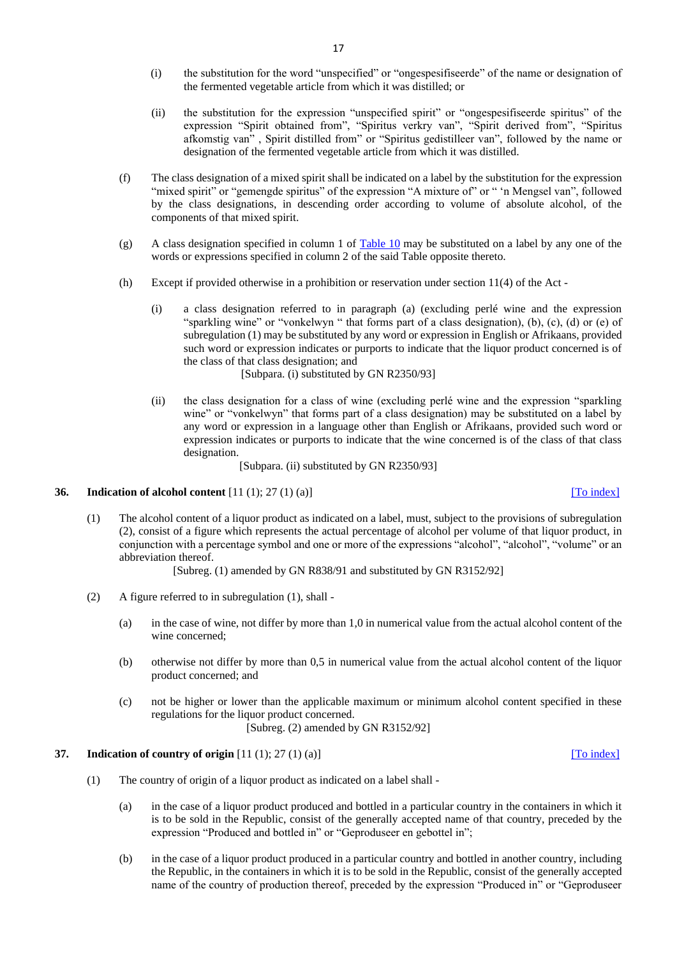- (i) the substitution for the word "unspecified" or "ongespesifiseerde" of the name or designation of the fermented vegetable article from which it was distilled; or
- (ii) the substitution for the expression "unspecified spirit" or "ongespesifiseerde spiritus" of the expression "Spirit obtained from", "Spiritus verkry van", "Spirit derived from", "Spiritus afkomstig van" , Spirit distilled from" or "Spiritus gedistilleer van", followed by the name or designation of the fermented vegetable article from which it was distilled.
- (f) The class designation of a mixed spirit shall be indicated on a label by the substitution for the expression "mixed spirit" or "gemengde spiritus" of the expression "A mixture of" or " 'n Mengsel van", followed by the class designations, in descending order according to volume of absolute alcohol, of the components of that mixed spirit.
- <span id="page-16-2"></span>(g) A class designation specified in column 1 of  $Table 10$  may be substituted on a label by any one of the words or expressions specified in column 2 of the said Table opposite thereto.
- (h) Except if provided otherwise in a prohibition or reservation under section 11(4) of the Act
	- (i) a class designation referred to in paragraph (a) (excluding perlé wine and the expression "sparkling wine" or "vonkelwyn " that forms part of a class designation), (b), (c), (d) or (e) of subregulation (1) may be substituted by any word or expression in English or Afrikaans, provided such word or expression indicates or purports to indicate that the liquor product concerned is of the class of that class designation; and
		- [Subpara. (i) substituted by GN R2350/93]
	- (ii) the class designation for a class of wine (excluding perlé wine and the expression "sparkling wine" or "vonkelwyn" that forms part of a class designation) may be substituted on a label by any word or expression in a language other than English or Afrikaans, provided such word or expression indicates or purports to indicate that the wine concerned is of the class of that class designation.

[Subpara. (ii) substituted by GN R2350/93]

### <span id="page-16-0"></span>**36. Indication of alcohol content**  $[11 (1); 27 (1) (a)]$  [\[To index\]](#page-1-1)

(1) The alcohol content of a liquor product as indicated on a label, must, subject to the provisions of subregulation (2), consist of a figure which represents the actual percentage of alcohol per volume of that liquor product, in conjunction with a percentage symbol and one or more of the expressions "alcohol", "alcohol", "volume" or an abbreviation thereof.

[Subreg. (1) amended by GN R838/91 and substituted by GN R3152/92]

- (2) A figure referred to in subregulation (1), shall
	- (a) in the case of wine, not differ by more than 1,0 in numerical value from the actual alcohol content of the wine concerned;
	- (b) otherwise not differ by more than 0,5 in numerical value from the actual alcohol content of the liquor product concerned; and
	- (c) not be higher or lower than the applicable maximum or minimum alcohol content specified in these regulations for the liquor product concerned.

# [Subreg. (2) amended by GN R3152/92]

# <span id="page-16-1"></span>**37. Indication of country of origin**  $[11 (1); 27 (1) (a)]$  [\[To index\]](#page-1-1)

- (1) The country of origin of a liquor product as indicated on a label shall
	- (a) in the case of a liquor product produced and bottled in a particular country in the containers in which it is to be sold in the Republic, consist of the generally accepted name of that country, preceded by the expression "Produced and bottled in" or "Geproduseer en gebottel in";
	- (b) in the case of a liquor product produced in a particular country and bottled in another country, including the Republic, in the containers in which it is to be sold in the Republic, consist of the generally accepted name of the country of production thereof, preceded by the expression "Produced in" or "Geproduseer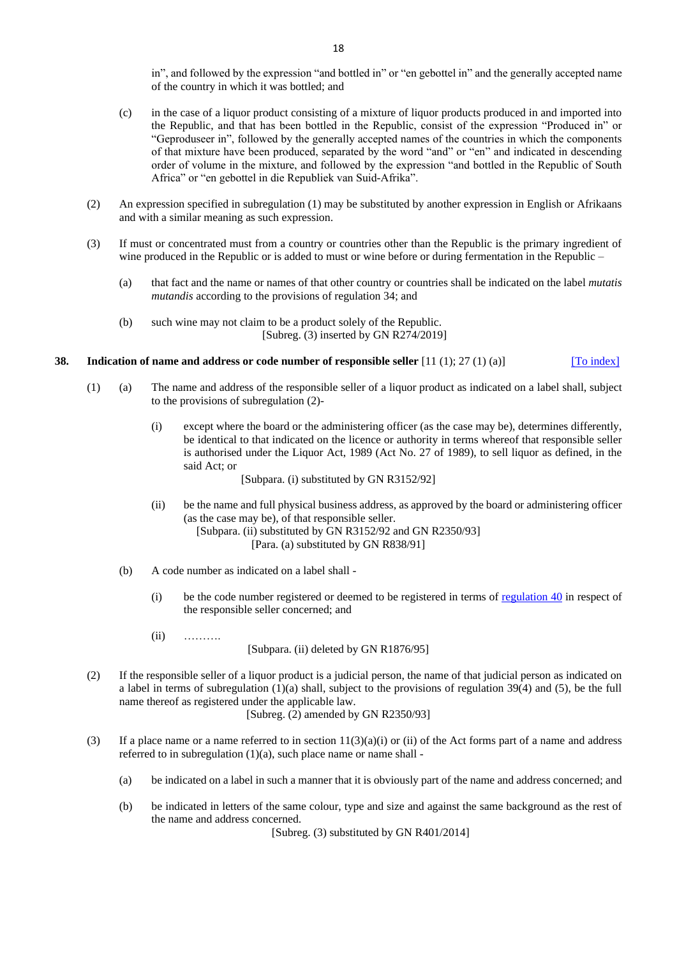in", and followed by the expression "and bottled in" or "en gebottel in" and the generally accepted name of the country in which it was bottled; and

- (c) in the case of a liquor product consisting of a mixture of liquor products produced in and imported into the Republic, and that has been bottled in the Republic, consist of the expression "Produced in" or "Geproduseer in", followed by the generally accepted names of the countries in which the components of that mixture have been produced, separated by the word "and" or "en" and indicated in descending order of volume in the mixture, and followed by the expression "and bottled in the Republic of South Africa" or "en gebottel in die Republiek van Suid-Afrika".
- (2) An expression specified in subregulation (1) may be substituted by another expression in English or Afrikaans and with a similar meaning as such expression.
- (3) If must or concentrated must from a country or countries other than the Republic is the primary ingredient of wine produced in the Republic or is added to must or wine before or during fermentation in the Republic –
	- (a) that fact and the name or names of that other country or countries shall be indicated on the label *mutatis mutandis* according to the provisions of regulation 34; and
	- (b) such wine may not claim to be a product solely of the Republic. [Subreg. (3) inserted by GN R274/2019]

#### <span id="page-17-0"></span>**38. Indication of name and address or code number of responsible seller** [11 (1); 27 (1) (a)] [\[To index\]](#page-1-1)

- (1) (a) The name and address of the responsible seller of a liquor product as indicated on a label shall, subject to the provisions of subregulation (2)-
	- (i) except where the board or the administering officer (as the case may be), determines differently, be identical to that indicated on the licence or authority in terms whereof that responsible seller is authorised under the Liquor Act, 1989 (Act No. 27 of 1989), to sell liquor as defined, in the said Act; or

[Subpara. (i) substituted by GN R3152/92]

- (ii) be the name and full physical business address, as approved by the board or administering officer (as the case may be), of that responsible seller.
	- [Subpara. (ii) substituted by GN R3152/92 and GN R2350/93] [Para. (a) substituted by GN R838/91]
		-
- (b) A code number as indicated on a label shall
	- (i) be the code number registered or deemed to be registered in terms of [regulation 40](#page-21-0) in respect of the responsible seller concerned; and
	- (ii) ……….

[Subpara. (ii) deleted by GN R1876/95]

(2) If the responsible seller of a liquor product is a judicial person, the name of that judicial person as indicated on a label in terms of subregulation (1)(a) shall, subject to the provisions of regulation 39(4) and (5), be the full name thereof as registered under the applicable law.

[Subreg. (2) amended by GN R2350/93]

- <span id="page-17-1"></span>(3) If a place name or a name referred to in section  $11(3)(a)(i)$  or (ii) of the Act forms part of a name and address referred to in subregulation  $(1)(a)$ , such place name or name shall -
	- (a) be indicated on a label in such a manner that it is obviously part of the name and address concerned; and
	- (b) be indicated in letters of the same colour, type and size and against the same background as the rest of the name and address concerned.

[Subreg. (3) substituted by GN R401/2014]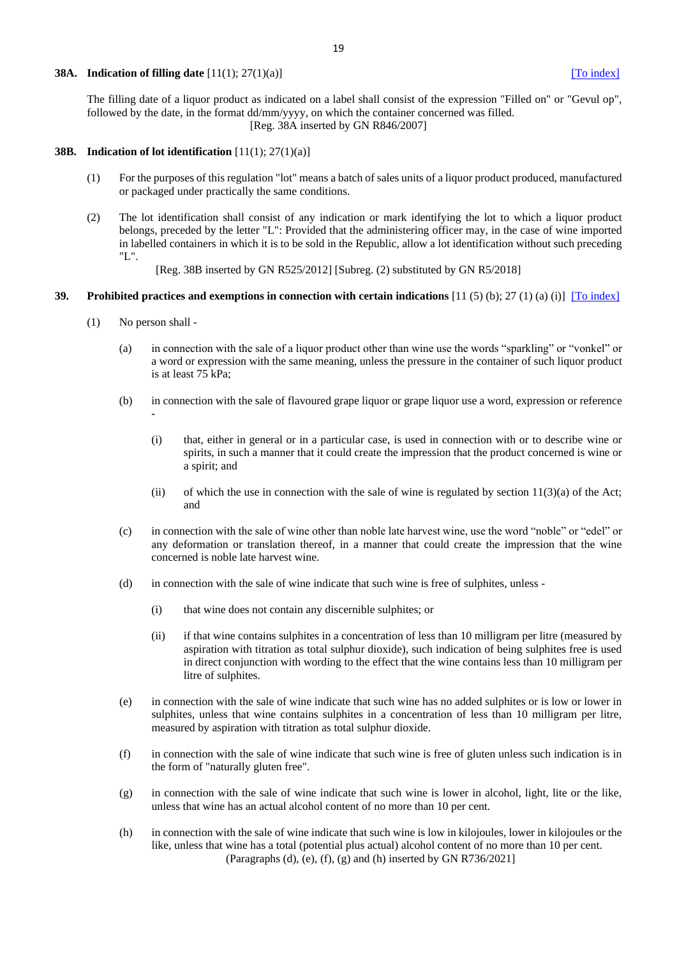#### **38A.** Indication of filling date  $[11(1); 27(1)(a)]$  [\[To index\]](#page-1-1)

The filling date of a liquor product as indicated on a label shall consist of the expression "Filled on" or "Gevul op", followed by the date, in the format dd/mm/yyyy, on which the container concerned was filled. [Reg. 38A inserted by GN R846/2007]

#### <span id="page-18-0"></span>**38B. Indication of lot identification** [11(1); 27(1)(a)]

- (1) For the purposes of this regulation "lot" means a batch of sales units of a liquor product produced, manufactured or packaged under practically the same conditions.
- (2) The lot identification shall consist of any indication or mark identifying the lot to which a liquor product belongs, preceded by the letter "L": Provided that the administering officer may, in the case of wine imported in labelled containers in which it is to be sold in the Republic, allow a lot identification without such preceding "L".
	- [Reg. 38B inserted by GN R525/2012] [Subreg. (2) substituted by GN R5/2018]

#### **39. Prohibited practices and exemptions in connection with certain indications** [11 (5) (b); 27 (1) (a) (i)] [\[To index\]](#page-1-1)

- (1) No person shall
	- (a) in connection with the sale of a liquor product other than wine use the words "sparkling" or "vonkel" or a word or expression with the same meaning, unless the pressure in the container of such liquor product is at least 75 kPa;
	- (b) in connection with the sale of flavoured grape liquor or grape liquor use a word, expression or reference -
		- (i) that, either in general or in a particular case, is used in connection with or to describe wine or spirits, in such a manner that it could create the impression that the product concerned is wine or a spirit; and
		- (ii) of which the use in connection with the sale of wine is regulated by section  $11(3)(a)$  of the Act; and
	- (c) in connection with the sale of wine other than noble late harvest wine, use the word "noble" or "edel" or any deformation or translation thereof, in a manner that could create the impression that the wine concerned is noble late harvest wine.
	- (d) in connection with the sale of wine indicate that such wine is free of sulphites, unless
		- (i) that wine does not contain any discernible sulphites; or
		- (ii) if that wine contains sulphites in a concentration of less than 10 milligram per litre (measured by aspiration with titration as total sulphur dioxide), such indication of being sulphites free is used in direct conjunction with wording to the effect that the wine contains less than 10 milligram per litre of sulphites.
	- (e) in connection with the sale of wine indicate that such wine has no added sulphites or is low or lower in sulphites, unless that wine contains sulphites in a concentration of less than 10 milligram per litre, measured by aspiration with titration as total sulphur dioxide.
	- (f) in connection with the sale of wine indicate that such wine is free of gluten unless such indication is in the form of "naturally gluten free".
	- (g) in connection with the sale of wine indicate that such wine is lower in alcohol, light, lite or the like, unless that wine has an actual alcohol content of no more than 10 per cent.
	- (h) in connection with the sale of wine indicate that such wine is low in kilojoules, lower in kilojoules or the like, unless that wine has a total (potential plus actual) alcohol content of no more than 10 per cent. (Paragraphs (d), (e), (f), (g) and (h) inserted by GN R736/2021]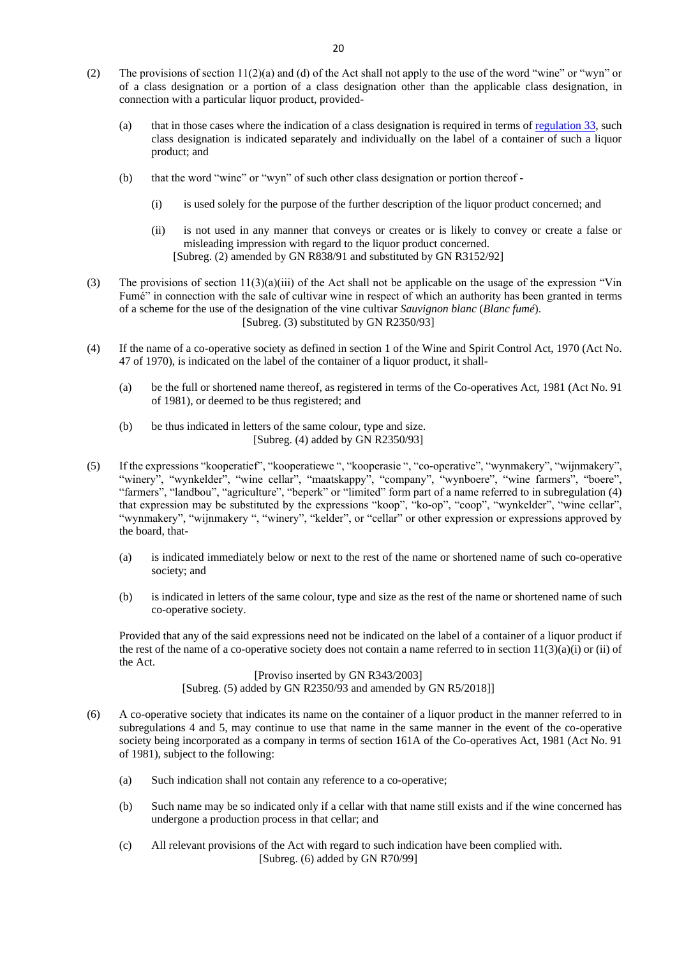- (2) The provisions of section  $11(2)(a)$  and (d) of the Act shall not apply to the use of the word "wine" or "wyn" or of a class designation or a portion of a class designation other than the applicable class designation, in connection with a particular liquor product, provided-
	- (a) that in those cases where the indication of a class designation is required in terms of regulation  $33$ , such class designation is indicated separately and individually on the label of a container of such a liquor product; and
	- (b) that the word "wine" or "wyn" of such other class designation or portion thereof
		- (i) is used solely for the purpose of the further description of the liquor product concerned; and
		- (ii) is not used in any manner that conveys or creates or is likely to convey or create a false or misleading impression with regard to the liquor product concerned. [Subreg. (2) amended by GN R838/91 and substituted by GN R3152/92]
- (3) The provisions of section 11(3)(a)(iii) of the Act shall not be applicable on the usage of the expression "Vin Fumé" in connection with the sale of cultivar wine in respect of which an authority has been granted in terms of a scheme for the use of the designation of the vine cultivar *Sauvignon blanc* (*Blanc fumé*). [Subreg. (3) substituted by GN R2350/93]
- (4) If the name of a co-operative society as defined in section 1 of the Wine and Spirit Control Act, 1970 (Act No. 47 of 1970), is indicated on the label of the container of a liquor product, it shall-
	- (a) be the full or shortened name thereof, as registered in terms of the Co-operatives Act, 1981 (Act No. 91 of 1981), or deemed to be thus registered; and
	- (b) be thus indicated in letters of the same colour, type and size. [Subreg. (4) added by GN R2350/93]
- (5) If the expressions "kooperatief", "kooperatiewe ", "kooperasie ", "co-operative", "wynmakery", "wijnmakery", "winery", "wynkelder", "wine cellar", "maatskappy", "company", "wynboere", "wine farmers", "boere", "farmers", "landbou", "agriculture", "beperk" or "limited" form part of a name referred to in subregulation (4) that expression may be substituted by the expressions "koop", "ko-op", "coop", "wynkelder", "wine cellar", "wynmakery", "wijnmakery ", "winery", "kelder", or "cellar" or other expression or expressions approved by the board, that-
	- (a) is indicated immediately below or next to the rest of the name or shortened name of such co-operative society; and
	- (b) is indicated in letters of the same colour, type and size as the rest of the name or shortened name of such co-operative society.

Provided that any of the said expressions need not be indicated on the label of a container of a liquor product if the rest of the name of a co-operative society does not contain a name referred to in section  $11(3)(a)(i)$  or (ii) of the Act.

> [Proviso inserted by GN R343/2003] [Subreg. (5) added by GN R2350/93 and amended by GN R5/2018]]

- (6) A co-operative society that indicates its name on the container of a liquor product in the manner referred to in subregulations 4 and 5, may continue to use that name in the same manner in the event of the co-operative society being incorporated as a company in terms of section 161A of the Co-operatives Act, 1981 (Act No. 91) of 1981), subject to the following:
	- (a) Such indication shall not contain any reference to a co-operative;
	- (b) Such name may be so indicated only if a cellar with that name still exists and if the wine concerned has undergone a production process in that cellar; and
	- (c) All relevant provisions of the Act with regard to such indication have been complied with. [Subreg. (6) added by GN R70/99]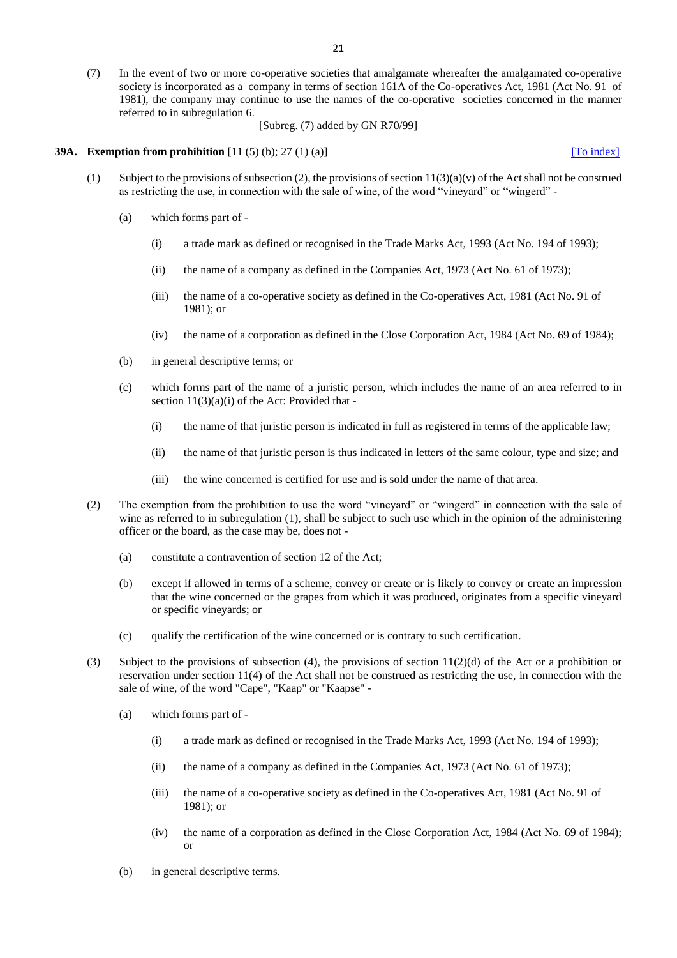(7) In the event of two or more co-operative societies that amalgamate whereafter the amalgamated co-operative society is incorporated as a company in terms of section 161A of the Co-operatives Act, 1981 (Act No. 91 of 1981), the company may continue to use the names of the co-operative societies concerned in the manner referred to in subregulation 6.

[Subreg. (7) added by GN R70/99]

#### <span id="page-20-0"></span>**39A. Exemption from prohibition**  $[11 (5) (b); 27 (1) (a)]$  [\[To index\]](#page-1-1)

- (1) Subject to the provisions of subsection (2), the provisions of section  $11(3)(a)(v)$  of the Act shall not be construed as restricting the use, in connection with the sale of wine, of the word "vineyard" or "wingerd" -
	- (a) which forms part of
		- (i) a trade mark as defined or recognised in the Trade Marks Act, 1993 (Act No. 194 of 1993);
		- (ii) the name of a company as defined in the Companies Act, 1973 (Act No. 61 of 1973);
		- (iii) the name of a co-operative society as defined in the Co-operatives Act, 1981 (Act No. 91 of 1981); or
		- (iv) the name of a corporation as defined in the Close Corporation Act, 1984 (Act No. 69 of 1984);
	- (b) in general descriptive terms; or
	- (c) which forms part of the name of a juristic person, which includes the name of an area referred to in section  $11(3)(a)(i)$  of the Act: Provided that -
		- (i) the name of that juristic person is indicated in full as registered in terms of the applicable law;
		- (ii) the name of that juristic person is thus indicated in letters of the same colour, type and size; and
		- (iii) the wine concerned is certified for use and is sold under the name of that area.
- (2) The exemption from the prohibition to use the word "vineyard" or "wingerd" in connection with the sale of wine as referred to in subregulation (1), shall be subject to such use which in the opinion of the administering officer or the board, as the case may be, does not -
	- (a) constitute a contravention of section 12 of the Act;
	- (b) except if allowed in terms of a scheme, convey or create or is likely to convey or create an impression that the wine concerned or the grapes from which it was produced, originates from a specific vineyard or specific vineyards; or
	- (c) qualify the certification of the wine concerned or is contrary to such certification.
- (3) Subject to the provisions of subsection (4), the provisions of section 11(2)(d) of the Act or a prohibition or reservation under section 11(4) of the Act shall not be construed as restricting the use, in connection with the sale of wine, of the word "Cape", "Kaap" or "Kaapse" -
	- (a) which forms part of
		- (i) a trade mark as defined or recognised in the Trade Marks Act, 1993 (Act No. 194 of 1993);
		- (ii) the name of a company as defined in the Companies Act, 1973 (Act No. 61 of 1973);
		- (iii) the name of a co-operative society as defined in the Co-operatives Act, 1981 (Act No. 91 of 1981); or
		- (iv) the name of a corporation as defined in the Close Corporation Act, 1984 (Act No. 69 of 1984); or
	- (b) in general descriptive terms.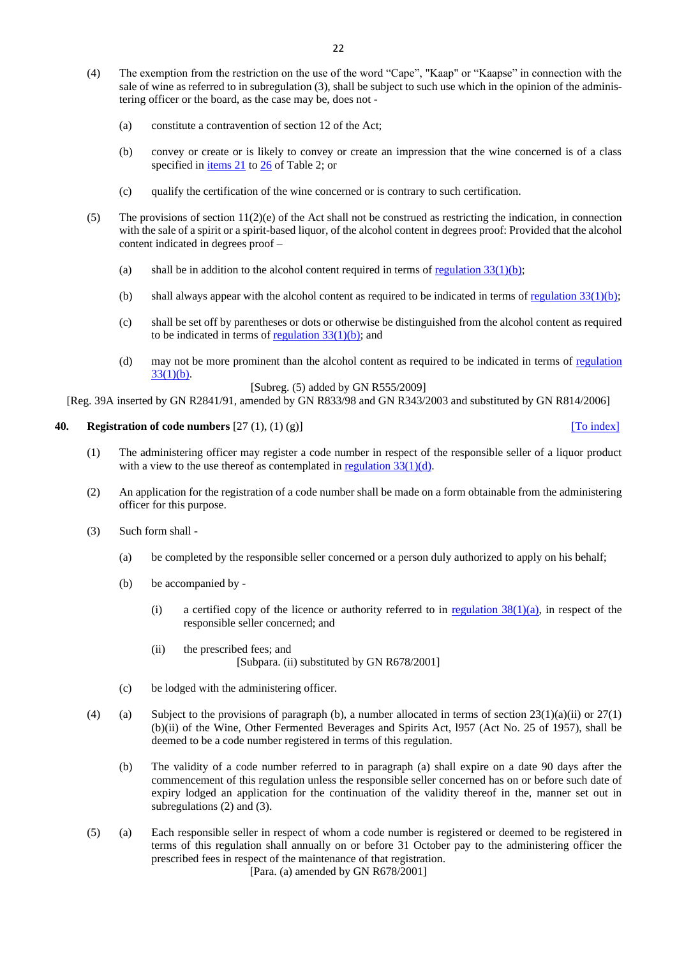- (4) The exemption from the restriction on the use of the word "Cape", "Kaap" or "Kaapse" in connection with the sale of wine as referred to in subregulation (3), shall be subject to such use which in the opinion of the administering officer or the board, as the case may be, does not -
	- (a) constitute a contravention of section 12 of the Act;
	- (b) convey or create or is likely to convey or create an impression that the wine concerned is of a class specified in <u>items 21</u> to [26](#page-43-0) of Table 2; or
	- (c) qualify the certification of the wine concerned or is contrary to such certification.
- (5) The provisions of section 11(2)(e) of the Act shall not be construed as restricting the indication, in connection with the sale of a spirit or a spirit-based liquor, of the alcohol content in degrees proof: Provided that the alcohol content indicated in degrees proof –
	- (a) shall be in addition to the alcohol content required in terms of regulation  $33(1)(b)$ ;
	- (b) shall always appear with the alcohol content as required to be indicated in terms of regulation  $33(1)(b)$ ;
	- (c) shall be set off by parentheses or dots or otherwise be distinguished from the alcohol content as required to be indicated in terms of regulation  $33(1)(b)$ ; and
	- (d) may not be more prominent than the alcohol content as required to be indicated in terms of [regulation](#page-13-0)   $33(1)(b)$ .

[Subreg. (5) added by GN R555/2009]

[Reg. 39A inserted by GN R2841/91, amended by GN R833/98 and GN R343/2003 and substituted by GN R814/2006]

#### <span id="page-21-0"></span>**40. Registration of code numbers**  $[27 (1), (1) (g)]$  [\[To index\]](#page-1-1)

- (1) The administering officer may register a code number in respect of the responsible seller of a liquor product with a view to the use thereof as contemplated in regulation  $33(1)(d)$ .
- (2) An application for the registration of a code number shall be made on a form obtainable from the administering officer for this purpose.
- (3) Such form shall
	- (a) be completed by the responsible seller concerned or a person duly authorized to apply on his behalf;
	- (b) be accompanied by
		- (i) a certified copy of the licence or authority referred to in regulation  $38(1)(a)$ , in respect of the responsible seller concerned; and
		- (ii) the prescribed fees; and [Subpara. (ii) substituted by GN R678/2001]
	- (c) be lodged with the administering officer.
- (4) (a) Subject to the provisions of paragraph (b), a number allocated in terms of section  $23(1)(a)(ii)$  or  $27(1)$ (b)(ii) of the Wine, Other Fermented Beverages and Spirits Act, l957 (Act No. 25 of 1957), shall be deemed to be a code number registered in terms of this regulation.
	- (b) The validity of a code number referred to in paragraph (a) shall expire on a date 90 days after the commencement of this regulation unless the responsible seller concerned has on or before such date of expiry lodged an application for the continuation of the validity thereof in the, manner set out in subregulations (2) and (3).
- (5) (a) Each responsible seller in respect of whom a code number is registered or deemed to be registered in terms of this regulation shall annually on or before 31 October pay to the administering officer the prescribed fees in respect of the maintenance of that registration. [Para. (a) amended by GN R678/2001]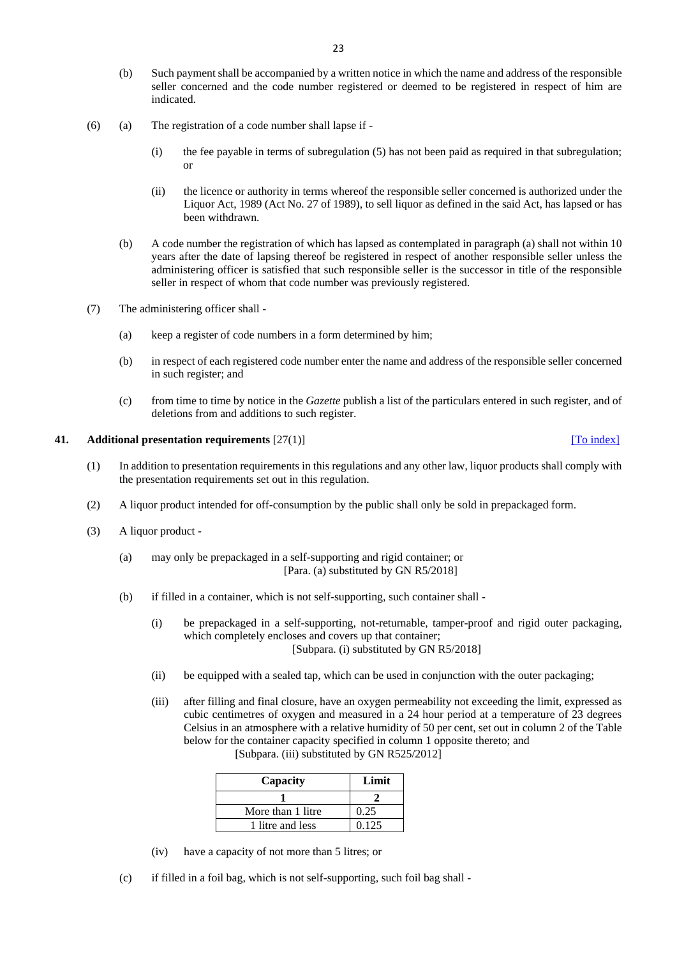- (b) Such payment shall be accompanied by a written notice in which the name and address of the responsible seller concerned and the code number registered or deemed to be registered in respect of him are indicated.
- (6) (a) The registration of a code number shall lapse if
	- (i) the fee payable in terms of subregulation (5) has not been paid as required in that subregulation; or
	- (ii) the licence or authority in terms whereof the responsible seller concerned is authorized under the Liquor Act, 1989 (Act No. 27 of 1989), to sell liquor as defined in the said Act, has lapsed or has been withdrawn.
	- (b) A code number the registration of which has lapsed as contemplated in paragraph (a) shall not within 10 years after the date of lapsing thereof be registered in respect of another responsible seller unless the administering officer is satisfied that such responsible seller is the successor in title of the responsible seller in respect of whom that code number was previously registered.
- (7) The administering officer shall
	- (a) keep a register of code numbers in a form determined by him;
	- (b) in respect of each registered code number enter the name and address of the responsible seller concerned in such register; and
	- (c) from time to time by notice in the *Gazette* publish a list of the particulars entered in such register, and of deletions from and additions to such register.

#### <span id="page-22-0"></span>**41. Additional presentation requirements** [27(1)] **Community** [\[To index\]](#page-1-1)

- (1) In addition to presentation requirements in this regulations and any other law, liquor products shall comply with the presentation requirements set out in this regulation.
- (2) A liquor product intended for off-consumption by the public shall only be sold in prepackaged form.
- (3) A liquor product
	- (a) may only be prepackaged in a self-supporting and rigid container; or [Para. (a) substituted by GN R5/2018]
	- (b) if filled in a container, which is not self-supporting, such container shall
		- (i) be prepackaged in a self-supporting, not-returnable, tamper-proof and rigid outer packaging, which completely encloses and covers up that container; [Subpara. (i) substituted by GN R5/2018]
		- (ii) be equipped with a sealed tap, which can be used in conjunction with the outer packaging;
		- (iii) after filling and final closure, have an oxygen permeability not exceeding the limit, expressed as cubic centimetres of oxygen and measured in a 24 hour period at a temperature of 23 degrees Celsius in an atmosphere with a relative humidity of 50 per cent, set out in column 2 of the Table below for the container capacity specified in column 1 opposite thereto; and [Subpara. (iii) substituted by GN R525/2012]

| Capacity          | Limit |
|-------------------|-------|
|                   |       |
| More than 1 litre | 0.25  |
| 1 litre and less  | 0.125 |

- (iv) have a capacity of not more than 5 litres; or
- (c) if filled in a foil bag, which is not self-supporting, such foil bag shall -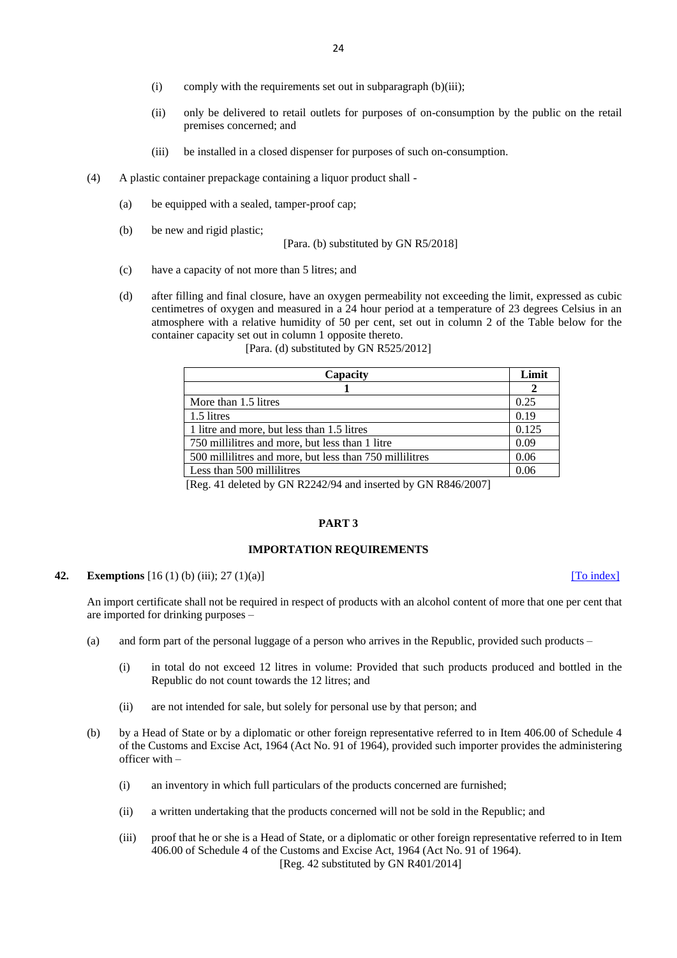- (i) comply with the requirements set out in subparagraph  $(b)(iii)$ ;
- (ii) only be delivered to retail outlets for purposes of on-consumption by the public on the retail premises concerned; and
- (iii) be installed in a closed dispenser for purposes of such on-consumption.
- (4) A plastic container prepackage containing a liquor product shall
	- (a) be equipped with a sealed, tamper-proof cap;
	- (b) be new and rigid plastic;

#### [Para. (b) substituted by GN R5/2018]

- (c) have a capacity of not more than 5 litres; and
- (d) after filling and final closure, have an oxygen permeability not exceeding the limit, expressed as cubic centimetres of oxygen and measured in a 24 hour period at a temperature of 23 degrees Celsius in an atmosphere with a relative humidity of 50 per cent, set out in column 2 of the Table below for the container capacity set out in column 1 opposite thereto.

| Capacity                                                                                                                                                                                                                                                                                                                           | Limit |
|------------------------------------------------------------------------------------------------------------------------------------------------------------------------------------------------------------------------------------------------------------------------------------------------------------------------------------|-------|
|                                                                                                                                                                                                                                                                                                                                    |       |
| More than 1.5 litres                                                                                                                                                                                                                                                                                                               | 0.25  |
| 1.5 litres                                                                                                                                                                                                                                                                                                                         | 0.19  |
| 1 litre and more, but less than 1.5 litres                                                                                                                                                                                                                                                                                         |       |
| 750 millilitres and more, but less than 1 litre                                                                                                                                                                                                                                                                                    |       |
| 500 millilitres and more, but less than 750 millilitres                                                                                                                                                                                                                                                                            |       |
| Less than 500 millilitres                                                                                                                                                                                                                                                                                                          |       |
| $\mathbf{r}$ $\mathbf{r}$ $\mathbf{r}$ $\mathbf{r}$ $\mathbf{r}$ $\mathbf{r}$ $\mathbf{r}$ $\mathbf{r}$ $\mathbf{r}$ $\mathbf{r}$ $\mathbf{r}$ $\mathbf{r}$ $\mathbf{r}$ $\mathbf{r}$ $\mathbf{r}$ $\mathbf{r}$ $\mathbf{r}$ $\mathbf{r}$ $\mathbf{r}$ $\mathbf{r}$ $\mathbf{r}$ $\mathbf{r}$ $\mathbf{r}$ $\mathbf{r}$ $\mathbf{$ |       |

[Para. (d) substituted by GN R525/2012]

[Reg. 41 deleted by GN R2242/94 and inserted by GN R846/2007]

#### **PART 3**

### **IMPORTATION REQUIREMENTS**

### <span id="page-23-0"></span>**42. Exemptions** [16 (1) (b) (iii); 27 (1)(a)] **[\[To index\]](#page-1-2)** [To index]

An import certificate shall not be required in respect of products with an alcohol content of more that one per cent that are imported for drinking purposes –

- (a) and form part of the personal luggage of a person who arrives in the Republic, provided such products
	- (i) in total do not exceed 12 litres in volume: Provided that such products produced and bottled in the Republic do not count towards the 12 litres; and
	- (ii) are not intended for sale, but solely for personal use by that person; and
- (b) by a Head of State or by a diplomatic or other foreign representative referred to in Item 406.00 of Schedule 4 of the Customs and Excise Act, 1964 (Act No. 91 of 1964), provided such importer provides the administering officer with –
	- (i) an inventory in which full particulars of the products concerned are furnished;
	- (ii) a written undertaking that the products concerned will not be sold in the Republic; and
	- (iii) proof that he or she is a Head of State, or a diplomatic or other foreign representative referred to in Item 406.00 of Schedule 4 of the Customs and Excise Act, 1964 (Act No. 91 of 1964). [Reg. 42 substituted by GN R401/2014]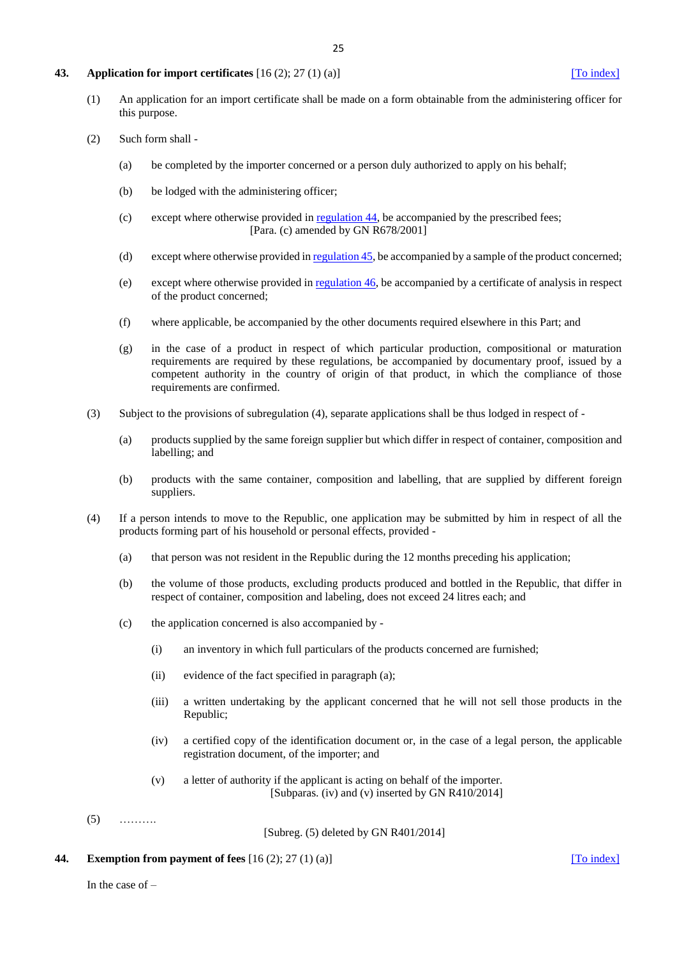#### <span id="page-24-7"></span><span id="page-24-0"></span>**43. Application for import certificates** [16 (2); 27 (1) (a)] **[\[To index\]](#page-1-2)** [To index]

- (1) An application for an import certificate shall be made on a form obtainable from the administering officer for this purpose.
- (2) Such form shall
	- (a) be completed by the importer concerned or a person duly authorized to apply on his behalf;
	- (b) be lodged with the administering officer;
	- (c) except where otherwise provided i[n regulation 44,](#page-24-1) be accompanied by the prescribed fees; [Para. (c) amended by GN R678/2001]
	- (d) except where otherwise provided i[n regulation 45,](#page-25-0) be accompanied by a sample of the product concerned;
	- (e) except where otherwise provided i[n regulation 46,](#page-25-1) be accompanied by a certificate of analysis in respect of the product concerned;
	- (f) where applicable, be accompanied by the other documents required elsewhere in this Part; and
	- (g) in the case of a product in respect of which particular production, compositional or maturation requirements are required by these regulations, be accompanied by documentary proof, issued by a competent authority in the country of origin of that product, in which the compliance of those requirements are confirmed.
- (3) Subject to the provisions of subregulation (4), separate applications shall be thus lodged in respect of
	- (a) products supplied by the same foreign supplier but which differ in respect of container, composition and labelling; and
	- (b) products with the same container, composition and labelling, that are supplied by different foreign suppliers.
- <span id="page-24-3"></span><span id="page-24-2"></span>(4) If a person intends to move to the Republic, one application may be submitted by him in respect of all the products forming part of his household or personal effects, provided -
	- (a) that person was not resident in the Republic during the 12 months preceding his application;
	- (b) the volume of those products, excluding products produced and bottled in the Republic, that differ in respect of container, composition and labeling, does not exceed 24 litres each; and
	- (c) the application concerned is also accompanied by
		- (i) an inventory in which full particulars of the products concerned are furnished;
		- (ii) evidence of the fact specified in paragraph (a);
		- (iii) a written undertaking by the applicant concerned that he will not sell those products in the Republic;
		- (iv) a certified copy of the identification document or, in the case of a legal person, the applicable registration document, of the importer; and
		- (v) a letter of authority if the applicant is acting on behalf of the importer. [Subparas. (iv) and (v) inserted by GN R410/2014]
- <span id="page-24-6"></span><span id="page-24-5"></span><span id="page-24-4"></span> $(5)$  ………

[Subreg. (5) deleted by GN R401/2014]

#### <span id="page-24-1"></span>**44. Exemption from payment of fees**  $[16 (2); 27 (1) (a)]$  [\[To index\]](#page-1-2)

In the case of  $-$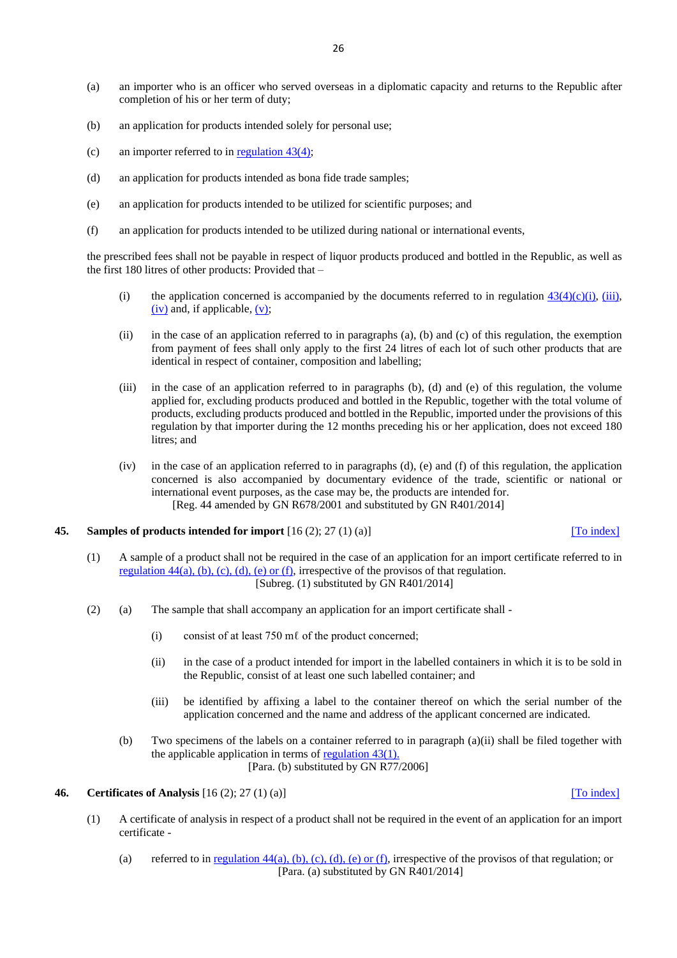- <span id="page-25-2"></span>(a) an importer who is an officer who served overseas in a diplomatic capacity and returns to the Republic after completion of his or her term of duty;
- (b) an application for products intended solely for personal use;
- (c) an importer referred to in [regulation 43\(4\);](#page-24-2)
- (d) an application for products intended as bona fide trade samples;
- (e) an application for products intended to be utilized for scientific purposes; and
- (f) an application for products intended to be utilized during national or international events,

the prescribed fees shall not be payable in respect of liquor products produced and bottled in the Republic, as well as the first 180 litres of other products: Provided that –

- (i) the application concerned is accompanied by the documents referred to in regulation  $43(4)(c)(i)$ , [\(iii\),](#page-24-4)  $(iv)$  and, if applicable,  $(v)$ ;
- (ii) in the case of an application referred to in paragraphs (a), (b) and (c) of this regulation, the exemption from payment of fees shall only apply to the first 24 litres of each lot of such other products that are identical in respect of container, composition and labelling;
- (iii) in the case of an application referred to in paragraphs (b), (d) and (e) of this regulation, the volume applied for, excluding products produced and bottled in the Republic, together with the total volume of products, excluding products produced and bottled in the Republic, imported under the provisions of this regulation by that importer during the 12 months preceding his or her application, does not exceed 180 litres; and
- (iv) in the case of an application referred to in paragraphs (d), (e) and (f) of this regulation, the application concerned is also accompanied by documentary evidence of the trade, scientific or national or international event purposes, as the case may be, the products are intended for. [Reg. 44 amended by GN R678/2001 and substituted by GN R401/2014]

### <span id="page-25-0"></span>**45. Samples of products intended for import** [16 (2); 27 (1) (a)] [\[To index\]](#page-1-2)

- (1) A sample of a product shall not be required in the case of an application for an import certificate referred to in regulation  $44(a)$ , (b), (c), (d), (e) or (f), irrespective of the provisos of that regulation. [Subreg. (1) substituted by GN R401/2014]
- (2) (a) The sample that shall accompany an application for an import certificate shall
	- (i) consist of at least 750 mℓ of the product concerned;
	- (ii) in the case of a product intended for import in the labelled containers in which it is to be sold in the Republic, consist of at least one such labelled container; and
	- (iii) be identified by affixing a label to the container thereof on which the serial number of the application concerned and the name and address of the applicant concerned are indicated.
	- (b) Two specimens of the labels on a container referred to in paragraph (a)(ii) shall be filed together with the applicable application in terms of [regulation 43\(1\).](#page-24-7) [Para. (b) substituted by GN R77/2006]

### <span id="page-25-1"></span>**46. Certificates of Analysis** [16 (2); 27 (1) (a)] **[\[To index\]](#page-1-2)** [To index]

- (1) A certificate of analysis in respect of a product shall not be required in the event of an application for an import certificate -
	- (a) referred to in regulation  $44(a)$ , (b), (c), (d), (e) or (f), irrespective of the provisos of that regulation; or [Para. (a) substituted by GN R401/2014]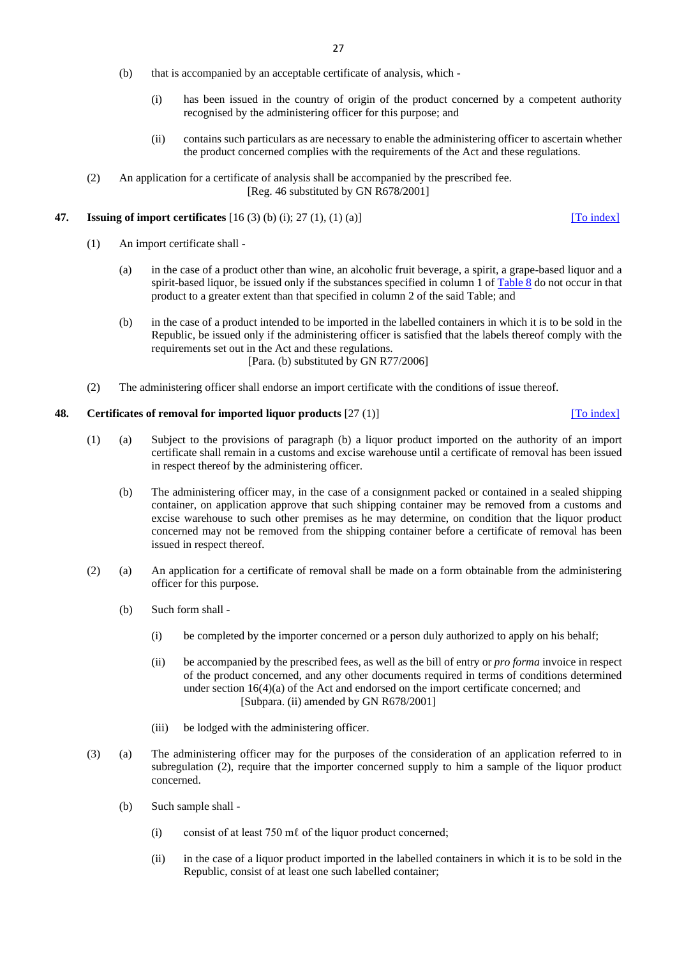- (b) that is accompanied by an acceptable certificate of analysis, which
	- (i) has been issued in the country of origin of the product concerned by a competent authority recognised by the administering officer for this purpose; and
	- (ii) contains such particulars as are necessary to enable the administering officer to ascertain whether the product concerned complies with the requirements of the Act and these regulations.
- (2) An application for a certificate of analysis shall be accompanied by the prescribed fee. [Reg. 46 substituted by GN R678/2001]

## <span id="page-26-0"></span>**47. Issuing of import certificates** [16 (3) (b) (i); 27 (1), (1) (a)] [\[To index\]](#page-1-2)

- (1) An import certificate shall
	- (a) in the case of a product other than wine, an alcoholic fruit beverage, a spirit, a grape-based liquor and a spirit-based liquor, be issued only if the substances specified in column 1 o[f Table 8](#page-63-0) do not occur in that product to a greater extent than that specified in column 2 of the said Table; and
	- (b) in the case of a product intended to be imported in the labelled containers in which it is to be sold in the Republic, be issued only if the administering officer is satisfied that the labels thereof comply with the requirements set out in the Act and these regulations. [Para. (b) substituted by GN R77/2006]
- (2) The administering officer shall endorse an import certificate with the conditions of issue thereof.

### <span id="page-26-1"></span>**48. Certificates of removal for imported liquor products** [27 (1)] [\[To index\]](#page-1-2)

- (1) (a) Subject to the provisions of paragraph (b) a liquor product imported on the authority of an import certificate shall remain in a customs and excise warehouse until a certificate of removal has been issued in respect thereof by the administering officer.
	- (b) The administering officer may, in the case of a consignment packed or contained in a sealed shipping container, on application approve that such shipping container may be removed from a customs and excise warehouse to such other premises as he may determine, on condition that the liquor product concerned may not be removed from the shipping container before a certificate of removal has been issued in respect thereof.
- (2) (a) An application for a certificate of removal shall be made on a form obtainable from the administering officer for this purpose.
	- (b) Such form shall
		- (i) be completed by the importer concerned or a person duly authorized to apply on his behalf;
		- (ii) be accompanied by the prescribed fees, as well as the bill of entry or *pro forma* invoice in respect of the product concerned, and any other documents required in terms of conditions determined under section 16(4)(a) of the Act and endorsed on the import certificate concerned; and [Subpara. (ii) amended by GN R678/2001]
		- (iii) be lodged with the administering officer.
- (3) (a) The administering officer may for the purposes of the consideration of an application referred to in subregulation (2), require that the importer concerned supply to him a sample of the liquor product concerned.
	- (b) Such sample shall
		- (i) consist of at least 750 mℓ of the liquor product concerned;
		- (ii) in the case of a liquor product imported in the labelled containers in which it is to be sold in the Republic, consist of at least one such labelled container;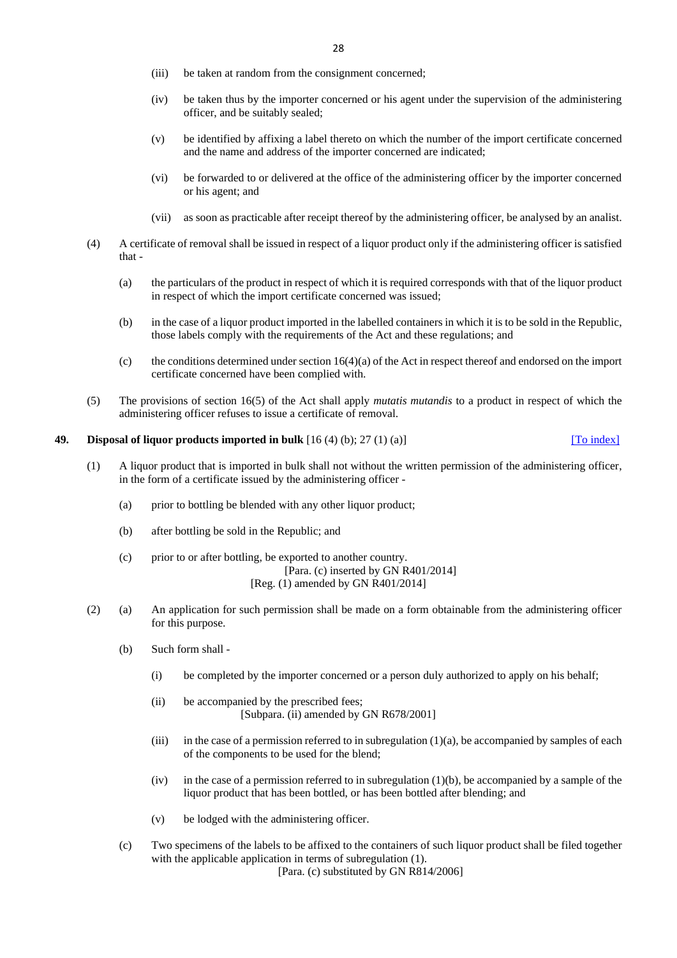- (iii) be taken at random from the consignment concerned;
- (iv) be taken thus by the importer concerned or his agent under the supervision of the administering officer, and be suitably sealed;
- (v) be identified by affixing a label thereto on which the number of the import certificate concerned and the name and address of the importer concerned are indicated;
- (vi) be forwarded to or delivered at the office of the administering officer by the importer concerned or his agent; and
- (vii) as soon as practicable after receipt thereof by the administering officer, be analysed by an analist.
- (4) A certificate of removal shall be issued in respect of a liquor product only if the administering officer is satisfied that -
	- (a) the particulars of the product in respect of which it is required corresponds with that of the liquor product in respect of which the import certificate concerned was issued;
	- (b) in the case of a liquor product imported in the labelled containers in which it is to be sold in the Republic, those labels comply with the requirements of the Act and these regulations; and
	- (c) the conditions determined under section  $16(4)(a)$  of the Act in respect thereof and endorsed on the import certificate concerned have been complied with.
- (5) The provisions of section 16(5) of the Act shall apply *mutatis mutandis* to a product in respect of which the administering officer refuses to issue a certificate of removal.

#### <span id="page-27-0"></span>**49. Disposal of liquor products imported in bulk** [16 (4) (b); 27 (1) (a)] [\[To index\]](#page-1-2)

- (1) A liquor product that is imported in bulk shall not without the written permission of the administering officer, in the form of a certificate issued by the administering officer -
	- (a) prior to bottling be blended with any other liquor product;
	- (b) after bottling be sold in the Republic; and

(c) prior to or after bottling, be exported to another country. [Para. (c) inserted by GN R401/2014] [Reg. (1) amended by GN R401/2014]

- (2) (a) An application for such permission shall be made on a form obtainable from the administering officer for this purpose.
	- (b) Such form shall
		- (i) be completed by the importer concerned or a person duly authorized to apply on his behalf;
		- (ii) be accompanied by the prescribed fees; [Subpara. (ii) amended by GN R678/2001]
		- (iii) in the case of a permission referred to in subregulation  $(1)(a)$ , be accompanied by samples of each of the components to be used for the blend;
		- $(iv)$  in the case of a permission referred to in subregulation  $(1)(b)$ , be accompanied by a sample of the liquor product that has been bottled, or has been bottled after blending; and
		- (v) be lodged with the administering officer.
	- (c) Two specimens of the labels to be affixed to the containers of such liquor product shall be filed together with the applicable application in terms of subregulation (1).

[Para. (c) substituted by GN R814/2006]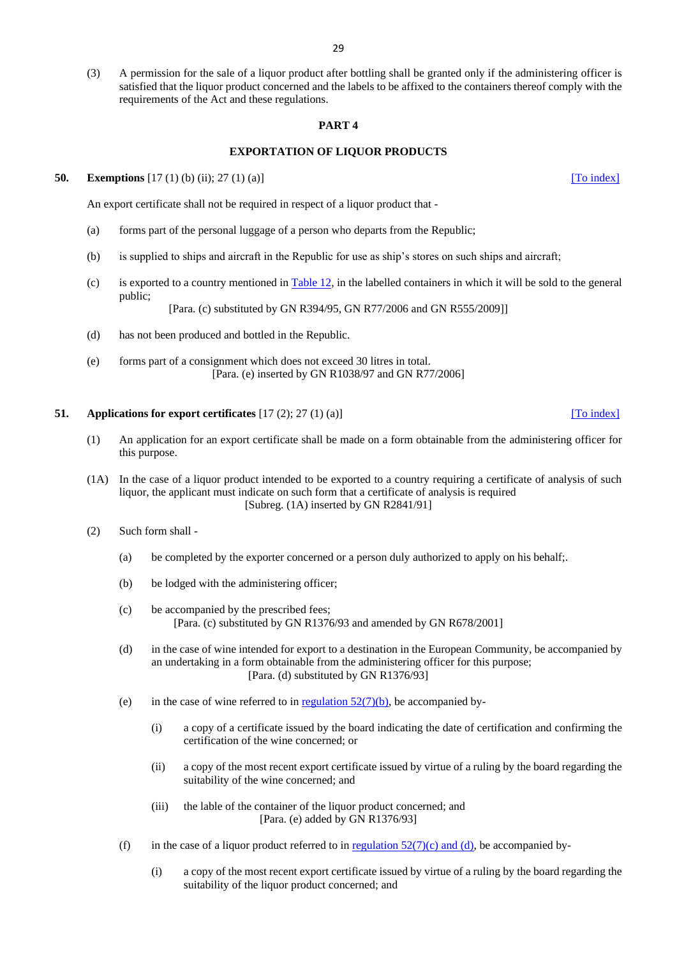(3) A permission for the sale of a liquor product after bottling shall be granted only if the administering officer is satisfied that the liquor product concerned and the labels to be affixed to the containers thereof comply with the requirements of the Act and these regulations.

#### **PART 4**

#### **EXPORTATION OF LIQUOR PRODUCTS**

#### <span id="page-28-0"></span>**50. Exemptions** [17 (1) (b) (ii); 27 (1) (a)] **[\[To index\]](#page-1-3)** [To index]

An export certificate shall not be required in respect of a liquor product that -

- (a) forms part of the personal luggage of a person who departs from the Republic;
- (b) is supplied to ships and aircraft in the Republic for use as ship's stores on such ships and aircraft;
- (c) is exported to a country mentioned in  $Table 12$ , in the labelled containers in which it will be sold to the general public;

[Para. (c) substituted by GN R394/95, GN R77/2006 and GN R555/2009]]

- (d) has not been produced and bottled in the Republic.
- (e) forms part of a consignment which does not exceed 30 litres in total. [Para. (e) inserted by GN R1038/97 and GN R77/2006]

## <span id="page-28-1"></span>**51. Applications for export certificates** [17 (2); 27 (1) (a)] [\[To index\]](#page-1-3)

- (1) An application for an export certificate shall be made on a form obtainable from the administering officer for this purpose.
- <span id="page-28-2"></span>(1A) In the case of a liquor product intended to be exported to a country requiring a certificate of analysis of such liquor, the applicant must indicate on such form that a certificate of analysis is required [Subreg. (1A) inserted by GN R2841/91]
- (2) Such form shall
	- (a) be completed by the exporter concerned or a person duly authorized to apply on his behalf;.
	- (b) be lodged with the administering officer;
	- (c) be accompanied by the prescribed fees; [Para. (c) substituted by GN R1376/93 and amended by GN R678/2001]
	- (d) in the case of wine intended for export to a destination in the European Community, be accompanied by an undertaking in a form obtainable from the administering officer for this purpose; [Para. (d) substituted by GN R1376/93]
	- (e) in the case of wine referred to in <u>regulation  $52(7)(b)$ </u>, be accompanied by-
		- (i) a copy of a certificate issued by the board indicating the date of certification and confirming the certification of the wine concerned; or
		- (ii) a copy of the most recent export certificate issued by virtue of a ruling by the board regarding the suitability of the wine concerned; and
		- (iii) the lable of the container of the liquor product concerned; and [Para. (e) added by GN R1376/93]
	- (f) in the case of a liquor product referred to in <u>regulation 52(7)(c) and (d)</u>, be accompanied by-
		- (i) a copy of the most recent export certificate issued by virtue of a ruling by the board regarding the suitability of the liquor product concerned; and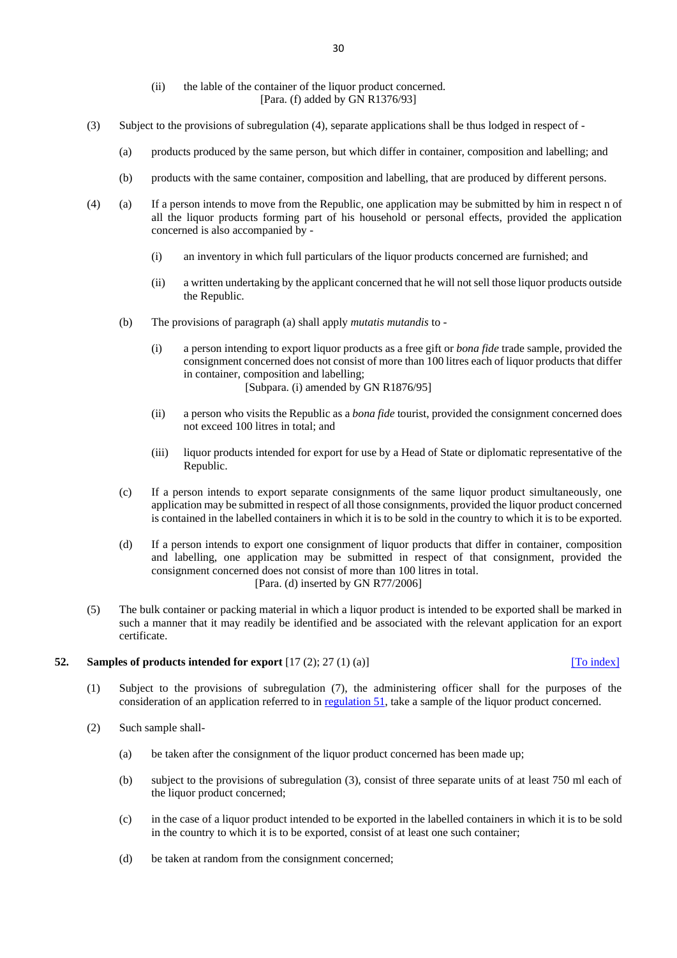#### (ii) the lable of the container of the liquor product concerned. [Para. (f) added by GN R1376/93]

- (3) Subject to the provisions of subregulation (4), separate applications shall be thus lodged in respect of
	- (a) products produced by the same person, but which differ in container, composition and labelling; and
	- (b) products with the same container, composition and labelling, that are produced by different persons.
- <span id="page-29-1"></span>(4) (a) If a person intends to move from the Republic, one application may be submitted by him in respect n of all the liquor products forming part of his household or personal effects, provided the application concerned is also accompanied by -
	- (i) an inventory in which full particulars of the liquor products concerned are furnished; and
	- (ii) a written undertaking by the applicant concerned that he will not sell those liquor products outside the Republic.
	- (b) The provisions of paragraph (a) shall apply *mutatis mutandis* to
		- (i) a person intending to export liquor products as a free gift or *bona fide* trade sample, provided the consignment concerned does not consist of more than 100 litres each of liquor products that differ in container, composition and labelling; [Subpara. (i) amended by GN R1876/95]
		- (ii) a person who visits the Republic as a *bona fide* tourist, provided the consignment concerned does not exceed 100 litres in total; and
		- (iii) liquor products intended for export for use by a Head of State or diplomatic representative of the Republic.
	- (c) If a person intends to export separate consignments of the same liquor product simultaneously, one application may be submitted in respect of all those consignments, provided the liquor product concerned is contained in the labelled containers in which it is to be sold in the country to which it is to be exported.
	- (d) If a person intends to export one consignment of liquor products that differ in container, composition and labelling, one application may be submitted in respect of that consignment, provided the consignment concerned does not consist of more than 100 litres in total. [Para. (d) inserted by GN R77/2006]
- (5) The bulk container or packing material in which a liquor product is intended to be exported shall be marked in such a manner that it may readily be identified and be associated with the relevant application for an export certificate.

### <span id="page-29-0"></span>**52. Samples of products intended for export**  $[17 (2); 27 (1) (a)]$  [\[To index\]](#page-1-3)

- (1) Subject to the provisions of subregulation (7), the administering officer shall for the purposes of the consideration of an application referred to i[n regulation 51,](#page-28-1) take a sample of the liquor product concerned.
- (2) Such sample shall-
	- (a) be taken after the consignment of the liquor product concerned has been made up;
	- (b) subject to the provisions of subregulation (3), consist of three separate units of at least 750 ml each of the liquor product concerned;
	- (c) in the case of a liquor product intended to be exported in the labelled containers in which it is to be sold in the country to which it is to be exported, consist of at least one such container;
	- (d) be taken at random from the consignment concerned;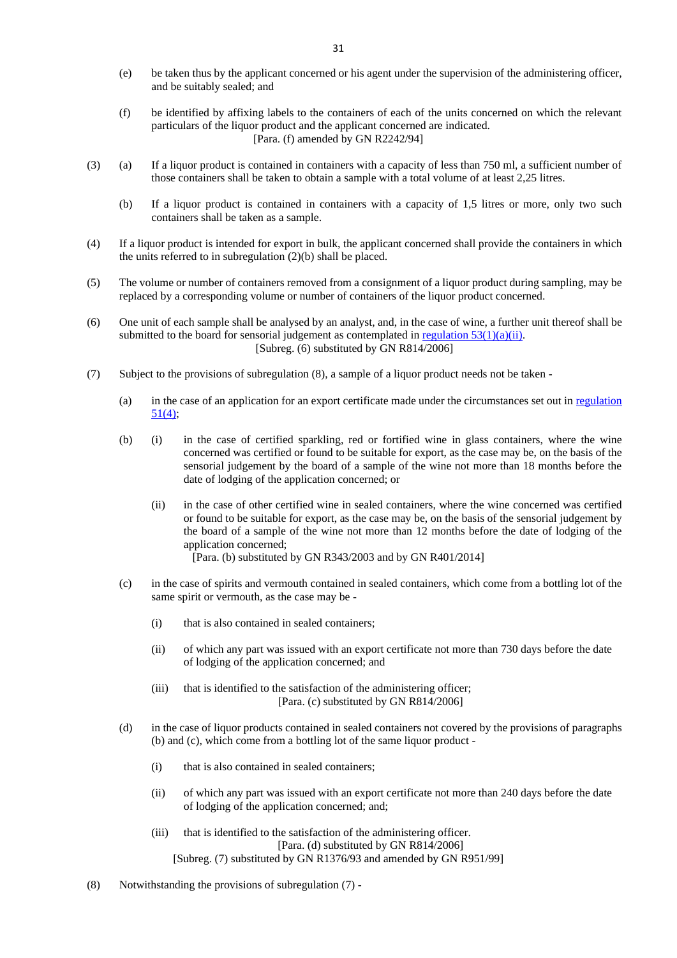- (e) be taken thus by the applicant concerned or his agent under the supervision of the administering officer, and be suitably sealed; and
- (f) be identified by affixing labels to the containers of each of the units concerned on which the relevant particulars of the liquor product and the applicant concerned are indicated. [Para. (f) amended by GN R2242/94]
- (3) (a) If a liquor product is contained in containers with a capacity of less than 750 ml, a sufficient number of those containers shall be taken to obtain a sample with a total volume of at least 2,25 litres.
	- (b) If a liquor product is contained in containers with a capacity of 1,5 litres or more, only two such containers shall be taken as a sample.
- (4) If a liquor product is intended for export in bulk, the applicant concerned shall provide the containers in which the units referred to in subregulation (2)(b) shall be placed.
- (5) The volume or number of containers removed from a consignment of a liquor product during sampling, may be replaced by a corresponding volume or number of containers of the liquor product concerned.
- <span id="page-30-2"></span>(6) One unit of each sample shall be analysed by an analyst, and, in the case of wine, a further unit thereof shall be submitted to the board for sensorial judgement as contemplated in regulation  $53(1)(a)(ii)$ . [Subreg. (6) substituted by GN R814/2006]
- <span id="page-30-1"></span><span id="page-30-0"></span>(7) Subject to the provisions of subregulation (8), a sample of a liquor product needs not be taken -
	- (a) in the case of an application for an export certificate made under the circumstances set out i[n regulation](#page-29-1)  [51\(4\);](#page-29-1)
	- (b) (i) in the case of certified sparkling, red or fortified wine in glass containers, where the wine concerned was certified or found to be suitable for export, as the case may be, on the basis of the sensorial judgement by the board of a sample of the wine not more than 18 months before the date of lodging of the application concerned; or
		- (ii) in the case of other certified wine in sealed containers, where the wine concerned was certified or found to be suitable for export, as the case may be, on the basis of the sensorial judgement by the board of a sample of the wine not more than 12 months before the date of lodging of the application concerned; [Para. (b) substituted by GN R343/2003 and by GN R401/2014]
		-
	- (c) in the case of spirits and vermouth contained in sealed containers, which come from a bottling lot of the same spirit or vermouth, as the case may be -
		- (i) that is also contained in sealed containers;
		- (ii) of which any part was issued with an export certificate not more than 730 days before the date of lodging of the application concerned; and
		- (iii) that is identified to the satisfaction of the administering officer; [Para. (c) substituted by GN R814/2006]
	- (d) in the case of liquor products contained in sealed containers not covered by the provisions of paragraphs (b) and (c), which come from a bottling lot of the same liquor product -
		- (i) that is also contained in sealed containers;
		- (ii) of which any part was issued with an export certificate not more than 240 days before the date of lodging of the application concerned; and;
		- (iii) that is identified to the satisfaction of the administering officer. [Para. (d) substituted by GN R814/2006] [Subreg. (7) substituted by GN R1376/93 and amended by GN R951/99]
- (8) Notwithstanding the provisions of subregulation (7) -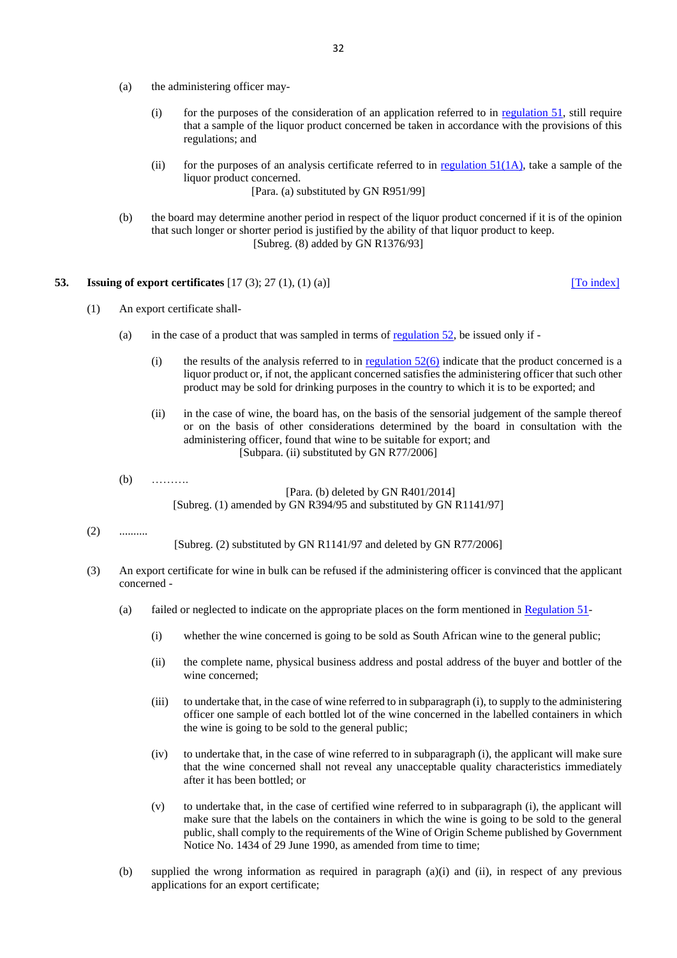- (a) the administering officer may-
	- (i) for the purposes of the consideration of an application referred to in [regulation 51,](#page-28-1) still require that a sample of the liquor product concerned be taken in accordance with the provisions of this regulations; and
	- (ii) for the purposes of an analysis certificate referred to in regulation  $51(1)$ , take a sample of the liquor product concerned.

[Para. (a) substituted by GN R951/99]

(b) the board may determine another period in respect of the liquor product concerned if it is of the opinion that such longer or shorter period is justified by the ability of that liquor product to keep. [Subreg. (8) added by GN R1376/93]

# <span id="page-31-0"></span>**53. Issuing of export certificates**  $[17 (3); 27 (1), (1) (a)]$  [\[To index\]](#page-1-3)

- <span id="page-31-1"></span>(1) An export certificate shall-
	- (a) in the case of a product that was sampled in terms of [regulation 52,](#page-29-0) be issued only if
		- (i) the results of the analysis referred to in regulation  $52(6)$  indicate that the product concerned is a liquor product or, if not, the applicant concerned satisfies the administering officer that such other product may be sold for drinking purposes in the country to which it is to be exported; and
		- (ii) in the case of wine, the board has, on the basis of the sensorial judgement of the sample thereof or on the basis of other considerations determined by the board in consultation with the administering officer, found that wine to be suitable for export; and [Subpara. (ii) substituted by GN R77/2006]
	- (b) ……….

[Para. (b) deleted by GN R401/2014] [Subreg. (1) amended by GN R394/95 and substituted by GN R1141/97]

(2) ..........

[Subreg. (2) substituted by GN R1141/97 and deleted by GN R77/2006]

- (3) An export certificate for wine in bulk can be refused if the administering officer is convinced that the applicant concerned -
	- (a) failed or neglected to indicate on the appropriate places on the form mentioned in [Regulation 51-](#page-28-1)
		- (i) whether the wine concerned is going to be sold as South African wine to the general public;
		- (ii) the complete name, physical business address and postal address of the buyer and bottler of the wine concerned;
		- (iii) to undertake that, in the case of wine referred to in subparagraph (i), to supply to the administering officer one sample of each bottled lot of the wine concerned in the labelled containers in which the wine is going to be sold to the general public;
		- (iv) to undertake that, in the case of wine referred to in subparagraph (i), the applicant will make sure that the wine concerned shall not reveal any unacceptable quality characteristics immediately after it has been bottled; or
		- (v) to undertake that, in the case of certified wine referred to in subparagraph (i), the applicant will make sure that the labels on the containers in which the wine is going to be sold to the general public, shall comply to the requirements of the Wine of Origin Scheme published by Government Notice No. 1434 of 29 June 1990, as amended from time to time;
	- (b) supplied the wrong information as required in paragraph (a)(i) and (ii), in respect of any previous applications for an export certificate;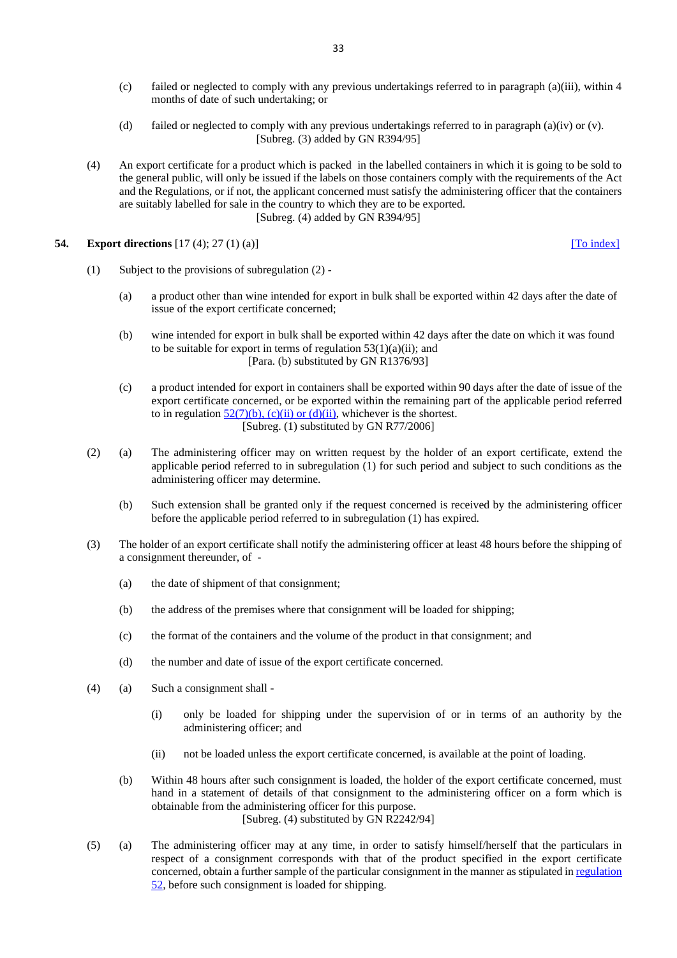- (c) failed or neglected to comply with any previous undertakings referred to in paragraph (a)(iii), within 4 months of date of such undertaking; or
- (d) failed or neglected to comply with any previous undertakings referred to in paragraph (a)(iv) or (v). [Subreg. (3) added by GN R394/95]
- (4) An export certificate for a product which is packed in the labelled containers in which it is going to be sold to the general public, will only be issued if the labels on those containers comply with the requirements of the Act and the Regulations, or if not, the applicant concerned must satisfy the administering officer that the containers are suitably labelled for sale in the country to which they are to be exported. [Subreg. (4) added by GN R394/95]

### <span id="page-32-0"></span>**54. Export directions** [17 (4); 27 (1) (a)] **[\[To index\]](#page-1-3)**

- (1) Subject to the provisions of subregulation (2)
	- (a) a product other than wine intended for export in bulk shall be exported within 42 days after the date of issue of the export certificate concerned;
	- (b) wine intended for export in bulk shall be exported within 42 days after the date on which it was found to be suitable for export in terms of regulation  $53(1)(a)(ii)$ ; and [Para. (b) substituted by GN R1376/93]
	- (c) a product intended for export in containers shall be exported within 90 days after the date of issue of the export certificate concerned, or be exported within the remaining part of the applicable period referred to in regulation  $52(7)(b)$ , (c)(ii) or (d)(ii), whichever is the shortest. [Subreg. (1) substituted by GN R77/2006]
- (2) (a) The administering officer may on written request by the holder of an export certificate, extend the applicable period referred to in subregulation (1) for such period and subject to such conditions as the administering officer may determine.
	- (b) Such extension shall be granted only if the request concerned is received by the administering officer before the applicable period referred to in subregulation (1) has expired.
- (3) The holder of an export certificate shall notify the administering officer at least 48 hours before the shipping of a consignment thereunder, of -
	- (a) the date of shipment of that consignment;
	- (b) the address of the premises where that consignment will be loaded for shipping;
	- (c) the format of the containers and the volume of the product in that consignment; and
	- (d) the number and date of issue of the export certificate concerned.
- (4) (a) Such a consignment shall
	- (i) only be loaded for shipping under the supervision of or in terms of an authority by the administering officer; and
	- (ii) not be loaded unless the export certificate concerned, is available at the point of loading.
	- (b) Within 48 hours after such consignment is loaded, the holder of the export certificate concerned, must hand in a statement of details of that consignment to the administering officer on a form which is obtainable from the administering officer for this purpose. [Subreg. (4) substituted by GN R2242/94]
- (5) (a) The administering officer may at any time, in order to satisfy himself/herself that the particulars in respect of a consignment corresponds with that of the product specified in the export certificate concerned, obtain a further sample of the particular consignment in the manner as stipulated i[n regulation](#page-29-0)  [52,](#page-29-0) before such consignment is loaded for shipping.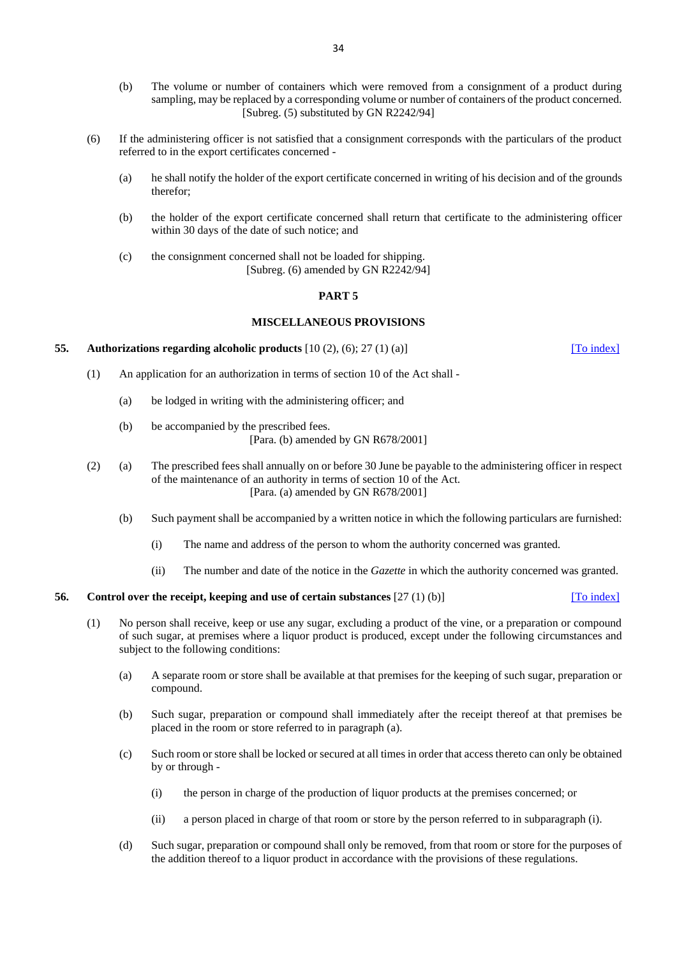- (b) The volume or number of containers which were removed from a consignment of a product during sampling, may be replaced by a corresponding volume or number of containers of the product concerned. [Subreg. (5) substituted by GN R2242/94]
- (6) If the administering officer is not satisfied that a consignment corresponds with the particulars of the product referred to in the export certificates concerned -
	- (a) he shall notify the holder of the export certificate concerned in writing of his decision and of the grounds therefor;
	- (b) the holder of the export certificate concerned shall return that certificate to the administering officer within 30 days of the date of such notice; and
	- (c) the consignment concerned shall not be loaded for shipping. [Subreg. (6) amended by GN R2242/94]

#### **PART 5**

### **MISCELLANEOUS PROVISIONS**

#### <span id="page-33-0"></span>**55. Authorizations regarding alcoholic products**  $[10 (2), (6); 27 (1) (a)]$  [\[To index\]](#page-1-4)

- (1) An application for an authorization in terms of section 10 of the Act shall
	- (a) be lodged in writing with the administering officer; and
	- (b) be accompanied by the prescribed fees. [Para. (b) amended by GN R678/2001]
- (2) (a) The prescribed fees shall annually on or before 30 June be payable to the administering officer in respect of the maintenance of an authority in terms of section 10 of the Act. [Para. (a) amended by GN R678/2001]
	- (b) Such payment shall be accompanied by a written notice in which the following particulars are furnished:
		- (i) The name and address of the person to whom the authority concerned was granted.
		- (ii) The number and date of the notice in the *Gazette* in which the authority concerned was granted.

#### <span id="page-33-2"></span><span id="page-33-1"></span>**56. Control over the receipt, keeping and use of certain substances** [27 (1) (b)] [\[To index\]](#page-1-4)

- (1) No person shall receive, keep or use any sugar, excluding a product of the vine, or a preparation or compound of such sugar, at premises where a liquor product is produced, except under the following circumstances and subject to the following conditions:
	- (a) A separate room or store shall be available at that premises for the keeping of such sugar, preparation or compound.
	- (b) Such sugar, preparation or compound shall immediately after the receipt thereof at that premises be placed in the room or store referred to in paragraph (a).
	- (c) Such room or store shall be locked or secured at all times in order that access thereto can only be obtained by or through -
		- (i) the person in charge of the production of liquor products at the premises concerned; or
		- (ii) a person placed in charge of that room or store by the person referred to in subparagraph (i).
	- (d) Such sugar, preparation or compound shall only be removed, from that room or store for the purposes of the addition thereof to a liquor product in accordance with the provisions of these regulations.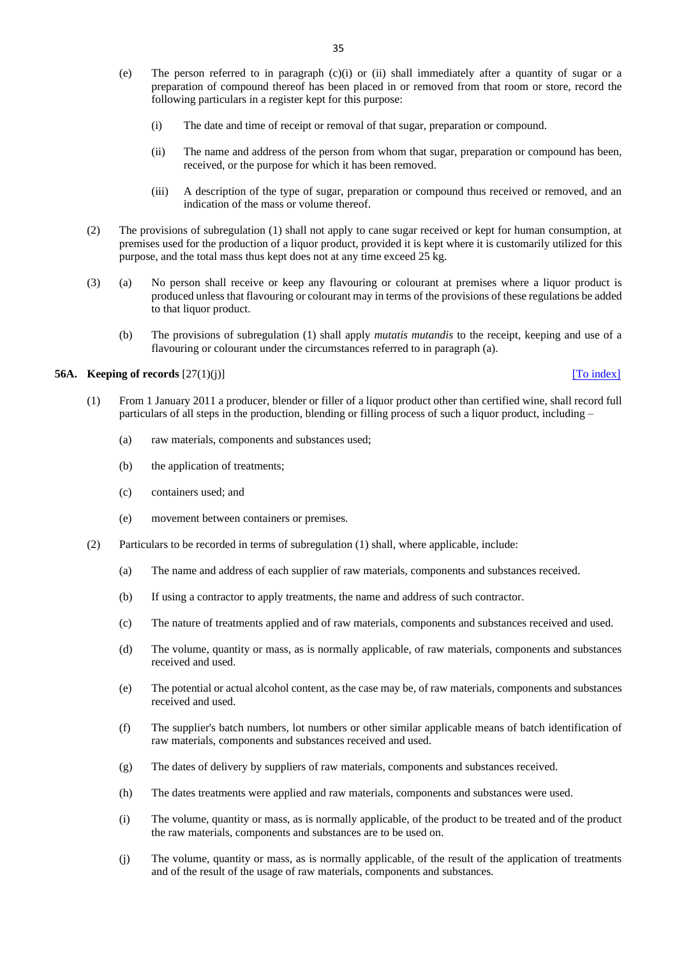- (e) The person referred to in paragraph (c)(i) or (ii) shall immediately after a quantity of sugar or a preparation of compound thereof has been placed in or removed from that room or store, record the following particulars in a register kept for this purpose:
	- (i) The date and time of receipt or removal of that sugar, preparation or compound.
	- (ii) The name and address of the person from whom that sugar, preparation or compound has been, received, or the purpose for which it has been removed.
	- (iii) A description of the type of sugar, preparation or compound thus received or removed, and an indication of the mass or volume thereof.
- (2) The provisions of subregulation (1) shall not apply to cane sugar received or kept for human consumption, at premises used for the production of a liquor product, provided it is kept where it is customarily utilized for this purpose, and the total mass thus kept does not at any time exceed 25 kg.
- <span id="page-34-1"></span>(3) (a) No person shall receive or keep any flavouring or colourant at premises where a liquor product is produced unless that flavouring or colourant may in terms of the provisions of these regulations be added to that liquor product.
	- (b) The provisions of subregulation (1) shall apply *mutatis mutandis* to the receipt, keeping and use of a flavouring or colourant under the circumstances referred to in paragraph (a).

#### <span id="page-34-0"></span>**56A. Keeping of records**  $[27(1)(i)]$  [\[To index\]](#page-1-4)

- (1) From 1 January 2011 a producer, blender or filler of a liquor product other than certified wine, shall record full particulars of all steps in the production, blending or filling process of such a liquor product, including –
	- (a) raw materials, components and substances used;
	- (b) the application of treatments;
	- (c) containers used; and
	- (e) movement between containers or premises.
- (2) Particulars to be recorded in terms of subregulation (1) shall, where applicable, include:
	- (a) The name and address of each supplier of raw materials, components and substances received.
	- (b) If using a contractor to apply treatments, the name and address of such contractor.
	- (c) The nature of treatments applied and of raw materials, components and substances received and used.
	- (d) The volume, quantity or mass, as is normally applicable, of raw materials, components and substances received and used.
	- (e) The potential or actual alcohol content, as the case may be, of raw materials, components and substances received and used.
	- (f) The supplier's batch numbers, lot numbers or other similar applicable means of batch identification of raw materials, components and substances received and used.
	- (g) The dates of delivery by suppliers of raw materials, components and substances received.
	- (h) The dates treatments were applied and raw materials, components and substances were used.
	- (i) The volume, quantity or mass, as is normally applicable, of the product to be treated and of the product the raw materials, components and substances are to be used on.
	- (j) The volume, quantity or mass, as is normally applicable, of the result of the application of treatments and of the result of the usage of raw materials, components and substances.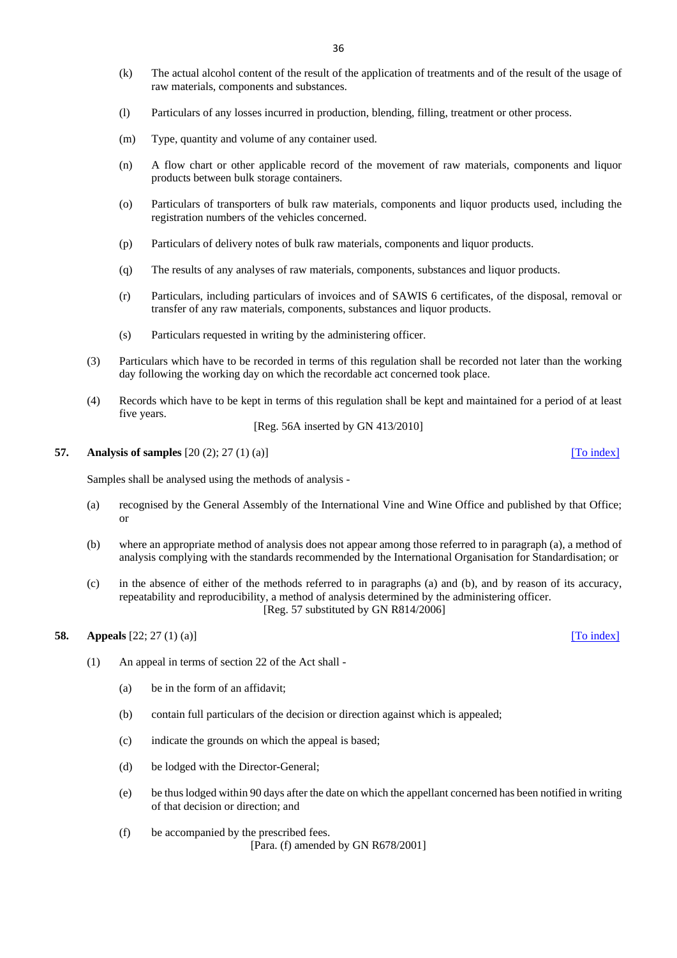- (k) The actual alcohol content of the result of the application of treatments and of the result of the usage of raw materials, components and substances.
- (l) Particulars of any losses incurred in production, blending, filling, treatment or other process.
- (m) Type, quantity and volume of any container used.
- (n) A flow chart or other applicable record of the movement of raw materials, components and liquor products between bulk storage containers.
- (o) Particulars of transporters of bulk raw materials, components and liquor products used, including the registration numbers of the vehicles concerned.
- (p) Particulars of delivery notes of bulk raw materials, components and liquor products.
- (q) The results of any analyses of raw materials, components, substances and liquor products.
- (r) Particulars, including particulars of invoices and of SAWIS 6 certificates, of the disposal, removal or transfer of any raw materials, components, substances and liquor products.
- (s) Particulars requested in writing by the administering officer.
- (3) Particulars which have to be recorded in terms of this regulation shall be recorded not later than the working day following the working day on which the recordable act concerned took place.
- (4) Records which have to be kept in terms of this regulation shall be kept and maintained for a period of at least five years.

[Reg. 56A inserted by GN 413/2010]

#### **57. Analysis of samples**  $[20 (2); 27 (1) (a)]$  [\[To index\]](#page-1-4)

Samples shall be analysed using the methods of analysis -

- (a) recognised by the General Assembly of the International Vine and Wine Office and published by that Office; or
- (b) where an appropriate method of analysis does not appear among those referred to in paragraph (a), a method of analysis complying with the standards recommended by the International Organisation for Standardisation; or
- (c) in the absence of either of the methods referred to in paragraphs (a) and (b), and by reason of its accuracy, repeatability and reproducibility, a method of analysis determined by the administering officer. [Reg. 57 substituted by GN R814/2006]

#### <span id="page-35-0"></span>**58. Appeals** [22; 27 (1) (a)] **[\[To index\]](#page-1-4) [To index]**

- (1) An appeal in terms of section 22 of the Act shall
	- (a) be in the form of an affidavit;
	- (b) contain full particulars of the decision or direction against which is appealed;
	- (c) indicate the grounds on which the appeal is based;
	- (d) be lodged with the Director-General;
	- (e) be thus lodged within 90 days after the date on which the appellant concerned has been notified in writing of that decision or direction; and
	- (f) be accompanied by the prescribed fees. [Para. (f) amended by GN R678/2001]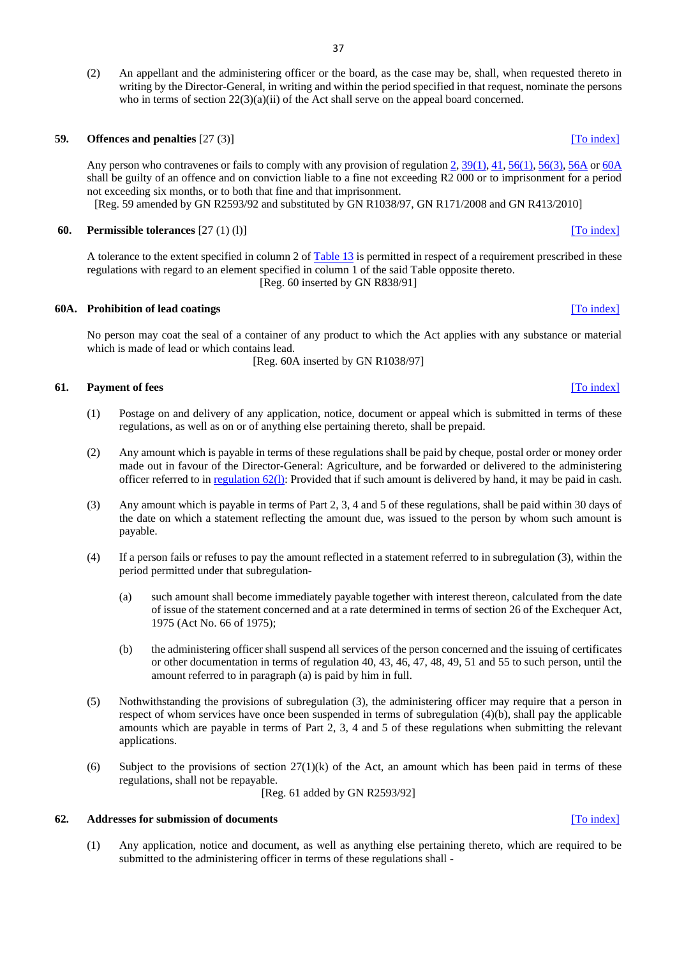(2) An appellant and the administering officer or the board, as the case may be, shall, when requested thereto in writing by the Director-General, in writing and within the period specified in that request, nominate the persons who in terms of section  $22(3)(a)(ii)$  of the Act shall serve on the appeal board concerned.

#### <span id="page-36-0"></span>**59. Offences and penalties** [27 (3)] **[\[To index\]](#page-1-4)** [To index]

Any person who contravenes or fails to comply with any provision of regulatio[n 2,](#page-3-0)  $39(1)$ ,  $41$ ,  $56(1)$ ,  $56(3)$ ,  $56A$  or  $60A$ shall be guilty of an offence and on conviction liable to a fine not exceeding R2 000 or to imprisonment for a period not exceeding six months, or to both that fine and that imprisonment.

[Reg. 59 amended by GN R2593/92 and substituted by GN R1038/97, GN R171/2008 and GN R413/2010]

#### <span id="page-36-1"></span>**60. Permissible tolerances** [27 (1) (1)] **Community COMPUTE: PERMISSION: COMPUTE: PERMISSION: COMPUTE: PERMISSION: COMPUTE: PERMISSION: COMPUTE: PERMISSION: COMPUTE: COMPUTE: COMPUTE: COMPUTE**

A tolerance to the extent specified in column 2 of [Table 13](#page-67-2) is permitted in respect of a requirement prescribed in these regulations with regard to an element specified in column 1 of the said Table opposite thereto. [Reg. 60 inserted by GN R838/91]

#### <span id="page-36-2"></span>**60A.** Prohibition of lead coatings **by the community of the control of the control of the control of the control of the control of the control of the control of the control of the control of the control of the control of**

No person may coat the seal of a container of any product to which the Act applies with any substance or material which is made of lead or which contains lead.

[Reg. 60A inserted by GN R1038/97]

#### <span id="page-36-3"></span>**61. Payment of fees** [\[To index\]](#page-1-5)

- (1) Postage on and delivery of any application, notice, document or appeal which is submitted in terms of these regulations, as well as on or of anything else pertaining thereto, shall be prepaid.
- (2) Any amount which is payable in terms of these regulations shall be paid by cheque, postal order or money order made out in favour of the Director-General: Agriculture, and be forwarded or delivered to the administering officer referred to in [regulation 62\(l\):](#page-36-4) Provided that if such amount is delivered by hand, it may be paid in cash.
- (3) Any amount which is payable in terms of Part 2, 3, 4 and 5 of these regulations, shall be paid within 30 days of the date on which a statement reflecting the amount due, was issued to the person by whom such amount is payable.
- (4) If a person fails or refuses to pay the amount reflected in a statement referred to in subregulation (3), within the period permitted under that subregulation-
	- (a) such amount shall become immediately payable together with interest thereon, calculated from the date of issue of the statement concerned and at a rate determined in terms of section 26 of the Exchequer Act, 1975 (Act No. 66 of 1975);
	- (b) the administering officer shall suspend all services of the person concerned and the issuing of certificates or other documentation in terms of regulation 40, 43, 46, 47, 48, 49, 51 and 55 to such person, until the amount referred to in paragraph (a) is paid by him in full.
- (5) Nothwithstanding the provisions of subregulation (3), the administering officer may require that a person in respect of whom services have once been suspended in terms of subregulation (4)(b), shall pay the applicable amounts which are payable in terms of Part 2, 3, 4 and 5 of these regulations when submitting the relevant applications.
- (6) Subject to the provisions of section  $27(1)(k)$  of the Act, an amount which has been paid in terms of these regulations, shall not be repayable.

[Reg. 61 added by GN R2593/92]

#### <span id="page-36-4"></span>**62. Addresses for submission of documents and the index [\[To index\]](#page-1-5)**

(1) Any application, notice and document, as well as anything else pertaining thereto, which are required to be submitted to the administering officer in terms of these regulations shall -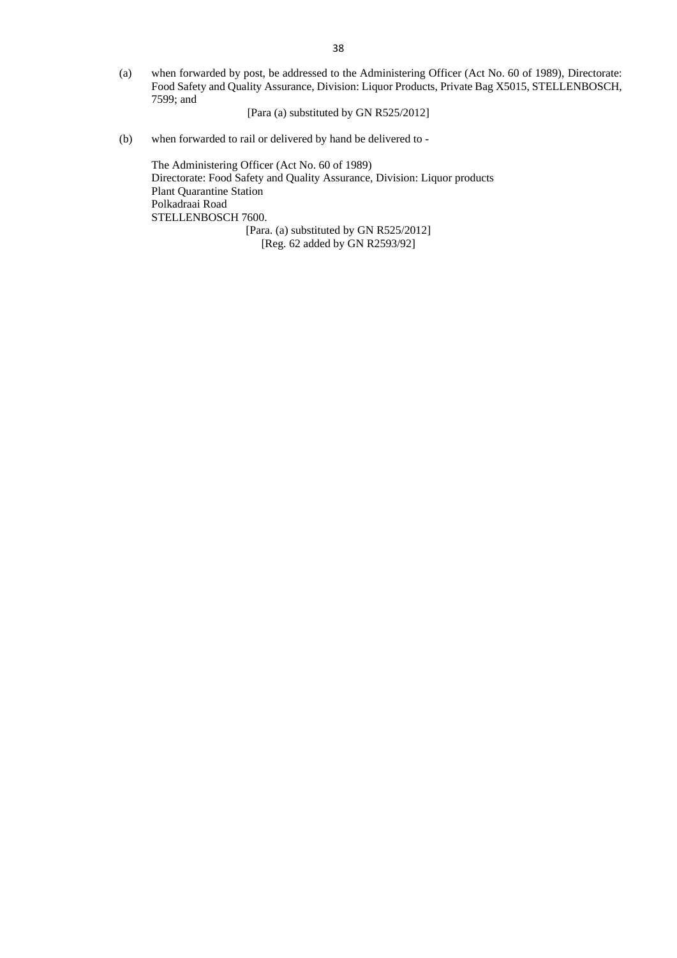(a) when forwarded by post, be addressed to the Administering Officer (Act No. 60 of 1989), Directorate: Food Safety and Quality Assurance, Division: Liquor Products, Private Bag X5015, STELLENBOSCH, 7599; and

[Para (a) substituted by GN R525/2012]

(b) when forwarded to rail or delivered by hand be delivered to -

The Administering Officer (Act No. 60 of 1989) Directorate: Food Safety and Quality Assurance, Division: Liquor products Plant Quarantine Station Polkadraai Road STELLENBOSCH 7600. [Para. (a) substituted by GN R525/2012] [Reg. 62 added by GN R2593/92]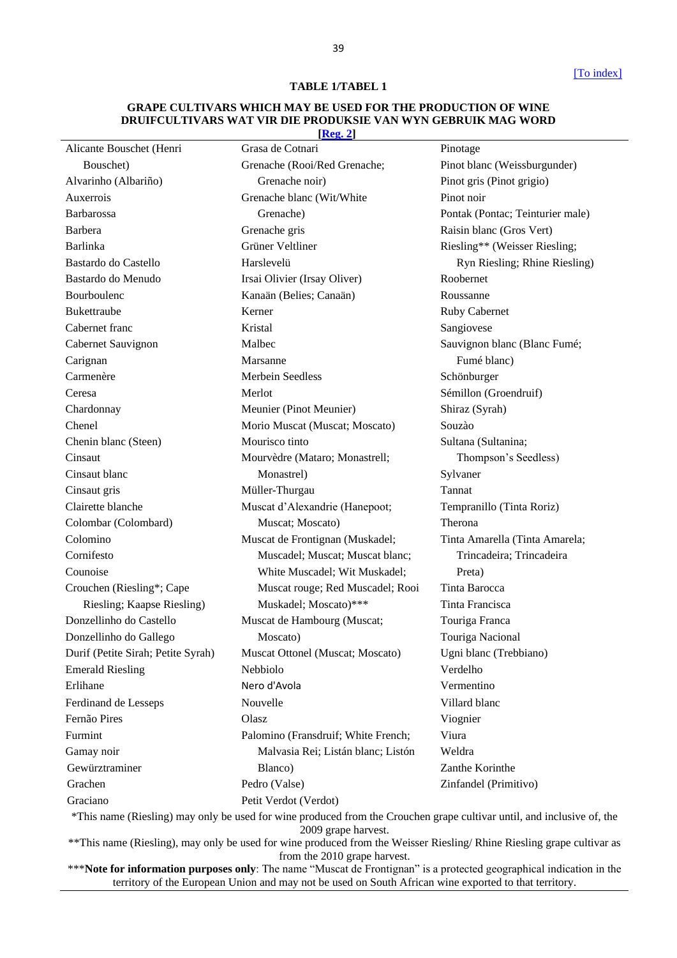#### **TABLE 1/TABEL 1**

# **GRAPE CULTIVARS WHICH MAY BE USED FOR THE PRODUCTION OF WINE DRUIFCULTIVARS WAT VIR DIE PRODUKSIE VAN WYN GEBRUIK MAG WORD [\[Reg. 2\]](#page-3-0)**

<span id="page-38-0"></span>

| Alicante Bouschet (Henri           | Grasa de Cotnari                                                                                                                              | Pinotage                         |
|------------------------------------|-----------------------------------------------------------------------------------------------------------------------------------------------|----------------------------------|
| Bouschet)                          | Grenache (Rooi/Red Grenache;                                                                                                                  | Pinot blanc (Weissburgunder)     |
| Alvarinho (Albariño)               | Grenache noir)                                                                                                                                | Pinot gris (Pinot grigio)        |
| Auxerrois                          | Grenache blanc (Wit/White                                                                                                                     | Pinot noir                       |
| Barbarossa                         | Grenache)                                                                                                                                     | Pontak (Pontac; Teinturier male) |
| Barbera                            | Grenache gris                                                                                                                                 | Raisin blanc (Gros Vert)         |
| <b>Barlinka</b>                    | Grüner Veltliner                                                                                                                              | Riesling** (Weisser Riesling;    |
| Bastardo do Castello               | Harslevelü                                                                                                                                    | Ryn Riesling; Rhine Riesling)    |
| Bastardo do Menudo                 | Irsai Olivier (Irsay Oliver)                                                                                                                  | Roobernet                        |
| Bourboulenc                        | Kanaän (Belies; Canaän)                                                                                                                       | Roussanne                        |
| <b>Bukettraube</b>                 | Kerner                                                                                                                                        | Ruby Cabernet                    |
| Cabernet franc                     | Kristal                                                                                                                                       | Sangiovese                       |
| Cabernet Sauvignon                 | Malbec                                                                                                                                        | Sauvignon blanc (Blanc Fumé;     |
| Carignan                           | Marsanne                                                                                                                                      | Fumé blanc)                      |
| Carmenère                          | Merbein Seedless                                                                                                                              | Schönburger                      |
| Ceresa                             | Merlot                                                                                                                                        | Sémillon (Groendruif)            |
| Chardonnay                         | Meunier (Pinot Meunier)                                                                                                                       | Shiraz (Syrah)                   |
| Chenel                             | Morio Muscat (Muscat; Moscato)                                                                                                                | Souzào                           |
| Chenin blanc (Steen)               | Mourisco tinto                                                                                                                                | Sultana (Sultanina;              |
| Cinsaut                            | Mourvèdre (Mataro; Monastrell;                                                                                                                | Thompson's Seedless)             |
| Cinsaut blanc                      | Monastrel)                                                                                                                                    | Sylvaner                         |
| Cinsaut gris                       | Müller-Thurgau                                                                                                                                | Tannat                           |
| Clairette blanche                  | Muscat d'Alexandrie (Hanepoot;                                                                                                                | Tempranillo (Tinta Roriz)        |
| Colombar (Colombard)               | Muscat; Moscato)                                                                                                                              | Therona                          |
| Colomino                           | Muscat de Frontignan (Muskadel;                                                                                                               | Tinta Amarella (Tinta Amarela;   |
| Cornifesto                         | Muscadel; Muscat; Muscat blanc;                                                                                                               | Trincadeira; Trincadeira         |
| Counoise                           | White Muscadel; Wit Muskadel;                                                                                                                 | Preta)                           |
| Crouchen (Riesling*; Cape          | Muscat rouge; Red Muscadel; Rooi                                                                                                              | Tinta Barocca                    |
| Riesling; Kaapse Riesling)         | Muskadel; Moscato)***                                                                                                                         | Tinta Francisca                  |
| Donzellinho do Castello            | Muscat de Hambourg (Muscat;                                                                                                                   | Touriga Franca                   |
| Donzellinho do Gallego             | Moscato)                                                                                                                                      | Touriga Nacional                 |
| Durif (Petite Sirah; Petite Syrah) | Muscat Ottonel (Muscat; Moscato)                                                                                                              | Ugni blanc (Trebbiano)           |
| <b>Emerald Riesling</b>            | Nebbiolo                                                                                                                                      | Verdelho                         |
| Erlihane                           | Nero d'Avola                                                                                                                                  | Vermentino                       |
| Ferdinand de Lesseps               | Nouvelle                                                                                                                                      | Villard blanc                    |
| Fernão Pires                       | Olasz                                                                                                                                         | Viognier                         |
| Furmint                            | Palomino (Fransdruif; White French;                                                                                                           | Viura                            |
| Gamay noir                         | Malvasia Rei; Listán blanc; Listón                                                                                                            | Weldra                           |
| Gewürztraminer                     | Blanco)                                                                                                                                       | Zanthe Korinthe                  |
| Grachen                            | Pedro (Valse)                                                                                                                                 | Zinfandel (Primitivo)            |
| Graciano                           | Petit Verdot (Verdot)                                                                                                                         |                                  |
|                                    | *This name (Riesling) may only be used for wine produced from the Crouchen grape cultivar until, and inclusive of, the<br>2009 grape harvest. |                                  |

\*\*This name (Riesling), may only be used for wine produced from the Weisser Riesling/ Rhine Riesling grape cultivar as from the 2010 grape harvest.

\*\*\***Note for information purposes only**: The name "Muscat de Frontignan" is a protected geographical indication in the territory of the European Union and may not be used on South African wine exported to that territory.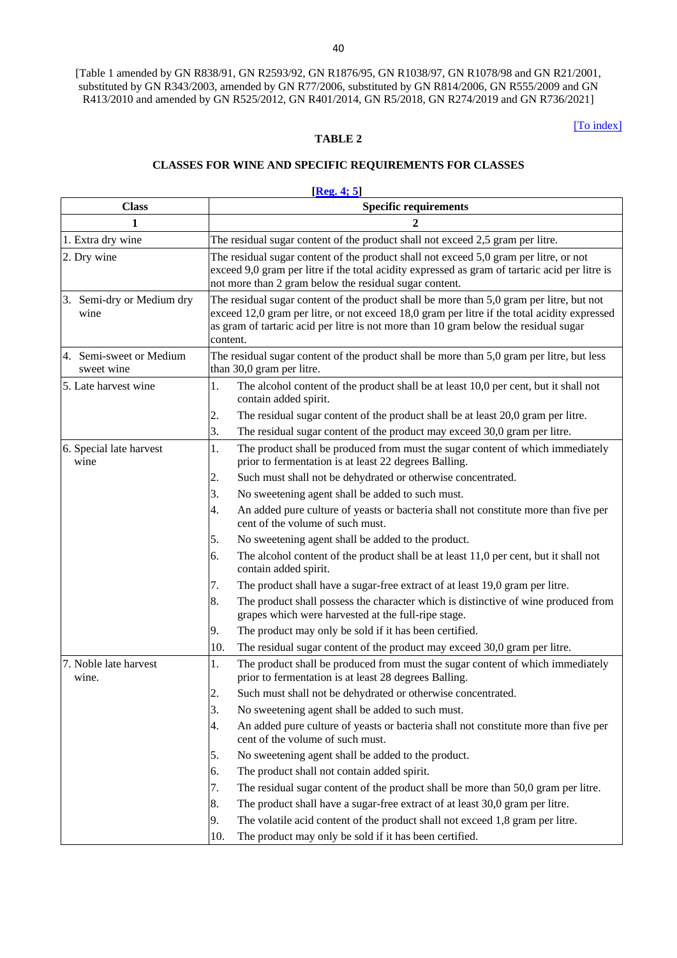<span id="page-39-0"></span>[Table 1 amended by GN R838/91, GN R2593/92, GN R1876/95, GN R1038/97, GN R1078/98 and GN R21/2001, substituted by GN R343/2003, amended by GN R77/2006, substituted by GN R814/2006, GN R555/2009 and GN R413/2010 and amended by GN R525/2012, GN R401/2014, GN R5/2018, GN R274/2019 and GN R736/2021]

[\[To index\]](#page-1-6)

# **TABLE 2**

# **CLASSES FOR WINE AND SPECIFIC REQUIREMENTS FOR CLASSES**

<span id="page-39-1"></span>

|                                       | [Reg. 4; 5]                                                                                                                                                                                                                                                                                  |  |  |
|---------------------------------------|----------------------------------------------------------------------------------------------------------------------------------------------------------------------------------------------------------------------------------------------------------------------------------------------|--|--|
| <b>Class</b>                          | <b>Specific requirements</b>                                                                                                                                                                                                                                                                 |  |  |
| 1                                     | 2                                                                                                                                                                                                                                                                                            |  |  |
| 1. Extra dry wine                     | The residual sugar content of the product shall not exceed 2,5 gram per litre.                                                                                                                                                                                                               |  |  |
| 2. Dry wine                           | The residual sugar content of the product shall not exceed 5,0 gram per litre, or not<br>exceed 9,0 gram per litre if the total acidity expressed as gram of tartaric acid per litre is<br>not more than 2 gram below the residual sugar content.                                            |  |  |
| 3. Semi-dry or Medium dry<br>wine     | The residual sugar content of the product shall be more than 5,0 gram per litre, but not<br>exceed 12,0 gram per litre, or not exceed 18,0 gram per litre if the total acidity expressed<br>as gram of tartaric acid per litre is not more than 10 gram below the residual sugar<br>content. |  |  |
| 4. Semi-sweet or Medium<br>sweet wine | The residual sugar content of the product shall be more than 5,0 gram per litre, but less<br>than 30,0 gram per litre.                                                                                                                                                                       |  |  |
| 5. Late harvest wine                  | 1.<br>The alcohol content of the product shall be at least 10,0 per cent, but it shall not<br>contain added spirit.                                                                                                                                                                          |  |  |
|                                       | 2.<br>The residual sugar content of the product shall be at least 20,0 gram per litre.                                                                                                                                                                                                       |  |  |
|                                       | The residual sugar content of the product may exceed 30,0 gram per litre.<br>3.                                                                                                                                                                                                              |  |  |
| 6. Special late harvest<br>wine       | The product shall be produced from must the sugar content of which immediately<br>1.<br>prior to fermentation is at least 22 degrees Balling.                                                                                                                                                |  |  |
|                                       | Such must shall not be dehydrated or otherwise concentrated.<br>2.                                                                                                                                                                                                                           |  |  |
|                                       | 3.<br>No sweetening agent shall be added to such must.                                                                                                                                                                                                                                       |  |  |
|                                       | An added pure culture of yeasts or bacteria shall not constitute more than five per<br>4.<br>cent of the volume of such must.                                                                                                                                                                |  |  |
|                                       | 5.<br>No sweetening agent shall be added to the product.                                                                                                                                                                                                                                     |  |  |
|                                       | The alcohol content of the product shall be at least 11,0 per cent, but it shall not<br>6.<br>contain added spirit.                                                                                                                                                                          |  |  |
|                                       | The product shall have a sugar-free extract of at least 19,0 gram per litre.<br>7.                                                                                                                                                                                                           |  |  |
|                                       | The product shall possess the character which is distinctive of wine produced from<br>8.<br>grapes which were harvested at the full-ripe stage.                                                                                                                                              |  |  |
|                                       | The product may only be sold if it has been certified.<br>9.                                                                                                                                                                                                                                 |  |  |
|                                       | The residual sugar content of the product may exceed 30,0 gram per litre.<br>10.                                                                                                                                                                                                             |  |  |
| 7. Noble late harvest<br>wine.        | 1.<br>The product shall be produced from must the sugar content of which immediately<br>prior to fermentation is at least 28 degrees Balling.                                                                                                                                                |  |  |
|                                       | Such must shall not be dehydrated or otherwise concentrated.<br>2.                                                                                                                                                                                                                           |  |  |
|                                       | 3.<br>No sweetening agent shall be added to such must.                                                                                                                                                                                                                                       |  |  |
|                                       | 4.<br>An added pure culture of yeasts or bacteria shall not constitute more than five per<br>cent of the volume of such must.                                                                                                                                                                |  |  |
|                                       | 5.<br>No sweetening agent shall be added to the product.                                                                                                                                                                                                                                     |  |  |
|                                       | 6.<br>The product shall not contain added spirit.                                                                                                                                                                                                                                            |  |  |
|                                       | 7.<br>The residual sugar content of the product shall be more than 50,0 gram per litre.                                                                                                                                                                                                      |  |  |
|                                       | The product shall have a sugar-free extract of at least 30,0 gram per litre.<br>8.                                                                                                                                                                                                           |  |  |
|                                       | 9.<br>The volatile acid content of the product shall not exceed 1,8 gram per litre.                                                                                                                                                                                                          |  |  |
|                                       | The product may only be sold if it has been certified.<br>10.                                                                                                                                                                                                                                |  |  |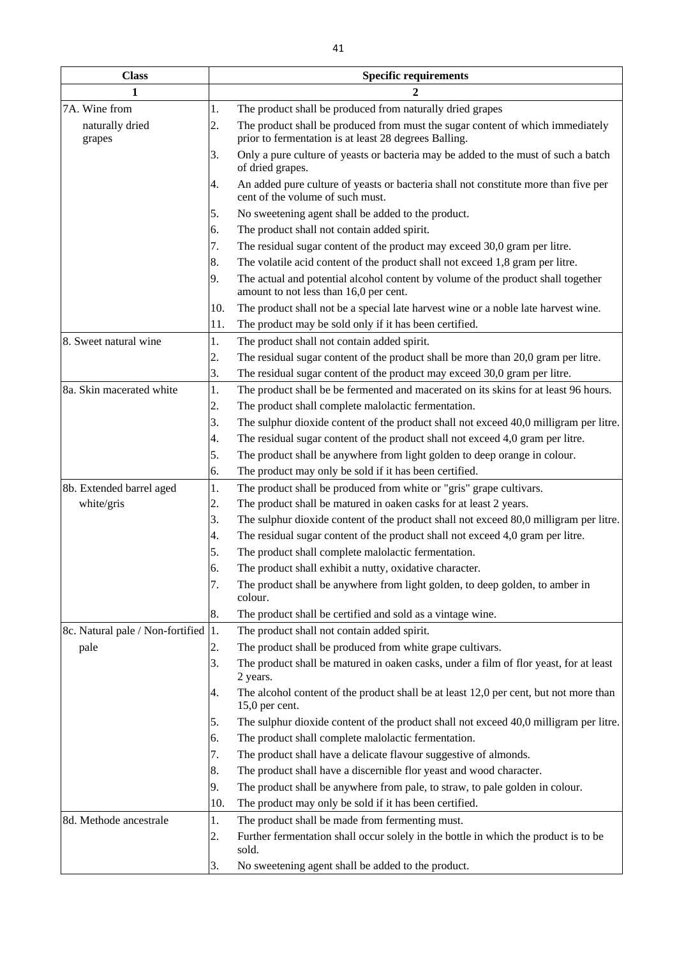<span id="page-40-3"></span><span id="page-40-2"></span><span id="page-40-1"></span><span id="page-40-0"></span>

| <b>Class</b>                     |     | <b>Specific requirements</b>                                                                                                            |  |  |  |
|----------------------------------|-----|-----------------------------------------------------------------------------------------------------------------------------------------|--|--|--|
| 1                                |     |                                                                                                                                         |  |  |  |
| 7A. Wine from                    | 1.  | The product shall be produced from naturally dried grapes                                                                               |  |  |  |
| naturally dried<br>grapes        |     | The product shall be produced from must the sugar content of which immediately<br>prior to fermentation is at least 28 degrees Balling. |  |  |  |
|                                  | 3.  | Only a pure culture of yeasts or bacteria may be added to the must of such a batch<br>of dried grapes.                                  |  |  |  |
|                                  | 4.  | An added pure culture of yeasts or bacteria shall not constitute more than five per<br>cent of the volume of such must.                 |  |  |  |
|                                  | 5.  | No sweetening agent shall be added to the product.                                                                                      |  |  |  |
|                                  | 6.  | The product shall not contain added spirit.                                                                                             |  |  |  |
|                                  | 7.  | The residual sugar content of the product may exceed 30,0 gram per litre.                                                               |  |  |  |
|                                  | 8.  | The volatile acid content of the product shall not exceed 1,8 gram per litre.                                                           |  |  |  |
|                                  | 9.  | The actual and potential alcohol content by volume of the product shall together<br>amount to not less than 16,0 per cent.              |  |  |  |
|                                  | 10. | The product shall not be a special late harvest wine or a noble late harvest wine.                                                      |  |  |  |
|                                  | 11. | The product may be sold only if it has been certified.                                                                                  |  |  |  |
| 8. Sweet natural wine            | 1.  | The product shall not contain added spirit.                                                                                             |  |  |  |
|                                  | 2.  | The residual sugar content of the product shall be more than 20,0 gram per litre.                                                       |  |  |  |
|                                  | 3.  | The residual sugar content of the product may exceed 30,0 gram per litre.                                                               |  |  |  |
| 8a. Skin macerated white         | 1.  | The product shall be be fermented and macerated on its skins for at least 96 hours.                                                     |  |  |  |
|                                  | 2.  | The product shall complete malolactic fermentation.                                                                                     |  |  |  |
|                                  | 3.  | The sulphur dioxide content of the product shall not exceed 40,0 milligram per litre.                                                   |  |  |  |
|                                  | 4.  | The residual sugar content of the product shall not exceed 4,0 gram per litre.                                                          |  |  |  |
|                                  | 5.  | The product shall be anywhere from light golden to deep orange in colour.                                                               |  |  |  |
|                                  | 6.  | The product may only be sold if it has been certified.                                                                                  |  |  |  |
| 8b. Extended barrel aged         | 1.  | The product shall be produced from white or "gris" grape cultivars.                                                                     |  |  |  |
| white/gris                       | 2.  | The product shall be matured in oaken casks for at least 2 years.                                                                       |  |  |  |
|                                  | 3.  | The sulphur dioxide content of the product shall not exceed 80,0 milligram per litre.                                                   |  |  |  |
|                                  | 4.  | The residual sugar content of the product shall not exceed 4,0 gram per litre.                                                          |  |  |  |
|                                  | 5.  | The product shall complete malolactic fermentation.                                                                                     |  |  |  |
|                                  | 6.  | The product shall exhibit a nutty, oxidative character.                                                                                 |  |  |  |
|                                  | 7.  | The product shall be anywhere from light golden, to deep golden, to amber in<br>colour.                                                 |  |  |  |
|                                  | 8.  | The product shall be certified and sold as a vintage wine.                                                                              |  |  |  |
| 8c. Natural pale / Non-fortified | 1.  | The product shall not contain added spirit.                                                                                             |  |  |  |
| pale                             | 2.  | The product shall be produced from white grape cultivars.                                                                               |  |  |  |
|                                  | 3.  | The product shall be matured in oaken casks, under a film of flor yeast, for at least<br>2 years.                                       |  |  |  |
|                                  | 4.  | The alcohol content of the product shall be at least 12,0 per cent, but not more than<br>15,0 per cent.                                 |  |  |  |
|                                  | 5.  | The sulphur dioxide content of the product shall not exceed 40,0 milligram per litre.                                                   |  |  |  |
|                                  | 6.  | The product shall complete malolactic fermentation.                                                                                     |  |  |  |
|                                  | 7.  | The product shall have a delicate flavour suggestive of almonds.                                                                        |  |  |  |
|                                  | 8.  | The product shall have a discernible flor yeast and wood character.                                                                     |  |  |  |
|                                  | 9.  | The product shall be anywhere from pale, to straw, to pale golden in colour.                                                            |  |  |  |
|                                  | 10. | The product may only be sold if it has been certified.                                                                                  |  |  |  |
| 8d. Methode ancestrale           | 1.  | The product shall be made from fermenting must.                                                                                         |  |  |  |
|                                  | 2.  | Further fermentation shall occur solely in the bottle in which the product is to be<br>sold.                                            |  |  |  |
|                                  | 3.  | No sweetening agent shall be added to the product.                                                                                      |  |  |  |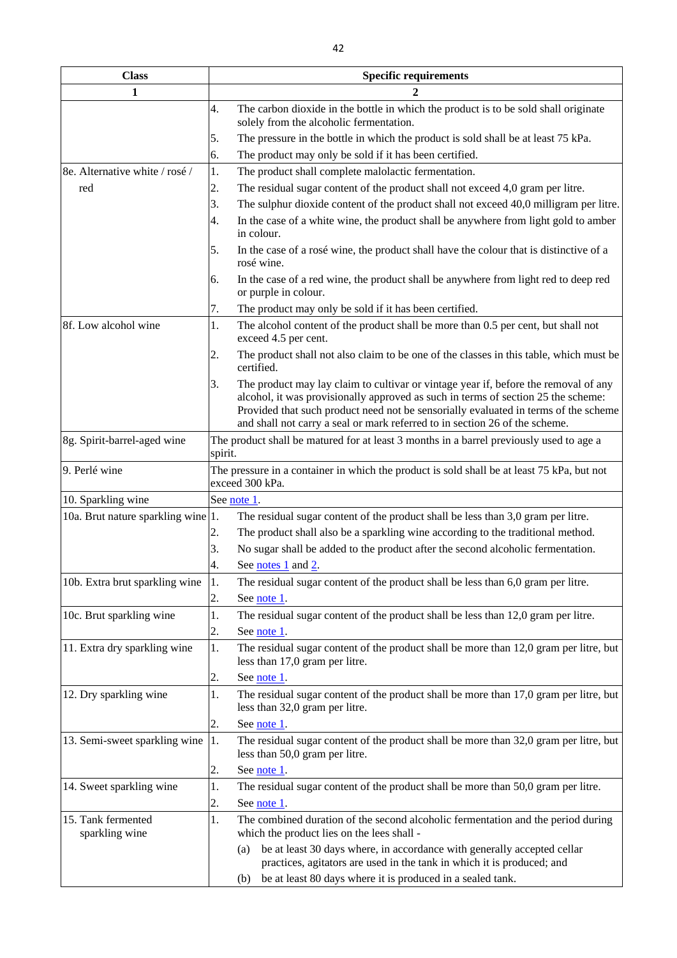| <b>Class</b>                         | <b>Specific requirements</b>                                                                                                                                                                                                                                                                                                                         |
|--------------------------------------|------------------------------------------------------------------------------------------------------------------------------------------------------------------------------------------------------------------------------------------------------------------------------------------------------------------------------------------------------|
| 1                                    |                                                                                                                                                                                                                                                                                                                                                      |
|                                      | The carbon dioxide in the bottle in which the product is to be sold shall originate<br>4.<br>solely from the alcoholic fermentation.                                                                                                                                                                                                                 |
|                                      | The pressure in the bottle in which the product is sold shall be at least 75 kPa.<br>5.                                                                                                                                                                                                                                                              |
|                                      | The product may only be sold if it has been certified.<br>6.                                                                                                                                                                                                                                                                                         |
| 8e. Alternative white / rosé /       | 1.<br>The product shall complete malolactic fermentation.                                                                                                                                                                                                                                                                                            |
| red                                  | 2.<br>The residual sugar content of the product shall not exceed 4,0 gram per litre.                                                                                                                                                                                                                                                                 |
|                                      | The sulphur dioxide content of the product shall not exceed 40,0 milligram per litre.<br>3.                                                                                                                                                                                                                                                          |
|                                      | In the case of a white wine, the product shall be anywhere from light gold to amber<br>4.<br>in colour.                                                                                                                                                                                                                                              |
|                                      | 5.<br>In the case of a rosé wine, the product shall have the colour that is distinctive of a<br>rosé wine.                                                                                                                                                                                                                                           |
|                                      | In the case of a red wine, the product shall be anywhere from light red to deep red<br>6.<br>or purple in colour.                                                                                                                                                                                                                                    |
|                                      | The product may only be sold if it has been certified.<br>7.                                                                                                                                                                                                                                                                                         |
| 8f. Low alcohol wine                 | The alcohol content of the product shall be more than 0.5 per cent, but shall not<br>1.<br>exceed 4.5 per cent.                                                                                                                                                                                                                                      |
|                                      | 2.<br>The product shall not also claim to be one of the classes in this table, which must be<br>certified.                                                                                                                                                                                                                                           |
|                                      | The product may lay claim to cultivar or vintage year if, before the removal of any<br>3.<br>alcohol, it was provisionally approved as such in terms of section 25 the scheme:<br>Provided that such product need not be sensorially evaluated in terms of the scheme<br>and shall not carry a seal or mark referred to in section 26 of the scheme. |
| 8g. Spirit-barrel-aged wine          | The product shall be matured for at least 3 months in a barrel previously used to age a<br>spirit.                                                                                                                                                                                                                                                   |
| 9. Perlé wine                        | The pressure in a container in which the product is sold shall be at least 75 kPa, but not<br>exceed 300 kPa.                                                                                                                                                                                                                                        |
| 10. Sparkling wine                   | See note 1.                                                                                                                                                                                                                                                                                                                                          |
| 10a. Brut nature sparkling wine 1.   | The residual sugar content of the product shall be less than 3,0 gram per litre.                                                                                                                                                                                                                                                                     |
|                                      | The product shall also be a sparkling wine according to the traditional method.<br>2.                                                                                                                                                                                                                                                                |
|                                      | 3.<br>No sugar shall be added to the product after the second alcoholic fermentation.                                                                                                                                                                                                                                                                |
|                                      | See <u>notes 1</u> and 2.<br>4.                                                                                                                                                                                                                                                                                                                      |
| 10b. Extra brut sparkling wine       | The residual sugar content of the product shall be less than 6,0 gram per litre.<br>2.<br>See note 1.                                                                                                                                                                                                                                                |
| 10c. Brut sparkling wine             | The residual sugar content of the product shall be less than 12,0 gram per litre.<br>1.                                                                                                                                                                                                                                                              |
|                                      | See note 1.<br>2.                                                                                                                                                                                                                                                                                                                                    |
| 11. Extra dry sparkling wine         | The residual sugar content of the product shall be more than 12,0 gram per litre, but<br>1.<br>less than 17,0 gram per litre.                                                                                                                                                                                                                        |
|                                      | See note 1.<br>2.                                                                                                                                                                                                                                                                                                                                    |
| 12. Dry sparkling wine               | The residual sugar content of the product shall be more than 17,0 gram per litre, but<br>1.<br>less than 32,0 gram per litre.                                                                                                                                                                                                                        |
|                                      | See note 1.<br>2.                                                                                                                                                                                                                                                                                                                                    |
| 13. Semi-sweet sparkling wine        | The residual sugar content of the product shall be more than 32,0 gram per litre, but<br>1.<br>less than 50,0 gram per litre.                                                                                                                                                                                                                        |
|                                      | See note 1.<br>2.                                                                                                                                                                                                                                                                                                                                    |
| 14. Sweet sparkling wine             | The residual sugar content of the product shall be more than 50,0 gram per litre.<br>1.                                                                                                                                                                                                                                                              |
|                                      | 2.<br>See <u>note 1</u> .                                                                                                                                                                                                                                                                                                                            |
| 15. Tank fermented<br>sparkling wine | The combined duration of the second alcoholic fermentation and the period during<br>1.<br>which the product lies on the lees shall -                                                                                                                                                                                                                 |
|                                      | (a) be at least 30 days where, in accordance with generally accepted cellar                                                                                                                                                                                                                                                                          |

practices, agitators are used in the tank in which it is produced; and

<span id="page-41-3"></span><span id="page-41-2"></span><span id="page-41-1"></span><span id="page-41-0"></span>(b) be at least 80 days where it is produced in a sealed tank.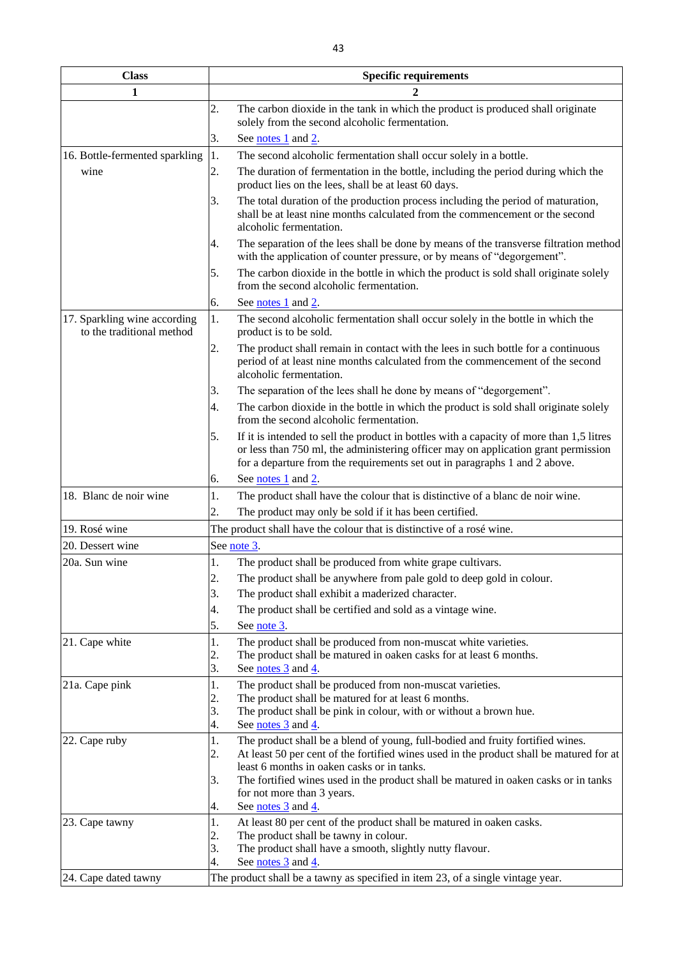<span id="page-42-1"></span><span id="page-42-0"></span>

| <b>Class</b>                                              | <b>Specific requirements</b>                                                                                                                                                                                                                                       |  |  |  |
|-----------------------------------------------------------|--------------------------------------------------------------------------------------------------------------------------------------------------------------------------------------------------------------------------------------------------------------------|--|--|--|
| 1                                                         |                                                                                                                                                                                                                                                                    |  |  |  |
|                                                           | 2.<br>The carbon dioxide in the tank in which the product is produced shall originate<br>solely from the second alcoholic fermentation.                                                                                                                            |  |  |  |
|                                                           | See <u>notes 1</u> and 2.<br>3.                                                                                                                                                                                                                                    |  |  |  |
| 16. Bottle-fermented sparkling                            | The second alcoholic fermentation shall occur solely in a bottle.<br>1.                                                                                                                                                                                            |  |  |  |
| wine                                                      | The duration of fermentation in the bottle, including the period during which the<br>2.<br>product lies on the lees, shall be at least 60 days.                                                                                                                    |  |  |  |
|                                                           | The total duration of the production process including the period of maturation,<br>3.<br>shall be at least nine months calculated from the commencement or the second<br>alcoholic fermentation.                                                                  |  |  |  |
|                                                           | 4.<br>The separation of the lees shall be done by means of the transverse filtration method<br>with the application of counter pressure, or by means of "degorgement".                                                                                             |  |  |  |
|                                                           | 5.<br>The carbon dioxide in the bottle in which the product is sold shall originate solely<br>from the second alcoholic fermentation.                                                                                                                              |  |  |  |
|                                                           | 6.<br>See <u>notes 1</u> and $\overline{2}$ .                                                                                                                                                                                                                      |  |  |  |
| 17. Sparkling wine according<br>to the traditional method | $\overline{1}$ .<br>The second alcoholic fermentation shall occur solely in the bottle in which the<br>product is to be sold.                                                                                                                                      |  |  |  |
|                                                           | 2.<br>The product shall remain in contact with the lees in such bottle for a continuous<br>period of at least nine months calculated from the commencement of the second<br>alcoholic fermentation.                                                                |  |  |  |
|                                                           | The separation of the lees shall he done by means of "degorgement".<br>3.                                                                                                                                                                                          |  |  |  |
|                                                           | $\overline{4}$ .<br>The carbon dioxide in the bottle in which the product is sold shall originate solely<br>from the second alcoholic fermentation.                                                                                                                |  |  |  |
|                                                           | 5.<br>If it is intended to sell the product in bottles with a capacity of more than 1,5 litres<br>or less than 750 ml, the administering officer may on application grant permission<br>for a departure from the requirements set out in paragraphs 1 and 2 above. |  |  |  |
|                                                           | See <u>notes 1</u> and 2.<br>6.                                                                                                                                                                                                                                    |  |  |  |
| 18. Blanc de noir wine                                    | The product shall have the colour that is distinctive of a blanc de noir wine.<br>1.                                                                                                                                                                               |  |  |  |
|                                                           | 2.<br>The product may only be sold if it has been certified.                                                                                                                                                                                                       |  |  |  |
| 19. Rosé wine                                             | The product shall have the colour that is distinctive of a rosé wine.                                                                                                                                                                                              |  |  |  |
| 20. Dessert wine                                          | See note 3.                                                                                                                                                                                                                                                        |  |  |  |
| 20a. Sun wine                                             | 1.<br>The product shall be produced from white grape cultivars.                                                                                                                                                                                                    |  |  |  |
|                                                           | 2.<br>The product shall be anywhere from pale gold to deep gold in colour.                                                                                                                                                                                         |  |  |  |
|                                                           | 3.<br>The product shall exhibit a maderized character.                                                                                                                                                                                                             |  |  |  |
|                                                           | The product shall be certified and sold as a vintage wine.<br>4.                                                                                                                                                                                                   |  |  |  |
|                                                           | 5.<br>See note 3.                                                                                                                                                                                                                                                  |  |  |  |
| 21. Cape white                                            | 1.<br>The product shall be produced from non-muscat white varieties.                                                                                                                                                                                               |  |  |  |
|                                                           | 2.<br>The product shall be matured in oaken casks for at least 6 months.<br>3.<br>See <u>notes 3</u> and 4.                                                                                                                                                        |  |  |  |
| 21a. Cape pink                                            | 1.<br>The product shall be produced from non-muscat varieties.                                                                                                                                                                                                     |  |  |  |
|                                                           | The product shall be matured for at least 6 months.<br>2.                                                                                                                                                                                                          |  |  |  |
|                                                           | 3.<br>The product shall be pink in colour, with or without a brown hue.                                                                                                                                                                                            |  |  |  |
|                                                           | 4.<br>See <u>notes 3</u> and 4.                                                                                                                                                                                                                                    |  |  |  |
| 22. Cape ruby                                             | 1.<br>The product shall be a blend of young, full-bodied and fruity fortified wines.                                                                                                                                                                               |  |  |  |
|                                                           | 2.<br>At least 50 per cent of the fortified wines used in the product shall be matured for at                                                                                                                                                                      |  |  |  |
|                                                           | least 6 months in oaken casks or in tanks.<br>The fortified wines used in the product shall be matured in oaken casks or in tanks<br>3.                                                                                                                            |  |  |  |
|                                                           | for not more than 3 years.                                                                                                                                                                                                                                         |  |  |  |
|                                                           | See <u>notes 3</u> and 4.<br>4.                                                                                                                                                                                                                                    |  |  |  |
| 23. Cape tawny                                            | 1.<br>At least 80 per cent of the product shall be matured in oaken casks.                                                                                                                                                                                         |  |  |  |
|                                                           | 2.<br>The product shall be tawny in colour.                                                                                                                                                                                                                        |  |  |  |
|                                                           | 3.<br>The product shall have a smooth, slightly nutty flavour.<br>See <u>notes 3</u> and 4.                                                                                                                                                                        |  |  |  |
| 24. Cape dated tawny                                      | 4.<br>The product shall be a tawny as specified in item 23, of a single vintage year.                                                                                                                                                                              |  |  |  |
|                                                           |                                                                                                                                                                                                                                                                    |  |  |  |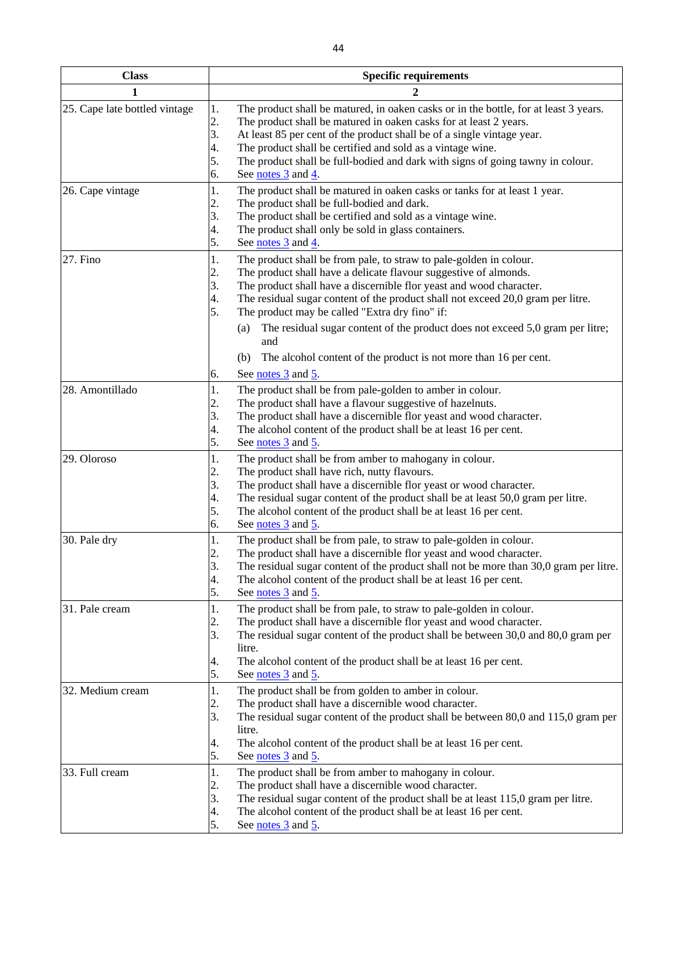<span id="page-43-0"></span>

| <b>Class</b>                  | <b>Specific requirements</b>                                                                                                                                                                                                                                                                                                                                                                                                                                                                                                                                                                  |  |  |  |
|-------------------------------|-----------------------------------------------------------------------------------------------------------------------------------------------------------------------------------------------------------------------------------------------------------------------------------------------------------------------------------------------------------------------------------------------------------------------------------------------------------------------------------------------------------------------------------------------------------------------------------------------|--|--|--|
| 1                             | $\mathbf{2}$                                                                                                                                                                                                                                                                                                                                                                                                                                                                                                                                                                                  |  |  |  |
| 25. Cape late bottled vintage | 1.<br>The product shall be matured, in oaken casks or in the bottle, for at least 3 years.<br>The product shall be matured in oaken casks for at least 2 years.<br>2.<br>3.<br>At least 85 per cent of the product shall be of a single vintage year.<br>The product shall be certified and sold as a vintage wine.<br>4.<br>5.<br>The product shall be full-bodied and dark with signs of going tawny in colour.<br>See <u>notes 3</u> and 4.<br>6.                                                                                                                                          |  |  |  |
| 26. Cape vintage              | 1.<br>The product shall be matured in oaken casks or tanks for at least 1 year.<br>2.<br>The product shall be full-bodied and dark.<br>3.<br>The product shall be certified and sold as a vintage wine.<br>The product shall only be sold in glass containers.<br>4.<br>5.<br>See <u>notes 3</u> and 4.                                                                                                                                                                                                                                                                                       |  |  |  |
| 27. Fino                      | 1.<br>The product shall be from pale, to straw to pale-golden in colour.<br>The product shall have a delicate flavour suggestive of almonds.<br>2.<br>3.<br>The product shall have a discernible flor yeast and wood character.<br>4.<br>The residual sugar content of the product shall not exceed 20,0 gram per litre.<br>5.<br>The product may be called "Extra dry fino" if:<br>The residual sugar content of the product does not exceed 5,0 gram per litre;<br>(a)<br>and<br>The alcohol content of the product is not more than 16 per cent.<br>(b)<br>See <u>notes 3</u> and 5.<br>6. |  |  |  |
| 28. Amontillado               | 1.<br>The product shall be from pale-golden to amber in colour.<br>2.<br>The product shall have a flavour suggestive of hazelnuts.<br>The product shall have a discernible flor yeast and wood character.<br>3.<br>The alcohol content of the product shall be at least 16 per cent.<br>4.<br>5.<br>See notes 3 and 5.                                                                                                                                                                                                                                                                        |  |  |  |
| 29. Oloroso                   | 1.<br>The product shall be from amber to mahogany in colour.<br>2.<br>The product shall have rich, nutty flavours.<br>3.<br>The product shall have a discernible flor yeast or wood character.<br>The residual sugar content of the product shall be at least 50,0 gram per litre.<br>4.<br>5.<br>The alcohol content of the product shall be at least 16 per cent.<br>6.<br>See <u>notes 3</u> and 5.                                                                                                                                                                                        |  |  |  |
| 30. Pale dry                  | 1.<br>The product shall be from pale, to straw to pale-golden in colour.<br>2.<br>The product shall have a discernible flor yeast and wood character.<br>3.<br>The residual sugar content of the product shall not be more than 30,0 gram per litre.<br>4.<br>The alcohol content of the product shall be at least 16 per cent.<br>5.<br>See <u>notes 3</u> and 5.                                                                                                                                                                                                                            |  |  |  |
| 31. Pale cream                | 1.<br>The product shall be from pale, to straw to pale-golden in colour.<br>2.<br>The product shall have a discernible flor yeast and wood character.<br>3.<br>The residual sugar content of the product shall be between 30,0 and 80,0 gram per<br>litre.<br>The alcohol content of the product shall be at least 16 per cent.<br>4.<br>5.<br>See <u>notes 3</u> and 5.                                                                                                                                                                                                                      |  |  |  |
| 32. Medium cream              | 1.<br>The product shall be from golden to amber in colour.<br>2.<br>The product shall have a discernible wood character.<br>3.<br>The residual sugar content of the product shall be between 80,0 and 115,0 gram per<br>litre.<br>The alcohol content of the product shall be at least 16 per cent.<br>4.<br>5.<br>See <u>notes 3</u> and 5.                                                                                                                                                                                                                                                  |  |  |  |
| 33. Full cream                | 1.<br>The product shall be from amber to mahogany in colour.<br>2.<br>The product shall have a discernible wood character.<br>3.<br>The residual sugar content of the product shall be at least 115,0 gram per litre.<br>The alcohol content of the product shall be at least 16 per cent.<br>4.<br>5.<br>See <u>notes 3</u> and 5.                                                                                                                                                                                                                                                           |  |  |  |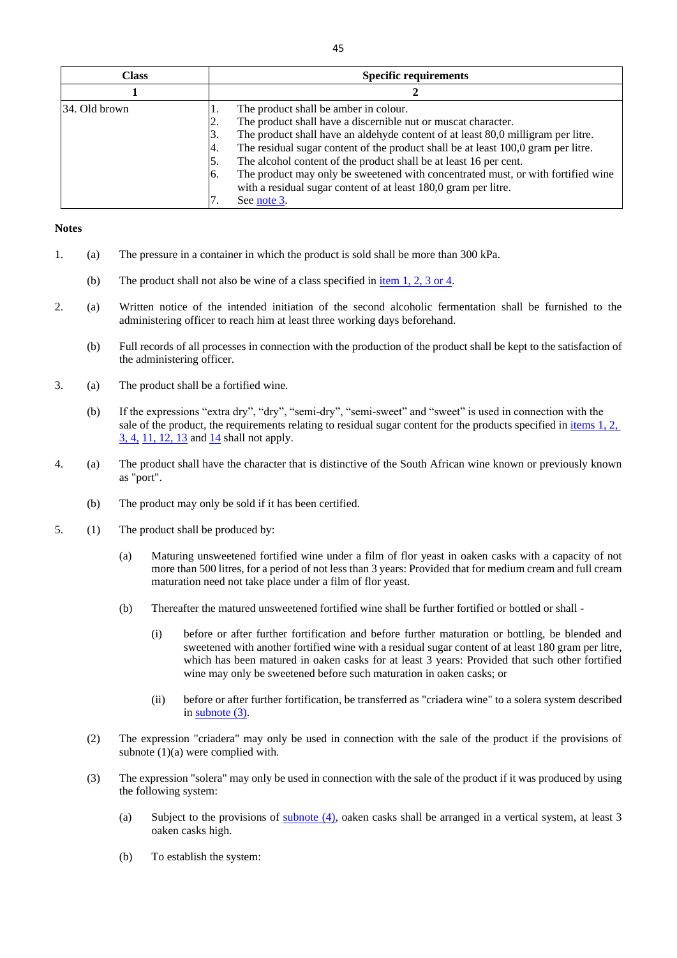| <b>Class</b>   | <b>Specific requirements</b>                                                                                                                                                                                                                                                                                                                                                                                                                                                                                                                                                  |
|----------------|-------------------------------------------------------------------------------------------------------------------------------------------------------------------------------------------------------------------------------------------------------------------------------------------------------------------------------------------------------------------------------------------------------------------------------------------------------------------------------------------------------------------------------------------------------------------------------|
|                |                                                                                                                                                                                                                                                                                                                                                                                                                                                                                                                                                                               |
| 134. Old brown | The product shall be amber in colour.<br>д,<br>The product shall have a discernible nut or muscat character.<br>2.<br>The product shall have an aldehyde content of at least 80,0 milligram per litre.<br>13.<br>The residual sugar content of the product shall be at least 100,0 gram per litre.<br>4.<br>The alcohol content of the product shall be at least 16 per cent.<br>$\overline{5}$ .<br>The product may only be sweetened with concentrated must, or with fortified wine<br>6.<br>with a residual sugar content of at least 180,0 gram per litre.<br>See note 3. |

#### **Notes**

- <span id="page-44-0"></span>1. (a) The pressure in a container in which the product is sold shall be more than 300 kPa.
	- (b) The product shall not also be wine of a class specified i[n item 1, 2, 3 or 4.](#page-39-1)
- <span id="page-44-1"></span>2. (a) Written notice of the intended initiation of the second alcoholic fermentation shall be furnished to the administering officer to reach him at least three working days beforehand.
	- (b) Full records of all processes in connection with the production of the product shall be kept to the satisfaction of the administering officer.
- <span id="page-44-2"></span>3. (a) The product shall be a fortified wine.
	- (b) If the expressions "extra dry", "dry", "semi-dry", "semi-sweet" and "sweet" is used in connection with the sale of the product, the requirements relating to residual sugar content for the products specified i[n items 1, 2,](#page-39-1)  [3, 4,](#page-39-1) [11, 12, 13](#page-40-0) and [14](#page-40-0) shall not apply.
- <span id="page-44-3"></span>4. (a) The product shall have the character that is distinctive of the South African wine known or previously known as "port".
	- (b) The product may only be sold if it has been certified.
- <span id="page-44-7"></span><span id="page-44-6"></span><span id="page-44-5"></span><span id="page-44-4"></span>5. (1) The product shall be produced by:
	- (a) Maturing unsweetened fortified wine under a film of flor yeast in oaken casks with a capacity of not more than 500 litres, for a period of not less than 3 years: Provided that for medium cream and full cream maturation need not take place under a film of flor yeast.
	- (b) Thereafter the matured unsweetened fortified wine shall be further fortified or bottled or shall
		- (i) before or after further fortification and before further maturation or bottling, be blended and sweetened with another fortified wine with a residual sugar content of at least 180 gram per litre, which has been matured in oaken casks for at least 3 years: Provided that such other fortified wine may only be sweetened before such maturation in oaken casks; or
		- (ii) before or after further fortification, be transferred as "criadera wine" to a solera system described in [subnote \(3\).](#page-44-5)
	- (2) The expression "criadera" may only be used in connection with the sale of the product if the provisions of subnote (1)(a) were complied with.
	- (3) The expression "solera" may only be used in connection with the sale of the product if it was produced by using the following system:
		- (a) Subject to the provisions of [subnote \(4\),](#page-45-0) oaken casks shall be arranged in a vertical system, at least 3 oaken casks high.
		- (b) To establish the system: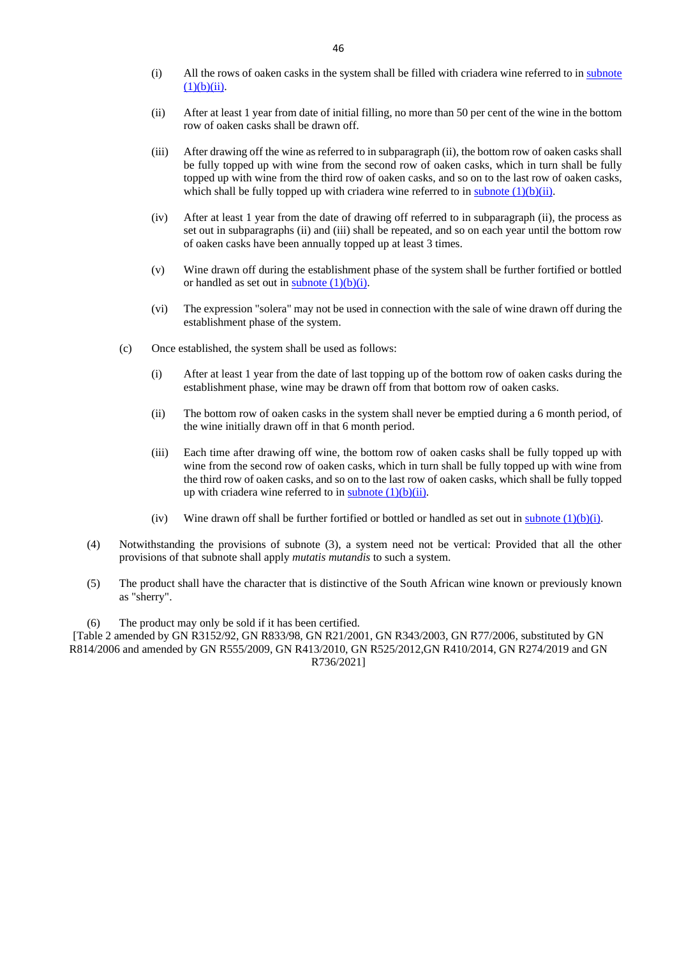- (i) All the rows of oaken casks in the system shall be filled with criadera wine referred to in [subnote](#page-44-6)   $(1)(b)(ii)$ .
- (ii) After at least 1 year from date of initial filling, no more than 50 per cent of the wine in the bottom row of oaken casks shall be drawn off.
- (iii) After drawing off the wine as referred to in subparagraph (ii), the bottom row of oaken casks shall be fully topped up with wine from the second row of oaken casks, which in turn shall be fully topped up with wine from the third row of oaken casks, and so on to the last row of oaken casks, which shall be fully topped up with criadera wine referred to in subnote  $(1)(b)(ii)$ .
- (iv) After at least 1 year from the date of drawing off referred to in subparagraph (ii), the process as set out in subparagraphs (ii) and (iii) shall be repeated, and so on each year until the bottom row of oaken casks have been annually topped up at least 3 times.
- (v) Wine drawn off during the establishment phase of the system shall be further fortified or bottled or handled as set out in subnote  $(1)(b)(i)$ .
- (vi) The expression "solera" may not be used in connection with the sale of wine drawn off during the establishment phase of the system.
- (c) Once established, the system shall be used as follows:
	- (i) After at least 1 year from the date of last topping up of the bottom row of oaken casks during the establishment phase, wine may be drawn off from that bottom row of oaken casks.
	- (ii) The bottom row of oaken casks in the system shall never be emptied during a 6 month period, of the wine initially drawn off in that 6 month period.
	- (iii) Each time after drawing off wine, the bottom row of oaken casks shall be fully topped up with wine from the second row of oaken casks, which in turn shall be fully topped up with wine from the third row of oaken casks, and so on to the last row of oaken casks, which shall be fully topped up with criadera wine referred to in subnote  $(1)(b)(ii)$ .
	- (iv) Wine drawn off shall be further fortified or bottled or handled as set out in subnote  $(1)(b)(i)$ .
- <span id="page-45-0"></span>(4) Notwithstanding the provisions of subnote (3), a system need not be vertical: Provided that all the other provisions of that subnote shall apply *mutatis mutandis* to such a system.
- (5) The product shall have the character that is distinctive of the South African wine known or previously known as "sherry".

(6) The product may only be sold if it has been certified.

[Table 2 amended by GN R3152/92, GN R833/98, GN R21/2001, GN R343/2003, GN R77/2006, substituted by GN R814/2006 and amended by GN R555/2009, GN R413/2010, GN R525/2012,GN R410/2014, GN R274/2019 and GN R736/2021]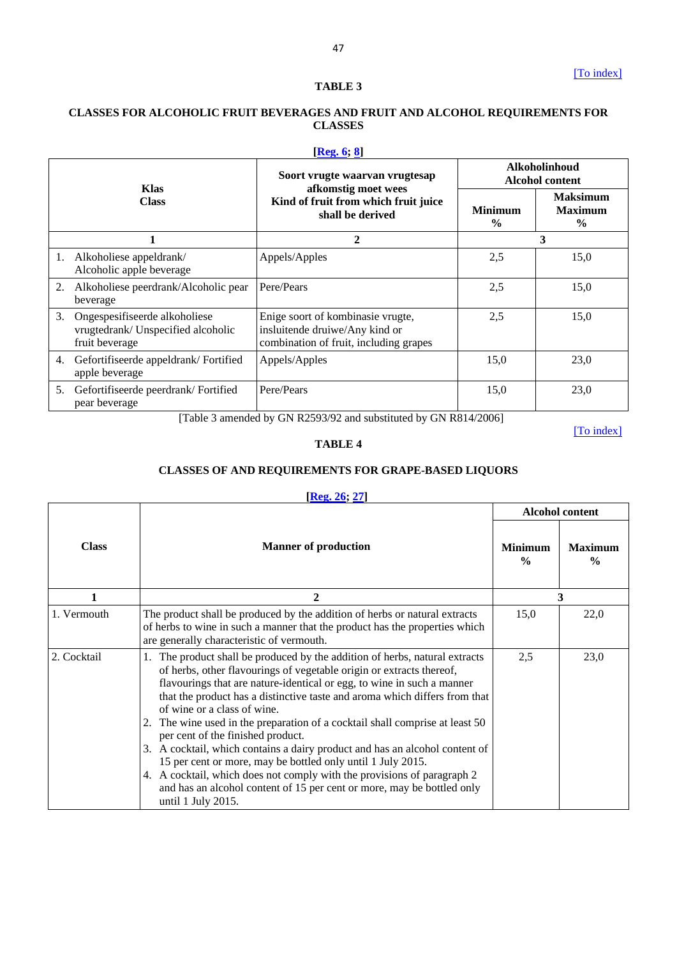# **TABLE 3**

# <span id="page-46-0"></span>**CLASSES FOR ALCOHOLIC FRUIT BEVERAGES AND FRUIT AND ALCOHOL REQUIREMENTS FOR CLASSES**

# **[\[Reg. 6;](#page-4-0) [8\]](#page-4-2)**

| <b>Klas</b><br><b>Class</b> |                                                                                      | Soort vrugte waarvan vrugtesap<br>afkomstig moet wees                                                         | <b>Alkoholinhoud</b><br><b>Alcohol content</b> |                                                    |
|-----------------------------|--------------------------------------------------------------------------------------|---------------------------------------------------------------------------------------------------------------|------------------------------------------------|----------------------------------------------------|
|                             |                                                                                      | Kind of fruit from which fruit juice<br>shall be derived                                                      | <b>Minimum</b><br>$\frac{6}{6}$                | <b>Maksimum</b><br><b>Maximum</b><br>$\frac{6}{9}$ |
|                             |                                                                                      | 2                                                                                                             |                                                | 3                                                  |
| 1.                          | Alkoholiese appeldrank/<br>Alcoholic apple beverage                                  | Appels/Apples                                                                                                 | 2,5                                            | 15,0                                               |
| 2.                          | Alkoholiese peerdrank/Alcoholic pear<br>beverage                                     | Pere/Pears                                                                                                    | 2,5                                            | 15,0                                               |
| 3.                          | Ongespesifiseerde alkoholiese<br>vrugtedrank/Unspecified alcoholic<br>fruit beverage | Enige soort of kombinasie vrugte,<br>insluitende druiwe/Any kind or<br>combination of fruit, including grapes | 2,5                                            | 15,0                                               |
| 4.                          | Gefortifiseerde appeldrank/Fortified<br>apple beverage                               | Appels/Apples                                                                                                 | 15,0                                           | 23,0                                               |
| 5.                          | Gefortifiseerde peerdrank/Fortified<br>pear beverage                                 | Pere/Pears                                                                                                    | 15,0                                           | 23,0                                               |

[Table 3 amended by GN R2593/92 and substituted by GN R814/2006]

<span id="page-46-1"></span>[\[To index\]](#page-1-6)

# **TABLE 4**

# **CLASSES OF AND REQUIREMENTS FOR GRAPE-BASED LIQUORS**

# **[\[Reg. 26;](#page-10-3) [27\]](#page-10-4)**

|              |                                                                                                                                                                                                                                                                                                                                                                                                                                                                                                                                                                                                                                                                                                                                                                                          |                                 | <b>Alcohol content</b>          |  |
|--------------|------------------------------------------------------------------------------------------------------------------------------------------------------------------------------------------------------------------------------------------------------------------------------------------------------------------------------------------------------------------------------------------------------------------------------------------------------------------------------------------------------------------------------------------------------------------------------------------------------------------------------------------------------------------------------------------------------------------------------------------------------------------------------------------|---------------------------------|---------------------------------|--|
| <b>Class</b> | <b>Manner of production</b>                                                                                                                                                                                                                                                                                                                                                                                                                                                                                                                                                                                                                                                                                                                                                              | <b>Minimum</b><br>$\frac{0}{0}$ | <b>Maximum</b><br>$\frac{0}{0}$ |  |
| 1            | $\mathbf{2}$                                                                                                                                                                                                                                                                                                                                                                                                                                                                                                                                                                                                                                                                                                                                                                             |                                 | 3                               |  |
| 1. Vermouth  | The product shall be produced by the addition of herbs or natural extracts<br>of herbs to wine in such a manner that the product has the properties which<br>are generally characteristic of vermouth.                                                                                                                                                                                                                                                                                                                                                                                                                                                                                                                                                                                   | 15,0                            | 22,0                            |  |
| 2. Cocktail  | 1. The product shall be produced by the addition of herbs, natural extracts<br>of herbs, other flavourings of vegetable origin or extracts thereof,<br>flavourings that are nature-identical or egg, to wine in such a manner<br>that the product has a distinctive taste and aroma which differs from that<br>of wine or a class of wine.<br>2. The wine used in the preparation of a cocktail shall comprise at least 50<br>per cent of the finished product.<br>3. A cocktail, which contains a dairy product and has an alcohol content of<br>15 per cent or more, may be bottled only until 1 July 2015.<br>4. A cocktail, which does not comply with the provisions of paragraph 2<br>and has an alcohol content of 15 per cent or more, may be bottled only<br>until 1 July 2015. | 2,5                             | 23,0                            |  |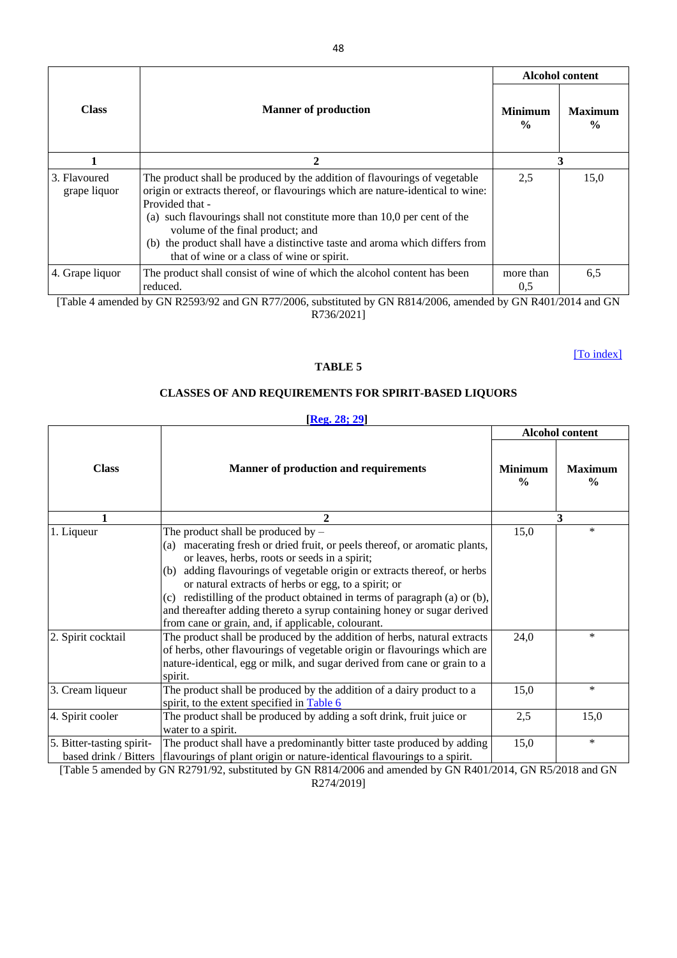|                                                                                                              |                                                                                                                                                                                                                                                                                                                                                                                                                             |                                 | <b>Alcohol content</b>          |  |
|--------------------------------------------------------------------------------------------------------------|-----------------------------------------------------------------------------------------------------------------------------------------------------------------------------------------------------------------------------------------------------------------------------------------------------------------------------------------------------------------------------------------------------------------------------|---------------------------------|---------------------------------|--|
| <b>Class</b><br><b>Manner of production</b>                                                                  |                                                                                                                                                                                                                                                                                                                                                                                                                             | <b>Minimum</b><br>$\frac{0}{0}$ | <b>Maximum</b><br>$\frac{0}{0}$ |  |
|                                                                                                              | $\mathbf 2$                                                                                                                                                                                                                                                                                                                                                                                                                 |                                 | 3                               |  |
| 3. Flavoured<br>grape liquor                                                                                 | The product shall be produced by the addition of flavourings of vegetable<br>origin or extracts thereof, or flavourings which are nature-identical to wine:<br>Provided that -<br>(a) such flavourings shall not constitute more than 10,0 per cent of the<br>volume of the final product; and<br>(b) the product shall have a distinctive taste and aroma which differs from<br>that of wine or a class of wine or spirit. | 2.5                             | 15,0                            |  |
| 4. Grape liquor                                                                                              | The product shall consist of wine of which the alcohol content has been<br>reduced.                                                                                                                                                                                                                                                                                                                                         | more than<br>0.5                | 6,5                             |  |
| [Table 4 amended by GN R2593/92 and GN R77/2006, substituted by GN R814/2006, amended by GN R401/2014 and GN |                                                                                                                                                                                                                                                                                                                                                                                                                             |                                 |                                 |  |

R736/2021]

[\[To index\]](#page-1-6)

# **TABLE 5**

# **CLASSES OF AND REQUIREMENTS FOR SPIRIT-BASED LIQUORS**

# **[\[Reg. 28; 29\]](#page-10-5)**

<span id="page-47-0"></span>

|                                                    |                                                                                                                                                                                                                                                                                                                                                                                                                                                                                                                        |                                 | <b>Alcohol content</b>          |  |
|----------------------------------------------------|------------------------------------------------------------------------------------------------------------------------------------------------------------------------------------------------------------------------------------------------------------------------------------------------------------------------------------------------------------------------------------------------------------------------------------------------------------------------------------------------------------------------|---------------------------------|---------------------------------|--|
| <b>Class</b>                                       | <b>Manner of production and requirements</b>                                                                                                                                                                                                                                                                                                                                                                                                                                                                           | <b>Minimum</b><br>$\frac{0}{0}$ | <b>Maximum</b><br>$\frac{0}{0}$ |  |
|                                                    | 2                                                                                                                                                                                                                                                                                                                                                                                                                                                                                                                      |                                 | 3                               |  |
| 1. Liqueur                                         | The product shall be produced by $-$<br>(a) macerating fresh or dried fruit, or peels thereof, or aromatic plants,<br>or leaves, herbs, roots or seeds in a spirit;<br>(b) adding flavourings of vegetable origin or extracts thereof, or herbs<br>or natural extracts of herbs or egg, to a spirit; or<br>(c) redistilling of the product obtained in terms of paragraph (a) or (b),<br>and thereafter adding thereto a syrup containing honey or sugar derived<br>from cane or grain, and, if applicable, colourant. | 15,0                            | $\ast$                          |  |
| 2. Spirit cocktail                                 | The product shall be produced by the addition of herbs, natural extracts<br>of herbs, other flavourings of vegetable origin or flavourings which are<br>nature-identical, egg or milk, and sugar derived from cane or grain to a<br>spirit.                                                                                                                                                                                                                                                                            | 24,0                            | $\ast$                          |  |
| 3. Cream liqueur                                   | The product shall be produced by the addition of a dairy product to a<br>spirit, to the extent specified in Table 6                                                                                                                                                                                                                                                                                                                                                                                                    | 15,0                            | *                               |  |
| 4. Spirit cooler                                   | The product shall be produced by adding a soft drink, fruit juice or<br>water to a spirit.                                                                                                                                                                                                                                                                                                                                                                                                                             | 2,5                             | 15,0                            |  |
| 5. Bitter-tasting spirit-<br>based drink / Bitters | The product shall have a predominantly bitter taste produced by adding<br>flavourings of plant origin or nature-identical flavourings to a spirit.                                                                                                                                                                                                                                                                                                                                                                     | 15,0                            | $\ast$                          |  |

<span id="page-47-1"></span>[Table 5 amended by GN R2791/92, substituted by GN R814/2006 and amended by GN R401/2014, GN R5/2018 and GN R274/2019]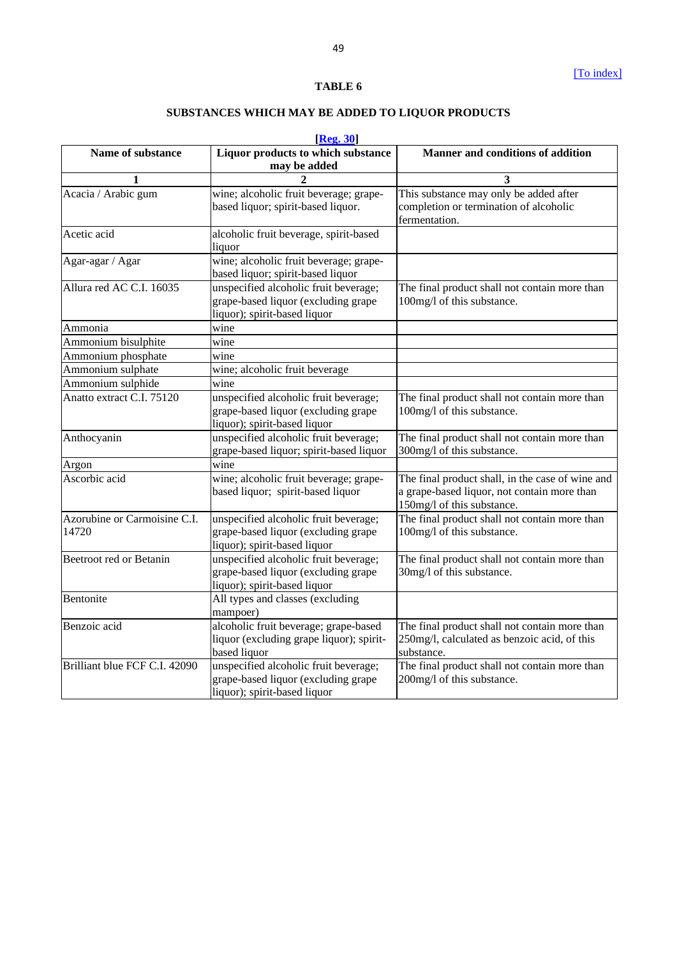# **TABLE 6**

# **SUBSTANCES WHICH MAY BE ADDED TO LIQUOR PRODUCTS**

**[\[Reg. 30\]](#page-11-0)**

| $[Re$ . $ou]$<br><b>Manner and conditions of addition</b><br>Name of substance<br>Liquor products to which substance |                                                                                                              |                                                                                                                               |
|----------------------------------------------------------------------------------------------------------------------|--------------------------------------------------------------------------------------------------------------|-------------------------------------------------------------------------------------------------------------------------------|
|                                                                                                                      | may be added                                                                                                 |                                                                                                                               |
|                                                                                                                      |                                                                                                              | 3                                                                                                                             |
| Acacia / Arabic gum                                                                                                  | wine; alcoholic fruit beverage; grape-<br>based liquor; spirit-based liquor.                                 | This substance may only be added after<br>completion or termination of alcoholic<br>fermentation.                             |
| Acetic acid                                                                                                          | alcoholic fruit beverage, spirit-based<br>liquor                                                             |                                                                                                                               |
| Agar-agar / Agar                                                                                                     | wine; alcoholic fruit beverage; grape-<br>based liquor; spirit-based liquor                                  |                                                                                                                               |
| Allura red AC C.I. 16035                                                                                             | unspecified alcoholic fruit beverage;<br>grape-based liquor (excluding grape<br>liquor); spirit-based liquor | The final product shall not contain more than<br>100mg/l of this substance.                                                   |
| Ammonia                                                                                                              | wine                                                                                                         |                                                                                                                               |
| Ammonium bisulphite                                                                                                  | wine                                                                                                         |                                                                                                                               |
| Ammonium phosphate                                                                                                   | wine                                                                                                         |                                                                                                                               |
| Ammonium sulphate                                                                                                    | wine; alcoholic fruit beverage                                                                               |                                                                                                                               |
| Ammonium sulphide                                                                                                    | wine                                                                                                         |                                                                                                                               |
| Anatto extract C.I. 75120                                                                                            | unspecified alcoholic fruit beverage;<br>grape-based liquor (excluding grape<br>liquor); spirit-based liquor | The final product shall not contain more than<br>100mg/l of this substance.                                                   |
| Anthocyanin                                                                                                          | unspecified alcoholic fruit beverage;<br>grape-based liquor; spirit-based liquor                             | The final product shall not contain more than<br>300mg/l of this substance.                                                   |
| Argon                                                                                                                | wine                                                                                                         |                                                                                                                               |
| Ascorbic acid                                                                                                        | wine; alcoholic fruit beverage; grape-<br>based liquor; spirit-based liquor                                  | The final product shall, in the case of wine and<br>a grape-based liquor, not contain more than<br>150mg/l of this substance. |
| Azorubine or Carmoisine C.I.<br>14720                                                                                | unspecified alcoholic fruit beverage;<br>grape-based liquor (excluding grape<br>liquor); spirit-based liquor | The final product shall not contain more than<br>100mg/l of this substance.                                                   |
| Beetroot red or Betanin                                                                                              | unspecified alcoholic fruit beverage;<br>grape-based liquor (excluding grape<br>liquor); spirit-based liquor | The final product shall not contain more than<br>30mg/l of this substance.                                                    |
| Bentonite                                                                                                            | All types and classes (excluding<br>mampoer)                                                                 |                                                                                                                               |
| Benzoic acid                                                                                                         | alcoholic fruit beverage; grape-based<br>liquor (excluding grape liquor); spirit-<br>based liquor            | The final product shall not contain more than<br>250mg/l, calculated as benzoic acid, of this<br>substance.                   |
| Brilliant blue FCF C.I. 42090                                                                                        | unspecified alcoholic fruit beverage;<br>grape-based liquor (excluding grape<br>liquor); spirit-based liquor | The final product shall not contain more than<br>200mg/l of this substance.                                                   |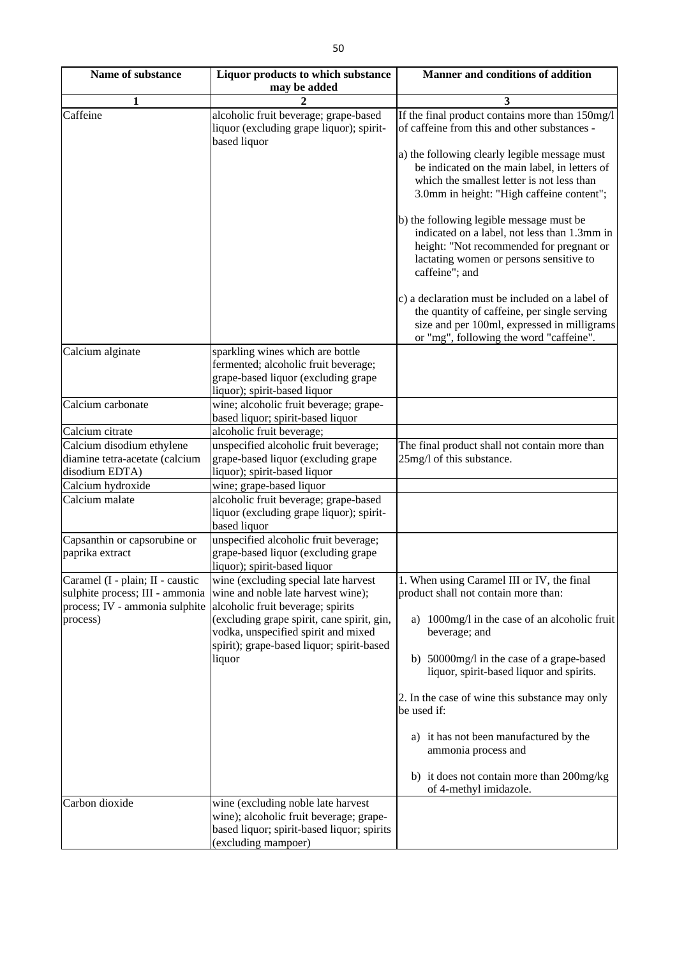| Name of substance                                                             | Liquor products to which substance                                                                                                                                  | <b>Manner and conditions of addition</b>                                                                                                                                                          |
|-------------------------------------------------------------------------------|---------------------------------------------------------------------------------------------------------------------------------------------------------------------|---------------------------------------------------------------------------------------------------------------------------------------------------------------------------------------------------|
|                                                                               | may be added                                                                                                                                                        |                                                                                                                                                                                                   |
| 1                                                                             |                                                                                                                                                                     | 3                                                                                                                                                                                                 |
| Caffeine                                                                      | alcoholic fruit beverage; grape-based<br>liquor (excluding grape liquor); spirit-<br>based liquor                                                                   | If the final product contains more than 150mg/l<br>of caffeine from this and other substances -                                                                                                   |
|                                                                               |                                                                                                                                                                     | a) the following clearly legible message must<br>be indicated on the main label, in letters of<br>which the smallest letter is not less than<br>3.0mm in height: "High caffeine content";         |
|                                                                               |                                                                                                                                                                     | b) the following legible message must be<br>indicated on a label, not less than 1.3mm in<br>height: "Not recommended for pregnant or<br>lactating women or persons sensitive to<br>caffeine"; and |
|                                                                               |                                                                                                                                                                     | c) a declaration must be included on a label of<br>the quantity of caffeine, per single serving<br>size and per 100ml, expressed in milligrams<br>or "mg", following the word "caffeine".         |
| Calcium alginate                                                              | sparkling wines which are bottle<br>fermented; alcoholic fruit beverage;<br>grape-based liquor (excluding grape<br>liquor); spirit-based liquor                     |                                                                                                                                                                                                   |
| Calcium carbonate                                                             | wine; alcoholic fruit beverage; grape-<br>based liquor; spirit-based liquor                                                                                         |                                                                                                                                                                                                   |
| Calcium citrate                                                               | alcoholic fruit beverage;                                                                                                                                           |                                                                                                                                                                                                   |
| Calcium disodium ethylene<br>diamine tetra-acetate (calcium<br>disodium EDTA) | unspecified alcoholic fruit beverage;<br>grape-based liquor (excluding grape<br>liquor); spirit-based liquor                                                        | The final product shall not contain more than<br>25mg/l of this substance.                                                                                                                        |
| Calcium hydroxide                                                             | wine; grape-based liquor                                                                                                                                            |                                                                                                                                                                                                   |
| Calcium malate                                                                | alcoholic fruit beverage; grape-based<br>liquor (excluding grape liquor); spirit-<br>based liquor                                                                   |                                                                                                                                                                                                   |
| Capsanthin or capsorubine or<br>paprika extract                               | unspecified alcoholic fruit beverage;<br>grape-based liquor (excluding grape<br>liquor); spirit-based liquor                                                        |                                                                                                                                                                                                   |
| Caramel (I - plain; II - caustic<br>sulphite process; III - ammonia           | wine (excluding special late harvest<br>wine and noble late harvest wine);                                                                                          | 1. When using Caramel III or IV, the final<br>product shall not contain more than:                                                                                                                |
| process; IV - ammonia sulphite<br>process)                                    | alcoholic fruit beverage; spirits<br>(excluding grape spirit, cane spirit, gin,<br>vodka, unspecified spirit and mixed<br>spirit); grape-based liquor; spirit-based | a) 1000mg/l in the case of an alcoholic fruit<br>beverage; and                                                                                                                                    |
|                                                                               | liquor                                                                                                                                                              | b) 50000mg/l in the case of a grape-based<br>liquor, spirit-based liquor and spirits.                                                                                                             |
|                                                                               |                                                                                                                                                                     | 2. In the case of wine this substance may only<br>be used if:                                                                                                                                     |
|                                                                               |                                                                                                                                                                     | a) it has not been manufactured by the<br>ammonia process and                                                                                                                                     |
|                                                                               |                                                                                                                                                                     | b) it does not contain more than 200mg/kg<br>of 4-methyl imidazole.                                                                                                                               |
| Carbon dioxide                                                                | wine (excluding noble late harvest<br>wine); alcoholic fruit beverage; grape-<br>based liquor; spirit-based liquor; spirits<br>(excluding mampoer)                  |                                                                                                                                                                                                   |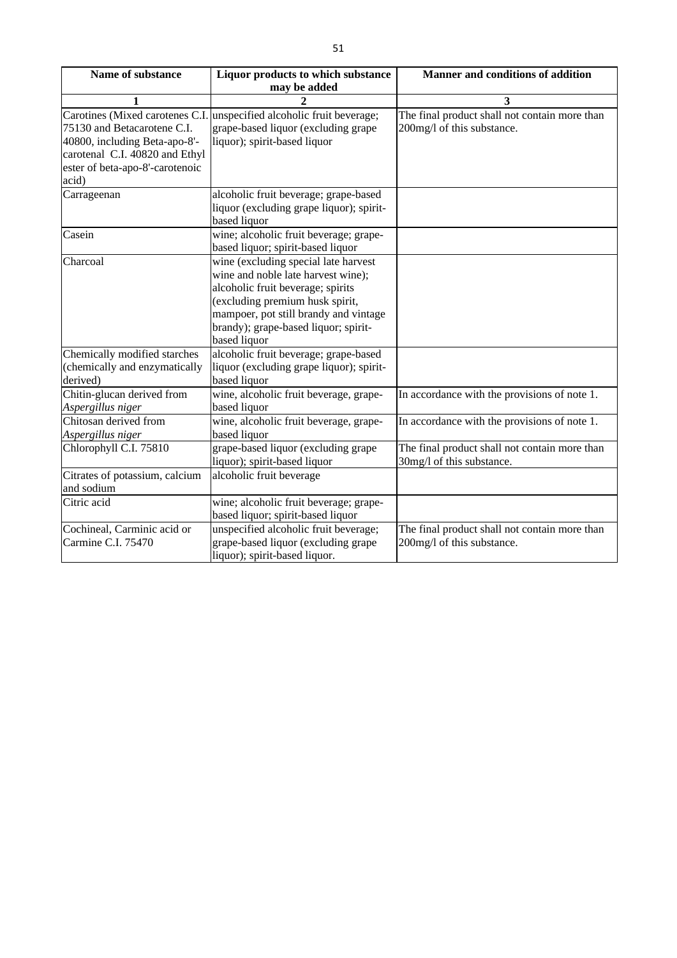| Name of substance                                                                                                                                                             | Liquor products to which substance                                                                                                                                                                                                                  | Manner and conditions of addition                                           |
|-------------------------------------------------------------------------------------------------------------------------------------------------------------------------------|-----------------------------------------------------------------------------------------------------------------------------------------------------------------------------------------------------------------------------------------------------|-----------------------------------------------------------------------------|
|                                                                                                                                                                               | may be added                                                                                                                                                                                                                                        |                                                                             |
|                                                                                                                                                                               |                                                                                                                                                                                                                                                     | 3                                                                           |
| Carotines (Mixed carotenes C.I.<br>75130 and Betacarotene C.I.<br>40800, including Beta-apo-8'-<br>carotenal C.I. 40820 and Ethyl<br>ester of beta-apo-8'-carotenoic<br>acid) | unspecified alcoholic fruit beverage;<br>grape-based liquor (excluding grape<br>liquor); spirit-based liquor                                                                                                                                        | The final product shall not contain more than<br>200mg/l of this substance. |
| Carrageenan                                                                                                                                                                   | alcoholic fruit beverage; grape-based<br>liquor (excluding grape liquor); spirit-<br>based liquor                                                                                                                                                   |                                                                             |
| Casein                                                                                                                                                                        | wine; alcoholic fruit beverage; grape-<br>based liquor; spirit-based liquor                                                                                                                                                                         |                                                                             |
| Charcoal                                                                                                                                                                      | wine (excluding special late harvest<br>wine and noble late harvest wine);<br>alcoholic fruit beverage; spirits<br>(excluding premium husk spirit,<br>mampoer, pot still brandy and vintage<br>brandy); grape-based liquor; spirit-<br>based liquor |                                                                             |
| Chemically modified starches                                                                                                                                                  | alcoholic fruit beverage; grape-based                                                                                                                                                                                                               |                                                                             |
| (chemically and enzymatically<br>derived)                                                                                                                                     | liquor (excluding grape liquor); spirit-<br>based liquor                                                                                                                                                                                            |                                                                             |
| Chitin-glucan derived from<br>Aspergillus niger                                                                                                                               | wine, alcoholic fruit beverage, grape-<br>based liquor                                                                                                                                                                                              | In accordance with the provisions of note 1.                                |
| Chitosan derived from<br>Aspergillus niger                                                                                                                                    | wine, alcoholic fruit beverage, grape-<br>based liquor                                                                                                                                                                                              | In accordance with the provisions of note 1.                                |
| Chlorophyll C.I. 75810                                                                                                                                                        | grape-based liquor (excluding grape<br>liquor); spirit-based liquor                                                                                                                                                                                 | The final product shall not contain more than<br>30mg/l of this substance.  |
| Citrates of potassium, calcium<br>and sodium                                                                                                                                  | alcoholic fruit beverage                                                                                                                                                                                                                            |                                                                             |
| Citric acid                                                                                                                                                                   | wine; alcoholic fruit beverage; grape-<br>based liquor; spirit-based liquor                                                                                                                                                                         |                                                                             |
| Cochineal, Carminic acid or<br>Carmine C.I. 75470                                                                                                                             | unspecified alcoholic fruit beverage;<br>grape-based liquor (excluding grape<br>liquor); spirit-based liquor.                                                                                                                                       | The final product shall not contain more than<br>200mg/l of this substance. |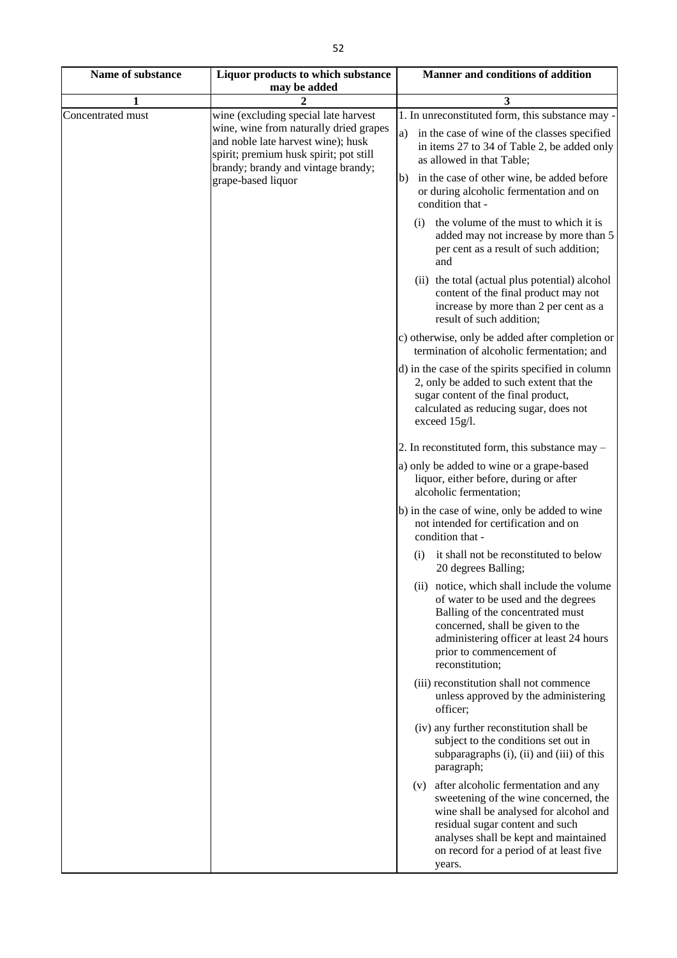| Name of substance | Liquor products to which substance<br>may be added                                                                                       | <b>Manner and conditions of addition</b>                                                                                                                                                                                                                     |                                                                                                                                                             |                                                                                                                                                                                                                                                      |
|-------------------|------------------------------------------------------------------------------------------------------------------------------------------|--------------------------------------------------------------------------------------------------------------------------------------------------------------------------------------------------------------------------------------------------------------|-------------------------------------------------------------------------------------------------------------------------------------------------------------|------------------------------------------------------------------------------------------------------------------------------------------------------------------------------------------------------------------------------------------------------|
| 1                 |                                                                                                                                          | 3                                                                                                                                                                                                                                                            |                                                                                                                                                             |                                                                                                                                                                                                                                                      |
| Concentrated must | wine (excluding special late harvest                                                                                                     | 1. In unreconstituted form, this substance may -                                                                                                                                                                                                             |                                                                                                                                                             |                                                                                                                                                                                                                                                      |
|                   | and noble late harvest wine); husk<br>spirit; premium husk spirit; pot still<br>brandy; brandy and vintage brandy;<br>grape-based liquor |                                                                                                                                                                                                                                                              | wine, wine from naturally dried grapes<br>a)<br>b)                                                                                                          | in the case of wine of the classes specified<br>in items 27 to 34 of Table 2, be added only<br>as allowed in that Table;<br>in the case of other wine, be added before<br>or during alcoholic fermentation and on                                    |
|                   |                                                                                                                                          | condition that -                                                                                                                                                                                                                                             |                                                                                                                                                             |                                                                                                                                                                                                                                                      |
|                   |                                                                                                                                          | the volume of the must to which it is<br>$\left( 1 \right)$<br>added may not increase by more than 5<br>per cent as a result of such addition;<br>and                                                                                                        |                                                                                                                                                             |                                                                                                                                                                                                                                                      |
|                   |                                                                                                                                          |                                                                                                                                                                                                                                                              | (ii) the total (actual plus potential) alcohol<br>content of the final product may not<br>increase by more than 2 per cent as a<br>result of such addition; |                                                                                                                                                                                                                                                      |
|                   |                                                                                                                                          | c) otherwise, only be added after completion or<br>termination of alcoholic fermentation; and                                                                                                                                                                |                                                                                                                                                             |                                                                                                                                                                                                                                                      |
|                   |                                                                                                                                          | d) in the case of the spirits specified in column<br>2, only be added to such extent that the<br>sugar content of the final product,<br>calculated as reducing sugar, does not<br>exceed 15g/l.                                                              |                                                                                                                                                             |                                                                                                                                                                                                                                                      |
|                   |                                                                                                                                          | 2. In reconstituted form, this substance may $-$                                                                                                                                                                                                             |                                                                                                                                                             |                                                                                                                                                                                                                                                      |
|                   |                                                                                                                                          | a) only be added to wine or a grape-based<br>liquor, either before, during or after<br>alcoholic fermentation;                                                                                                                                               |                                                                                                                                                             |                                                                                                                                                                                                                                                      |
|                   |                                                                                                                                          | b) in the case of wine, only be added to wine<br>not intended for certification and on<br>condition that -                                                                                                                                                   |                                                                                                                                                             |                                                                                                                                                                                                                                                      |
|                   |                                                                                                                                          | it shall not be reconstituted to below<br>(i)<br>20 degrees Balling;                                                                                                                                                                                         |                                                                                                                                                             |                                                                                                                                                                                                                                                      |
|                   |                                                                                                                                          |                                                                                                                                                                                                                                                              |                                                                                                                                                             | (ii) notice, which shall include the volume<br>of water to be used and the degrees<br>Balling of the concentrated must<br>concerned, shall be given to the<br>administering officer at least 24 hours<br>prior to commencement of<br>reconstitution; |
|                   |                                                                                                                                          | (iii) reconstitution shall not commence<br>unless approved by the administering<br>officer;                                                                                                                                                                  |                                                                                                                                                             |                                                                                                                                                                                                                                                      |
|                   |                                                                                                                                          | (iv) any further reconstitution shall be<br>subject to the conditions set out in<br>subparagraphs (i), (ii) and (iii) of this<br>paragraph;                                                                                                                  |                                                                                                                                                             |                                                                                                                                                                                                                                                      |
|                   |                                                                                                                                          | (v) after alcoholic fermentation and any<br>sweetening of the wine concerned, the<br>wine shall be analysed for alcohol and<br>residual sugar content and such<br>analyses shall be kept and maintained<br>on record for a period of at least five<br>years. |                                                                                                                                                             |                                                                                                                                                                                                                                                      |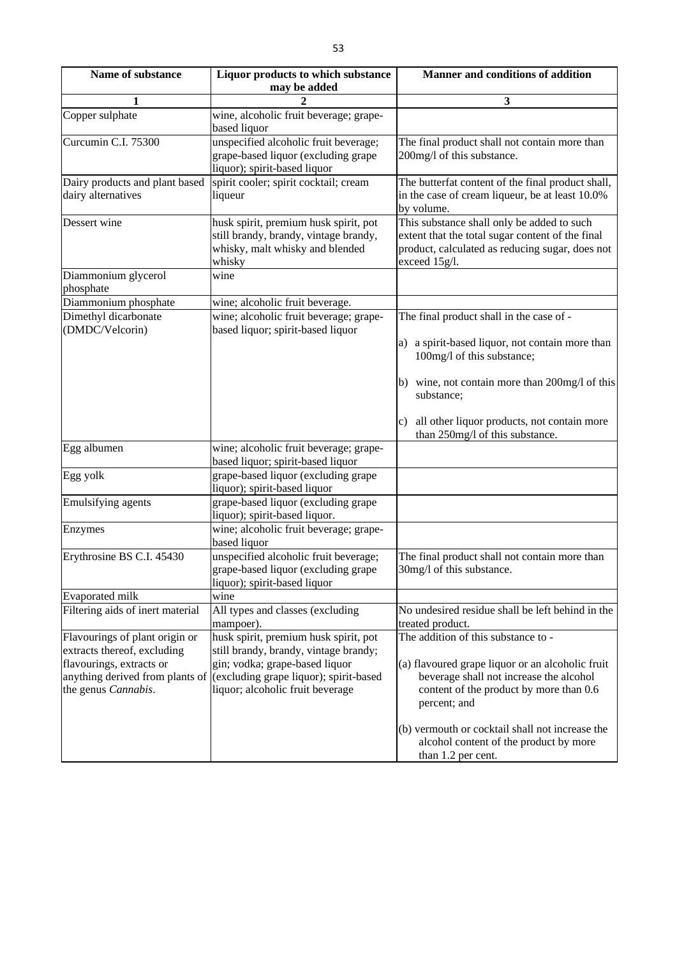| Name of substance                                             | Liquor products to which substance                                                                                                           | Manner and conditions of addition                                                                                                                                  |
|---------------------------------------------------------------|----------------------------------------------------------------------------------------------------------------------------------------------|--------------------------------------------------------------------------------------------------------------------------------------------------------------------|
|                                                               | may be added                                                                                                                                 |                                                                                                                                                                    |
|                                                               |                                                                                                                                              | 3                                                                                                                                                                  |
| Copper sulphate                                               | wine, alcoholic fruit beverage; grape-<br>based liquor                                                                                       |                                                                                                                                                                    |
| Curcumin C.I. 75300                                           | unspecified alcoholic fruit beverage;<br>grape-based liquor (excluding grape<br>liquor); spirit-based liquor                                 | The final product shall not contain more than<br>200mg/l of this substance.                                                                                        |
| Dairy products and plant based<br>dairy alternatives          | spirit cooler; spirit cocktail; cream<br>liqueur                                                                                             | The butterfat content of the final product shall,<br>in the case of cream liqueur, be at least 10.0%<br>by volume.                                                 |
| Dessert wine                                                  | husk spirit, premium husk spirit, pot<br>still brandy, brandy, vintage brandy,<br>whisky, malt whisky and blended<br>whisky                  | This substance shall only be added to such<br>extent that the total sugar content of the final<br>product, calculated as reducing sugar, does not<br>exceed 15g/l. |
| Diammonium glycerol<br>phosphate                              | wine                                                                                                                                         |                                                                                                                                                                    |
| Diammonium phosphate                                          | wine; alcoholic fruit beverage.                                                                                                              |                                                                                                                                                                    |
| Dimethyl dicarbonate<br>(DMDC/Velcorin)                       | wine; alcoholic fruit beverage; grape-<br>based liquor; spirit-based liquor                                                                  | The final product shall in the case of -<br>a) a spirit-based liquor, not contain more than                                                                        |
|                                                               |                                                                                                                                              | 100mg/l of this substance;                                                                                                                                         |
|                                                               |                                                                                                                                              | b) wine, not contain more than 200mg/l of this<br>substance;                                                                                                       |
|                                                               |                                                                                                                                              | all other liquor products, not contain more<br>C)<br>than 250mg/l of this substance.                                                                               |
| Egg albumen                                                   | wine; alcoholic fruit beverage; grape-<br>based liquor; spirit-based liquor                                                                  |                                                                                                                                                                    |
| Egg yolk                                                      | grape-based liquor (excluding grape<br>liquor); spirit-based liquor                                                                          |                                                                                                                                                                    |
| Emulsifying agents                                            | grape-based liquor (excluding grape<br>liquor); spirit-based liquor.                                                                         |                                                                                                                                                                    |
| Enzymes                                                       | wine; alcoholic fruit beverage; grape-<br>based liquor                                                                                       |                                                                                                                                                                    |
| Erythrosine BS C.I. 45430                                     | unspecified alcoholic fruit beverage;<br>grape-based liquor (excluding grape<br>liquor); spirit-based liquor                                 | The final product shall not contain more than<br>30mg/l of this substance.                                                                                         |
| Evaporated milk                                               | wine                                                                                                                                         |                                                                                                                                                                    |
| Filtering aids of inert material                              | All types and classes (excluding<br>mampoer).                                                                                                | No undesired residue shall be left behind in the<br>treated product.                                                                                               |
| Flavourings of plant origin or<br>extracts thereof, excluding | husk spirit, premium husk spirit, pot<br>still brandy, brandy, vintage brandy;                                                               | The addition of this substance to -                                                                                                                                |
| flavourings, extracts or<br>the genus Cannabis.               | gin; vodka; grape-based liquor<br>anything derived from plants of (excluding grape liquor); spirit-based<br>liquor; alcoholic fruit beverage | (a) flavoured grape liquor or an alcoholic fruit<br>beverage shall not increase the alcohol<br>content of the product by more than 0.6<br>percent; and             |
|                                                               |                                                                                                                                              | (b) vermouth or cocktail shall not increase the<br>alcohol content of the product by more<br>than 1.2 per cent.                                                    |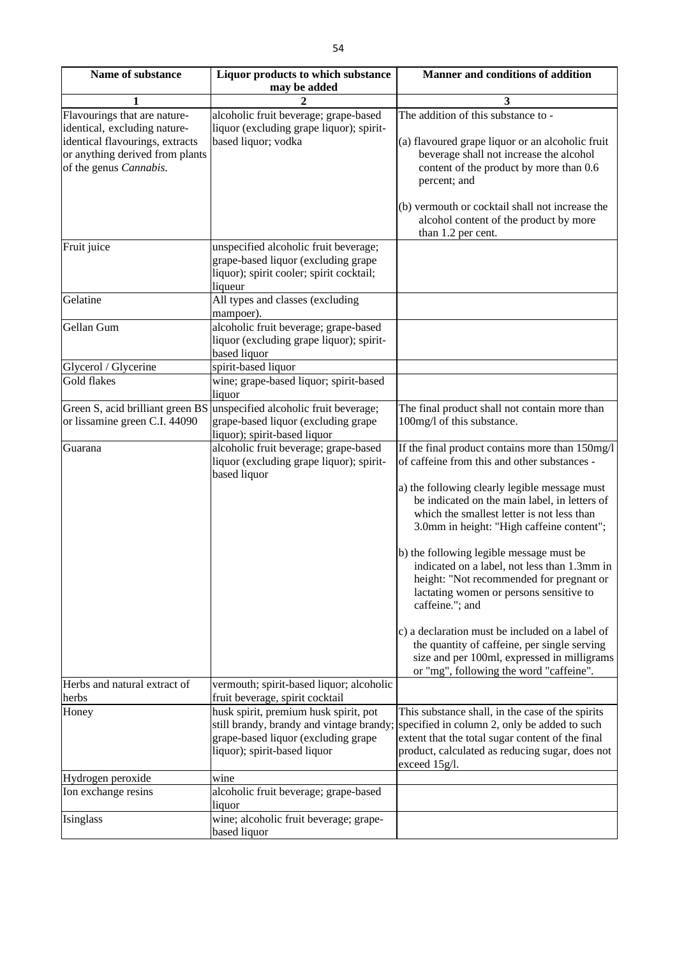| Name of substance                                                                                                                                            | Liquor products to which substance                                                                                                                       | <b>Manner and conditions of addition</b>                                                                                                                                                                                                                                                                                                                                                                                                                                                                                                                                                                                                                                                        |
|--------------------------------------------------------------------------------------------------------------------------------------------------------------|----------------------------------------------------------------------------------------------------------------------------------------------------------|-------------------------------------------------------------------------------------------------------------------------------------------------------------------------------------------------------------------------------------------------------------------------------------------------------------------------------------------------------------------------------------------------------------------------------------------------------------------------------------------------------------------------------------------------------------------------------------------------------------------------------------------------------------------------------------------------|
|                                                                                                                                                              | may be added                                                                                                                                             |                                                                                                                                                                                                                                                                                                                                                                                                                                                                                                                                                                                                                                                                                                 |
| 1                                                                                                                                                            |                                                                                                                                                          | 3                                                                                                                                                                                                                                                                                                                                                                                                                                                                                                                                                                                                                                                                                               |
| Flavourings that are nature-<br>identical, excluding nature-<br>identical flavourings, extracts<br>or anything derived from plants<br>of the genus Cannabis. | alcoholic fruit beverage; grape-based<br>liquor (excluding grape liquor); spirit-<br>based liquor; vodka                                                 | The addition of this substance to -<br>(a) flavoured grape liquor or an alcoholic fruit<br>beverage shall not increase the alcohol<br>content of the product by more than 0.6<br>percent; and<br>(b) vermouth or cocktail shall not increase the                                                                                                                                                                                                                                                                                                                                                                                                                                                |
|                                                                                                                                                              |                                                                                                                                                          | alcohol content of the product by more<br>than 1.2 per cent.                                                                                                                                                                                                                                                                                                                                                                                                                                                                                                                                                                                                                                    |
| Fruit juice                                                                                                                                                  | unspecified alcoholic fruit beverage;<br>grape-based liquor (excluding grape<br>liquor); spirit cooler; spirit cocktail;<br>liqueur                      |                                                                                                                                                                                                                                                                                                                                                                                                                                                                                                                                                                                                                                                                                                 |
| Gelatine                                                                                                                                                     | All types and classes (excluding<br>mampoer).                                                                                                            |                                                                                                                                                                                                                                                                                                                                                                                                                                                                                                                                                                                                                                                                                                 |
| Gellan Gum                                                                                                                                                   | alcoholic fruit beverage; grape-based<br>liquor (excluding grape liquor); spirit-<br>based liquor                                                        |                                                                                                                                                                                                                                                                                                                                                                                                                                                                                                                                                                                                                                                                                                 |
| Glycerol / Glycerine                                                                                                                                         | spirit-based liquor                                                                                                                                      |                                                                                                                                                                                                                                                                                                                                                                                                                                                                                                                                                                                                                                                                                                 |
| <b>Gold flakes</b>                                                                                                                                           | wine; grape-based liquor; spirit-based<br>liquor                                                                                                         |                                                                                                                                                                                                                                                                                                                                                                                                                                                                                                                                                                                                                                                                                                 |
| or lissamine green C.I. 44090                                                                                                                                | Green S, acid brilliant green BS unspecified alcoholic fruit beverage;<br>grape-based liquor (excluding grape<br>liquor); spirit-based liquor            | The final product shall not contain more than<br>100mg/l of this substance.                                                                                                                                                                                                                                                                                                                                                                                                                                                                                                                                                                                                                     |
| Guarana                                                                                                                                                      | alcoholic fruit beverage; grape-based<br>liquor (excluding grape liquor); spirit-<br>based liquor                                                        | If the final product contains more than 150mg/l<br>of caffeine from this and other substances -<br>a) the following clearly legible message must<br>be indicated on the main label, in letters of<br>which the smallest letter is not less than<br>3.0mm in height: "High caffeine content";<br>b) the following legible message must be<br>indicated on a label, not less than 1.3mm in<br>height: "Not recommended for pregnant or<br>lactating women or persons sensitive to<br>caffeine."; and<br>c) a declaration must be included on a label of<br>the quantity of caffeine, per single serving<br>size and per 100ml, expressed in milligrams<br>or "mg", following the word "caffeine". |
| Herbs and natural extract of<br>herbs                                                                                                                        | vermouth; spirit-based liquor; alcoholic<br>fruit beverage, spirit cocktail                                                                              |                                                                                                                                                                                                                                                                                                                                                                                                                                                                                                                                                                                                                                                                                                 |
| Honey                                                                                                                                                        | husk spirit, premium husk spirit, pot<br>still brandy, brandy and vintage brandy;<br>grape-based liquor (excluding grape<br>liquor); spirit-based liquor | This substance shall, in the case of the spirits<br>specified in column 2, only be added to such<br>extent that the total sugar content of the final<br>product, calculated as reducing sugar, does not<br>exceed $15g/l$ .                                                                                                                                                                                                                                                                                                                                                                                                                                                                     |
| Hydrogen peroxide                                                                                                                                            | wine                                                                                                                                                     |                                                                                                                                                                                                                                                                                                                                                                                                                                                                                                                                                                                                                                                                                                 |
| Ion exchange resins                                                                                                                                          | alcoholic fruit beverage; grape-based<br>liquor                                                                                                          |                                                                                                                                                                                                                                                                                                                                                                                                                                                                                                                                                                                                                                                                                                 |
| Isinglass                                                                                                                                                    | wine; alcoholic fruit beverage; grape-<br>based liquor                                                                                                   |                                                                                                                                                                                                                                                                                                                                                                                                                                                                                                                                                                                                                                                                                                 |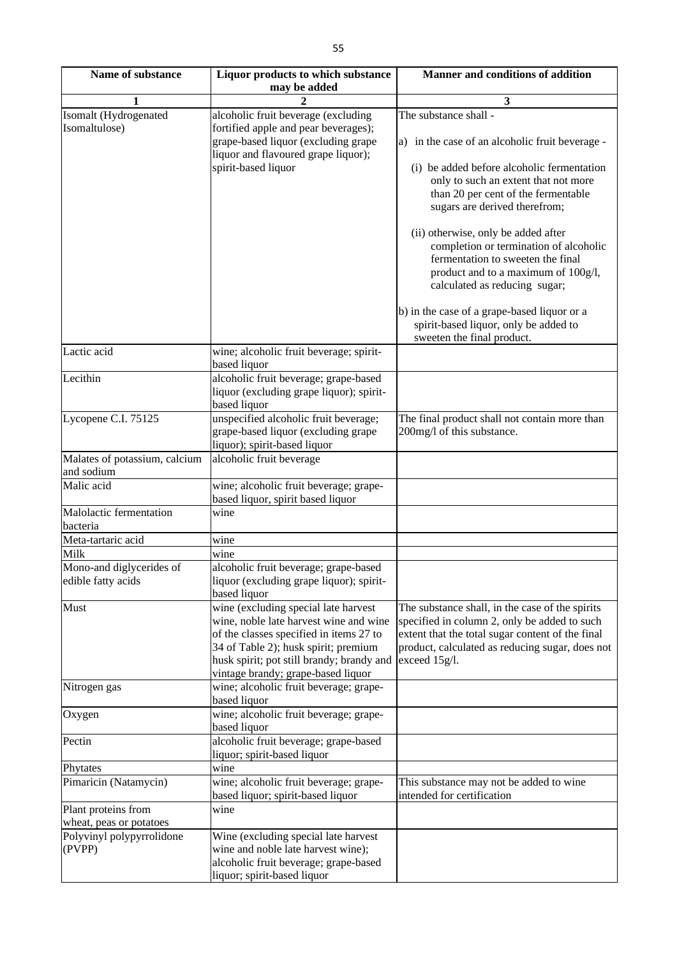| Name of substance                              | Liquor products to which substance                                                                                                                                                                                                                   | <b>Manner and conditions of addition</b>                                                                                                                                                                                |
|------------------------------------------------|------------------------------------------------------------------------------------------------------------------------------------------------------------------------------------------------------------------------------------------------------|-------------------------------------------------------------------------------------------------------------------------------------------------------------------------------------------------------------------------|
|                                                | may be added                                                                                                                                                                                                                                         |                                                                                                                                                                                                                         |
| 1                                              |                                                                                                                                                                                                                                                      | 3                                                                                                                                                                                                                       |
| Isomalt (Hydrogenated<br>Isomaltulose)         | alcoholic fruit beverage (excluding<br>fortified apple and pear beverages);                                                                                                                                                                          | The substance shall -                                                                                                                                                                                                   |
|                                                | grape-based liquor (excluding grape<br>liquor and flavoured grape liquor);                                                                                                                                                                           | a) in the case of an alcoholic fruit beverage -                                                                                                                                                                         |
|                                                | spirit-based liquor                                                                                                                                                                                                                                  | (i) be added before alcoholic fermentation<br>only to such an extent that not more<br>than 20 per cent of the fermentable<br>sugars are derived therefrom;                                                              |
|                                                |                                                                                                                                                                                                                                                      | (ii) otherwise, only be added after<br>completion or termination of alcoholic<br>fermentation to sweeten the final<br>product and to a maximum of 100g/l,<br>calculated as reducing sugar;                              |
|                                                |                                                                                                                                                                                                                                                      | b) in the case of a grape-based liquor or a<br>spirit-based liquor, only be added to<br>sweeten the final product.                                                                                                      |
| Lactic acid                                    | wine; alcoholic fruit beverage; spirit-<br>based liquor                                                                                                                                                                                              |                                                                                                                                                                                                                         |
| Lecithin                                       | alcoholic fruit beverage; grape-based<br>liquor (excluding grape liquor); spirit-<br>based liquor                                                                                                                                                    |                                                                                                                                                                                                                         |
| Lycopene C.I. 75125                            | unspecified alcoholic fruit beverage;<br>grape-based liquor (excluding grape<br>liquor); spirit-based liquor                                                                                                                                         | The final product shall not contain more than<br>200mg/l of this substance.                                                                                                                                             |
| Malates of potassium, calcium<br>and sodium    | alcoholic fruit beverage                                                                                                                                                                                                                             |                                                                                                                                                                                                                         |
| Malic acid                                     | wine; alcoholic fruit beverage; grape-<br>based liquor, spirit based liquor                                                                                                                                                                          |                                                                                                                                                                                                                         |
| Malolactic fermentation<br>bacteria            | wine                                                                                                                                                                                                                                                 |                                                                                                                                                                                                                         |
| Meta-tartaric acid                             | wine                                                                                                                                                                                                                                                 |                                                                                                                                                                                                                         |
| Milk                                           | wine                                                                                                                                                                                                                                                 |                                                                                                                                                                                                                         |
| Mono-and diglycerides of<br>edible fatty acids | alcoholic fruit beverage; grape-based<br>liquor (excluding grape liquor); spirit-<br>based liquor                                                                                                                                                    |                                                                                                                                                                                                                         |
| Must                                           | wine (excluding special late harvest<br>wine, noble late harvest wine and wine<br>of the classes specified in items 27 to<br>34 of Table 2); husk spirit; premium<br>husk spirit; pot still brandy; brandy and<br>vintage brandy; grape-based liquor | The substance shall, in the case of the spirits<br>specified in column 2, only be added to such<br>extent that the total sugar content of the final<br>product, calculated as reducing sugar, does not<br>exceed 15g/l. |
| Nitrogen gas                                   | wine; alcoholic fruit beverage; grape-<br>based liquor                                                                                                                                                                                               |                                                                                                                                                                                                                         |
| Oxygen                                         | wine; alcoholic fruit beverage; grape-<br>based liquor                                                                                                                                                                                               |                                                                                                                                                                                                                         |
| Pectin                                         | alcoholic fruit beverage; grape-based<br>liquor; spirit-based liquor                                                                                                                                                                                 |                                                                                                                                                                                                                         |
| Phytates                                       | wine                                                                                                                                                                                                                                                 |                                                                                                                                                                                                                         |
| Pimaricin (Natamycin)                          | wine; alcoholic fruit beverage; grape-<br>based liquor; spirit-based liquor                                                                                                                                                                          | This substance may not be added to wine<br>intended for certification                                                                                                                                                   |
| Plant proteins from<br>wheat, peas or potatoes | wine                                                                                                                                                                                                                                                 |                                                                                                                                                                                                                         |
| Polyvinyl polypyrrolidone<br>(PVPP)            | Wine (excluding special late harvest<br>wine and noble late harvest wine);<br>alcoholic fruit beverage; grape-based<br>liquor; spirit-based liquor                                                                                                   |                                                                                                                                                                                                                         |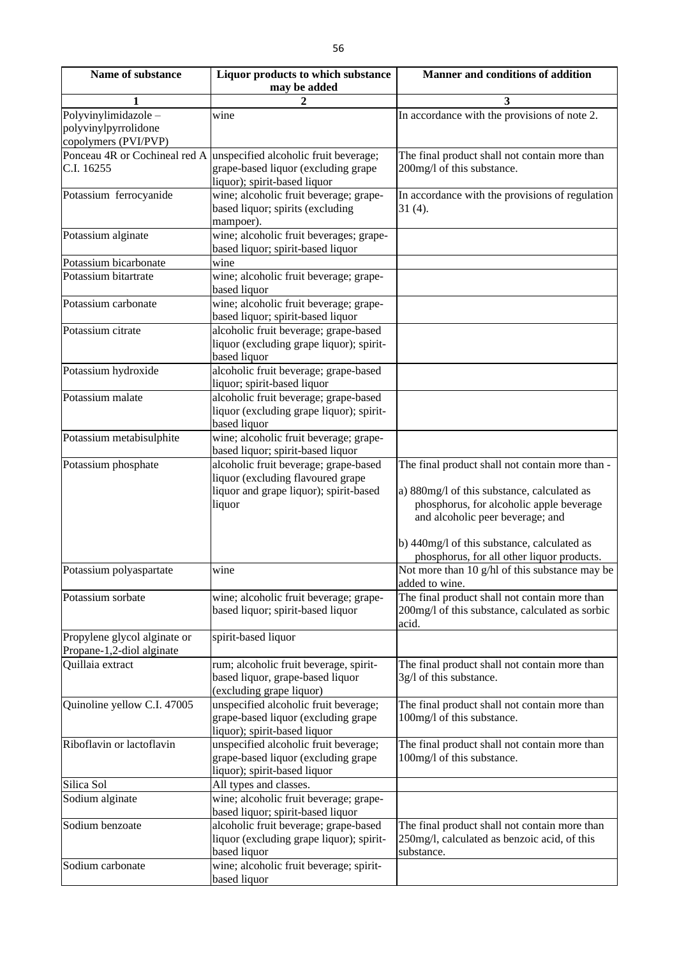| Name of substance            | Liquor products to which substance                                  | <b>Manner and conditions of addition</b>                   |
|------------------------------|---------------------------------------------------------------------|------------------------------------------------------------|
|                              | may be added                                                        |                                                            |
|                              |                                                                     | 3                                                          |
| Polyvinylimidazole-          | wine                                                                | In accordance with the provisions of note 2.               |
| polyvinylpyrrolidone         |                                                                     |                                                            |
| copolymers (PVI/PVP)         |                                                                     |                                                            |
|                              | Ponceau 4R or Cochineal red A unspecified alcoholic fruit beverage; | The final product shall not contain more than              |
| C.I. 16255                   | grape-based liquor (excluding grape                                 | 200mg/l of this substance.                                 |
|                              | liquor); spirit-based liquor                                        |                                                            |
| Potassium ferrocyanide       | wine; alcoholic fruit beverage; grape-                              | In accordance with the provisions of regulation            |
|                              | based liquor; spirits (excluding                                    | $31(4)$ .                                                  |
|                              | mampoer).                                                           |                                                            |
| Potassium alginate           | wine; alcoholic fruit beverages; grape-                             |                                                            |
|                              | based liquor; spirit-based liquor                                   |                                                            |
| Potassium bicarbonate        | wine                                                                |                                                            |
| Potassium bitartrate         | wine; alcoholic fruit beverage; grape-                              |                                                            |
|                              | based liquor                                                        |                                                            |
| Potassium carbonate          | wine; alcoholic fruit beverage; grape-                              |                                                            |
|                              | based liquor; spirit-based liquor                                   |                                                            |
| Potassium citrate            | alcoholic fruit beverage; grape-based                               |                                                            |
|                              | liquor (excluding grape liquor); spirit-                            |                                                            |
|                              | based liquor                                                        |                                                            |
| Potassium hydroxide          | alcoholic fruit beverage; grape-based                               |                                                            |
|                              | liquor; spirit-based liquor                                         |                                                            |
| Potassium malate             | alcoholic fruit beverage; grape-based                               |                                                            |
|                              | liquor (excluding grape liquor); spirit-                            |                                                            |
|                              | based liquor                                                        |                                                            |
| Potassium metabisulphite     | wine; alcoholic fruit beverage; grape-                              |                                                            |
|                              | based liquor; spirit-based liquor                                   |                                                            |
| Potassium phosphate          | alcoholic fruit beverage; grape-based                               | The final product shall not contain more than -            |
|                              | liquor (excluding flavoured grape                                   |                                                            |
|                              | liquor and grape liquor); spirit-based                              | a) 880mg/l of this substance, calculated as                |
|                              | liquor                                                              | phosphorus, for alcoholic apple beverage                   |
|                              |                                                                     | and alcoholic peer beverage; and                           |
|                              |                                                                     |                                                            |
|                              |                                                                     | b) 440mg/l of this substance, calculated as                |
|                              |                                                                     | phosphorus, for all other liquor products.                 |
| Potassium polyaspartate      | wine                                                                | Not more than 10 g/hl of this substance may be             |
|                              |                                                                     | added to wine.                                             |
| Potassium sorbate            | wine; alcoholic fruit beverage; grape-                              | The final product shall not contain more than              |
|                              | based liquor; spirit-based liquor                                   | 200mg/l of this substance, calculated as sorbic            |
|                              |                                                                     | acid.                                                      |
| Propylene glycol alginate or | spirit-based liquor                                                 |                                                            |
| Propane-1,2-diol alginate    |                                                                     |                                                            |
| Quillaia extract             | rum; alcoholic fruit beverage, spirit-                              | The final product shall not contain more than              |
|                              | based liquor, grape-based liquor                                    | 3g/l of this substance.                                    |
|                              | (excluding grape liquor)                                            |                                                            |
| Quinoline yellow C.I. 47005  | unspecified alcoholic fruit beverage;                               | The final product shall not contain more than              |
|                              | grape-based liquor (excluding grape                                 | 100mg/l of this substance.                                 |
|                              | liquor); spirit-based liquor                                        |                                                            |
| Riboflavin or lactoflavin    | unspecified alcoholic fruit beverage;                               | The final product shall not contain more than              |
|                              | grape-based liquor (excluding grape                                 | 100mg/l of this substance.                                 |
|                              | liquor); spirit-based liquor                                        |                                                            |
| Silica Sol                   | All types and classes.                                              |                                                            |
|                              | wine; alcoholic fruit beverage; grape-                              |                                                            |
| Sodium alginate              |                                                                     |                                                            |
|                              | based liquor; spirit-based liquor                                   |                                                            |
| Sodium benzoate              | alcoholic fruit beverage; grape-based                               | The final product shall not contain more than              |
|                              | liquor (excluding grape liquor); spirit-                            | 250mg/l, calculated as benzoic acid, of this<br>substance. |
|                              | based liquor                                                        |                                                            |
| Sodium carbonate             | wine; alcoholic fruit beverage; spirit-                             |                                                            |
|                              | based liquor                                                        |                                                            |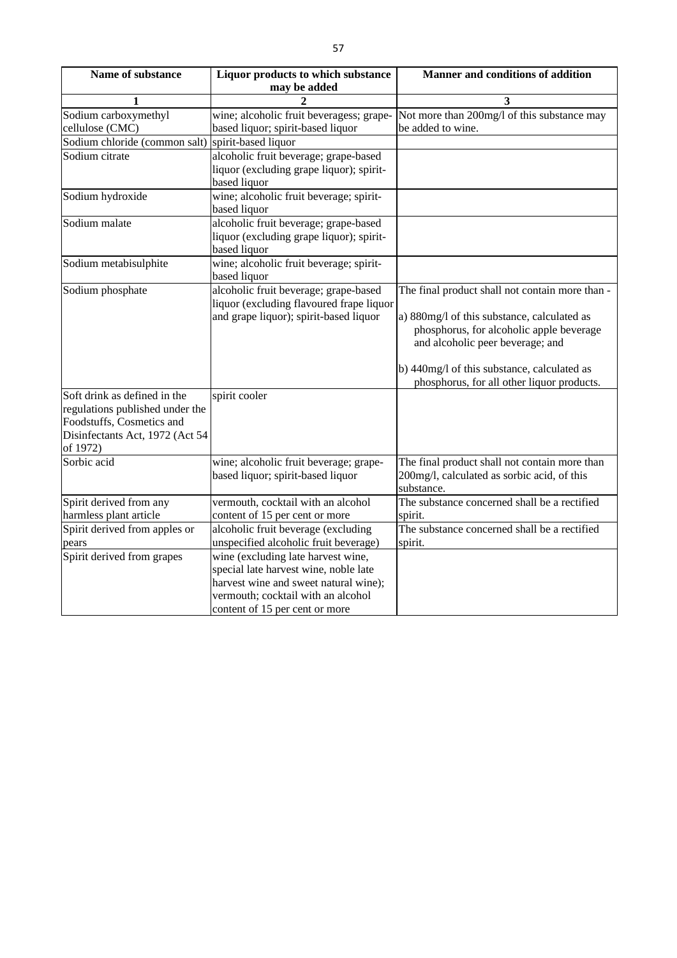| Name of substance                                                                                                                                                              | Liquor products to which substance                                                                                                                                                           | <b>Manner and conditions of addition</b>                                                                                                                                                                                                                                                                                     |
|--------------------------------------------------------------------------------------------------------------------------------------------------------------------------------|----------------------------------------------------------------------------------------------------------------------------------------------------------------------------------------------|------------------------------------------------------------------------------------------------------------------------------------------------------------------------------------------------------------------------------------------------------------------------------------------------------------------------------|
| may be added                                                                                                                                                                   |                                                                                                                                                                                              |                                                                                                                                                                                                                                                                                                                              |
| 1                                                                                                                                                                              | 2                                                                                                                                                                                            | $\overline{\mathbf{3}}$                                                                                                                                                                                                                                                                                                      |
| Sodium carboxymethyl<br>cellulose (CMC)                                                                                                                                        | wine; alcoholic fruit beveragess; grape-<br>based liquor; spirit-based liquor                                                                                                                | Not more than 200mg/l of this substance may<br>be added to wine.                                                                                                                                                                                                                                                             |
| Sodium chloride (common salt)                                                                                                                                                  | spirit-based liquor                                                                                                                                                                          |                                                                                                                                                                                                                                                                                                                              |
| Sodium citrate                                                                                                                                                                 | alcoholic fruit beverage; grape-based                                                                                                                                                        |                                                                                                                                                                                                                                                                                                                              |
|                                                                                                                                                                                | liquor (excluding grape liquor); spirit-<br>based liquor                                                                                                                                     |                                                                                                                                                                                                                                                                                                                              |
| Sodium hydroxide                                                                                                                                                               | wine; alcoholic fruit beverage; spirit-<br>based liquor                                                                                                                                      |                                                                                                                                                                                                                                                                                                                              |
| Sodium malate                                                                                                                                                                  | alcoholic fruit beverage; grape-based<br>liquor (excluding grape liquor); spirit-<br>based liquor                                                                                            |                                                                                                                                                                                                                                                                                                                              |
| Sodium metabisulphite                                                                                                                                                          | wine; alcoholic fruit beverage; spirit-<br>based liquor                                                                                                                                      |                                                                                                                                                                                                                                                                                                                              |
| Sodium phosphate<br>Soft drink as defined in the<br>regulations published under the<br>Foodstuffs, Cosmetics and<br>Disinfectants Act, 1972 (Act 54<br>of 1972)<br>Sorbic acid | alcoholic fruit beverage; grape-based<br>liquor (excluding flavoured frape liquor<br>and grape liquor); spirit-based liquor<br>spirit cooler<br>wine; alcoholic fruit beverage; grape-       | The final product shall not contain more than -<br>a) 880mg/l of this substance, calculated as<br>phosphorus, for alcoholic apple beverage<br>and alcoholic peer beverage; and<br>b) 440mg/l of this substance, calculated as<br>phosphorus, for all other liquor products.<br>The final product shall not contain more than |
|                                                                                                                                                                                | based liquor; spirit-based liquor                                                                                                                                                            | 200mg/l, calculated as sorbic acid, of this<br>substance.                                                                                                                                                                                                                                                                    |
| Spirit derived from any<br>harmless plant article                                                                                                                              | vermouth, cocktail with an alcohol<br>content of 15 per cent or more                                                                                                                         | The substance concerned shall be a rectified<br>spirit.                                                                                                                                                                                                                                                                      |
| Spirit derived from apples or                                                                                                                                                  | alcoholic fruit beverage (excluding                                                                                                                                                          | The substance concerned shall be a rectified                                                                                                                                                                                                                                                                                 |
| pears                                                                                                                                                                          | unspecified alcoholic fruit beverage)                                                                                                                                                        | spirit.                                                                                                                                                                                                                                                                                                                      |
| Spirit derived from grapes                                                                                                                                                     | wine (excluding late harvest wine,<br>special late harvest wine, noble late<br>harvest wine and sweet natural wine);<br>vermouth; cocktail with an alcohol<br>content of 15 per cent or more |                                                                                                                                                                                                                                                                                                                              |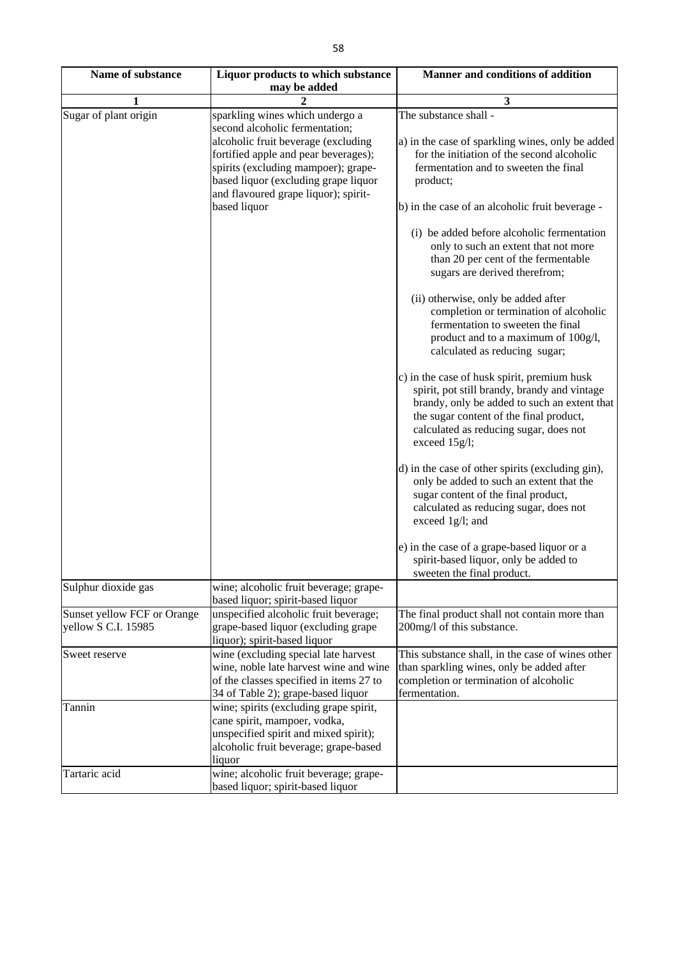| Name of substance                                  | Liquor products to which substance                                                                                                                                                                                                                                                      | Manner and conditions of addition                                                                                                                                                                                                                                                                                                                                                             |
|----------------------------------------------------|-----------------------------------------------------------------------------------------------------------------------------------------------------------------------------------------------------------------------------------------------------------------------------------------|-----------------------------------------------------------------------------------------------------------------------------------------------------------------------------------------------------------------------------------------------------------------------------------------------------------------------------------------------------------------------------------------------|
|                                                    | may be added                                                                                                                                                                                                                                                                            |                                                                                                                                                                                                                                                                                                                                                                                               |
| 1                                                  |                                                                                                                                                                                                                                                                                         | $\mathbf{3}$                                                                                                                                                                                                                                                                                                                                                                                  |
| Sugar of plant origin                              | sparkling wines which undergo a<br>second alcoholic fermentation;<br>alcoholic fruit beverage (excluding<br>fortified apple and pear beverages);<br>spirits (excluding mampoer); grape-<br>based liquor (excluding grape liquor<br>and flavoured grape liquor); spirit-<br>based liquor | The substance shall -<br>a) in the case of sparkling wines, only be added<br>for the initiation of the second alcoholic<br>fermentation and to sweeten the final<br>product;<br>b) in the case of an alcoholic fruit beverage -<br>(i) be added before alcoholic fermentation<br>only to such an extent that not more<br>than 20 per cent of the fermentable<br>sugars are derived therefrom; |
|                                                    |                                                                                                                                                                                                                                                                                         | (ii) otherwise, only be added after<br>completion or termination of alcoholic<br>fermentation to sweeten the final<br>product and to a maximum of 100g/l,<br>calculated as reducing sugar;                                                                                                                                                                                                    |
|                                                    |                                                                                                                                                                                                                                                                                         | c) in the case of husk spirit, premium husk<br>spirit, pot still brandy, brandy and vintage<br>brandy, only be added to such an extent that<br>the sugar content of the final product,<br>calculated as reducing sugar, does not<br>exceed $15g/l$ ;                                                                                                                                          |
|                                                    |                                                                                                                                                                                                                                                                                         | d) in the case of other spirits (excluding gin),<br>only be added to such an extent that the<br>sugar content of the final product,<br>calculated as reducing sugar, does not<br>exceed 1g/l; and                                                                                                                                                                                             |
|                                                    |                                                                                                                                                                                                                                                                                         | e) in the case of a grape-based liquor or a<br>spirit-based liquor, only be added to<br>sweeten the final product.                                                                                                                                                                                                                                                                            |
| Sulphur dioxide gas                                | wine; alcoholic fruit beverage; grape-<br>based liquor; spirit-based liquor                                                                                                                                                                                                             |                                                                                                                                                                                                                                                                                                                                                                                               |
| Sunset yellow FCF or Orange<br>yellow S C.I. 15985 | unspecified alcoholic fruit beverage;<br>grape-based liquor (excluding grape<br>liquor); spirit-based liquor                                                                                                                                                                            | The final product shall not contain more than<br>200mg/l of this substance.                                                                                                                                                                                                                                                                                                                   |
| Sweet reserve                                      | wine (excluding special late harvest<br>wine, noble late harvest wine and wine<br>of the classes specified in items 27 to<br>34 of Table 2); grape-based liquor                                                                                                                         | This substance shall, in the case of wines other<br>than sparkling wines, only be added after<br>completion or termination of alcoholic<br>fermentation.                                                                                                                                                                                                                                      |
| Tannin                                             | wine; spirits (excluding grape spirit,<br>cane spirit, mampoer, vodka,<br>unspecified spirit and mixed spirit);<br>alcoholic fruit beverage; grape-based<br>liquor                                                                                                                      |                                                                                                                                                                                                                                                                                                                                                                                               |
| Tartaric acid                                      | wine; alcoholic fruit beverage; grape-<br>based liquor; spirit-based liquor                                                                                                                                                                                                             |                                                                                                                                                                                                                                                                                                                                                                                               |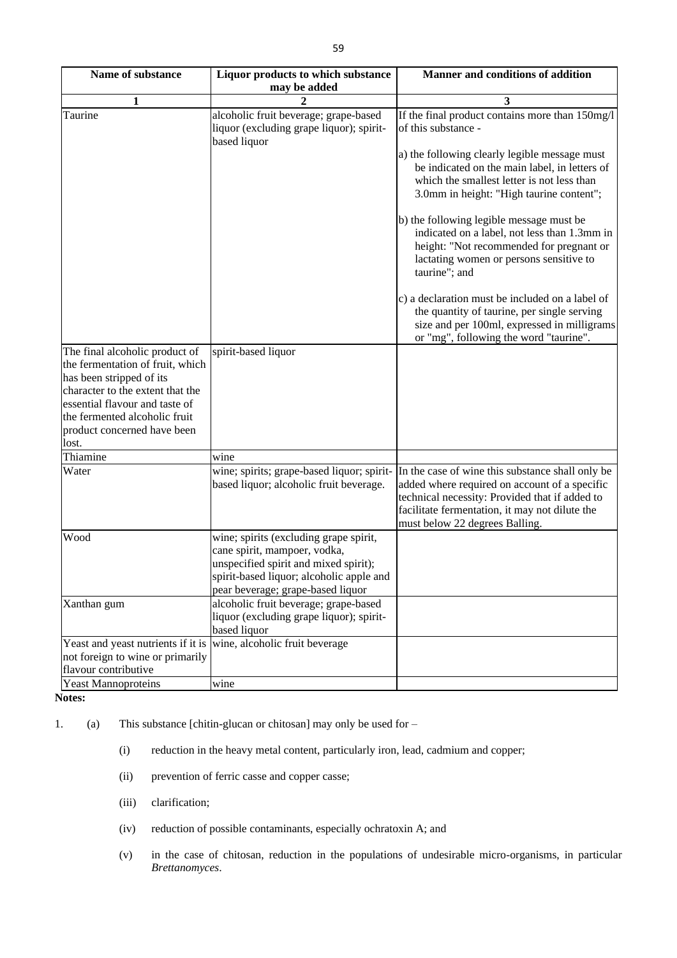| <b>Name of substance</b>           | Liquor products to which substance<br>may be added                                                                                                                                               | <b>Manner and conditions of addition</b>                                                                                                                                                                                                |
|------------------------------------|--------------------------------------------------------------------------------------------------------------------------------------------------------------------------------------------------|-----------------------------------------------------------------------------------------------------------------------------------------------------------------------------------------------------------------------------------------|
| 1                                  |                                                                                                                                                                                                  | 3                                                                                                                                                                                                                                       |
| Taurine                            | alcoholic fruit beverage; grape-based<br>liquor (excluding grape liquor); spirit-<br>based liquor                                                                                                | If the final product contains more than 150mg/l<br>of this substance -                                                                                                                                                                  |
|                                    |                                                                                                                                                                                                  | a) the following clearly legible message must<br>be indicated on the main label, in letters of<br>which the smallest letter is not less than<br>3.0mm in height: "High taurine content";                                                |
|                                    |                                                                                                                                                                                                  | b) the following legible message must be<br>indicated on a label, not less than 1.3mm in<br>height: "Not recommended for pregnant or<br>lactating women or persons sensitive to<br>taurine"; and                                        |
|                                    |                                                                                                                                                                                                  | c) a declaration must be included on a label of<br>the quantity of taurine, per single serving<br>size and per 100ml, expressed in milligrams<br>or "mg", following the word "taurine".                                                 |
| The final alcoholic product of     | spirit-based liquor                                                                                                                                                                              |                                                                                                                                                                                                                                         |
| the fermentation of fruit, which   |                                                                                                                                                                                                  |                                                                                                                                                                                                                                         |
| has been stripped of its           |                                                                                                                                                                                                  |                                                                                                                                                                                                                                         |
| character to the extent that the   |                                                                                                                                                                                                  |                                                                                                                                                                                                                                         |
| essential flavour and taste of     |                                                                                                                                                                                                  |                                                                                                                                                                                                                                         |
| the fermented alcoholic fruit      |                                                                                                                                                                                                  |                                                                                                                                                                                                                                         |
| product concerned have been        |                                                                                                                                                                                                  |                                                                                                                                                                                                                                         |
| lost.                              |                                                                                                                                                                                                  |                                                                                                                                                                                                                                         |
| Thiamine                           | wine                                                                                                                                                                                             |                                                                                                                                                                                                                                         |
| Water                              | wine; spirits; grape-based liquor; spirit-<br>based liquor; alcoholic fruit beverage.                                                                                                            | In the case of wine this substance shall only be<br>added where required on account of a specific<br>technical necessity: Provided that if added to<br>facilitate fermentation, it may not dilute the<br>must below 22 degrees Balling. |
| Wood                               | wine; spirits (excluding grape spirit,<br>cane spirit, mampoer, vodka,<br>unspecified spirit and mixed spirit);<br>spirit-based liquor; alcoholic apple and<br>pear beverage; grape-based liquor |                                                                                                                                                                                                                                         |
| Xanthan gum                        | alcoholic fruit beverage; grape-based<br>liquor (excluding grape liquor); spirit-<br>based liquor                                                                                                |                                                                                                                                                                                                                                         |
| Yeast and yeast nutrients if it is | wine, alcoholic fruit beverage                                                                                                                                                                   |                                                                                                                                                                                                                                         |
| not foreign to wine or primarily   |                                                                                                                                                                                                  |                                                                                                                                                                                                                                         |
| flavour contributive               |                                                                                                                                                                                                  |                                                                                                                                                                                                                                         |
| <b>Yeast Mannoproteins</b>         | wine                                                                                                                                                                                             |                                                                                                                                                                                                                                         |

**Notes:**

1. (a) This substance [chitin-glucan or chitosan] may only be used for –

- (i) reduction in the heavy metal content, particularly iron, lead, cadmium and copper;
- (ii) prevention of ferric casse and copper casse;
- (iii) clarification;
- (iv) reduction of possible contaminants, especially ochratoxin A; and
- (v) in the case of chitosan, reduction in the populations of undesirable micro-organisms, in particular *Brettanomyces*.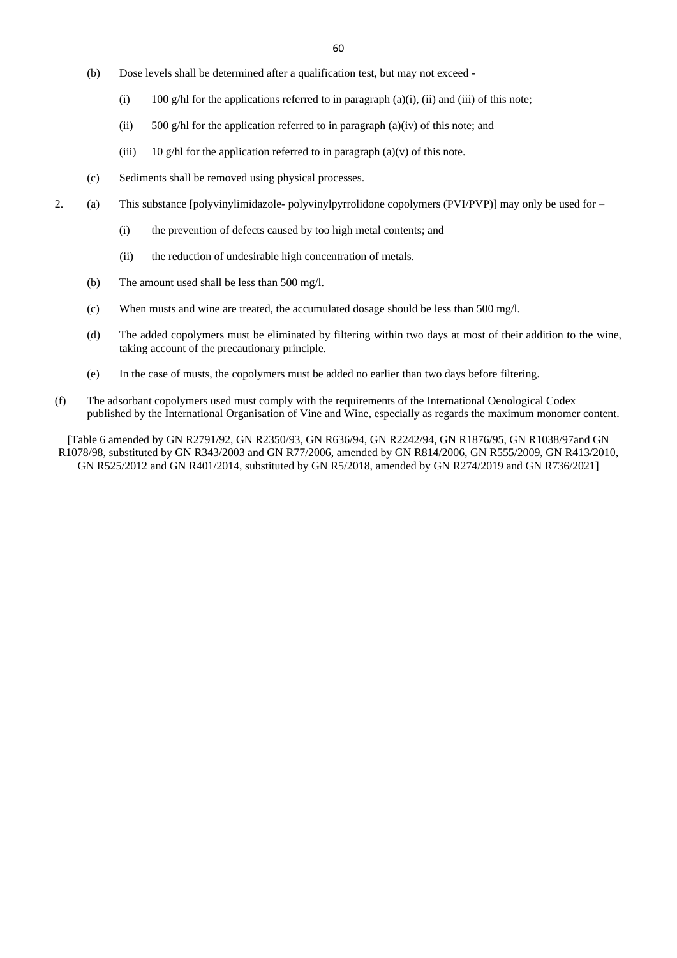- (b) Dose levels shall be determined after a qualification test, but may not exceed
	- (i) 100 g/hl for the applications referred to in paragraph (a)(i), (ii) and (iii) of this note;
	- (ii) 500 g/hl for the application referred to in paragraph (a)(iv) of this note; and
	- (iii) 10 g/hl for the application referred to in paragraph (a)(v) of this note.
- (c) Sediments shall be removed using physical processes.
- 2. (a) This substance [polyvinylimidazole- polyvinylpyrrolidone copolymers (PVI/PVP)] may only be used for
	- (i) the prevention of defects caused by too high metal contents; and
	- (ii) the reduction of undesirable high concentration of metals.
	- (b) The amount used shall be less than 500 mg/l.
	- (c) When musts and wine are treated, the accumulated dosage should be less than 500 mg/l.
	- (d) The added copolymers must be eliminated by filtering within two days at most of their addition to the wine, taking account of the precautionary principle.
	- (e) In the case of musts, the copolymers must be added no earlier than two days before filtering.
- (f) The adsorbant copolymers used must comply with the requirements of the International Oenological Codex published by the International Organisation of Vine and Wine, especially as regards the maximum monomer content.

[Table 6 amended by GN R2791/92, GN R2350/93, GN R636/94, GN R2242/94, GN R1876/95, GN R1038/97and GN R1078/98, substituted by GN R343/2003 and GN R77/2006, amended by GN R814/2006, GN R555/2009, GN R413/2010, GN R525/2012 and GN R401/2014, substituted by GN R5/2018, amended by GN R274/2019 and GN R736/2021]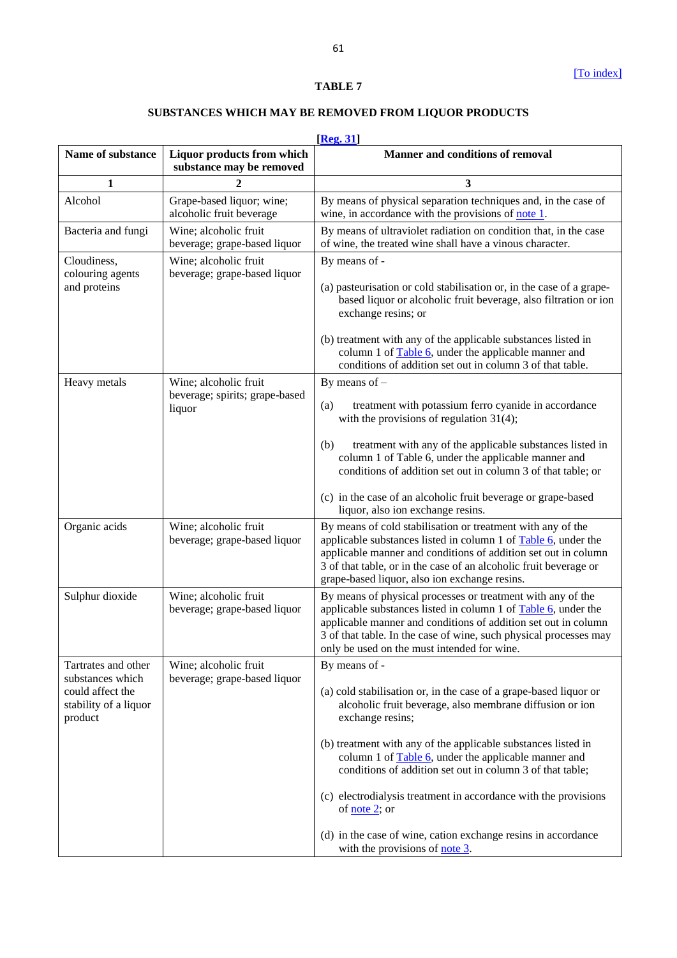# **TABLE 7**

# **SUBSTANCES WHICH MAY BE REMOVED FROM LIQUOR PRODUCTS**

<span id="page-60-0"></span>

| [Reg. 31]                                                                                       |                                                                   |                                                                                                                                                                                                                                                                                                                                                                                                                                                                                                                                                                                      |  |
|-------------------------------------------------------------------------------------------------|-------------------------------------------------------------------|--------------------------------------------------------------------------------------------------------------------------------------------------------------------------------------------------------------------------------------------------------------------------------------------------------------------------------------------------------------------------------------------------------------------------------------------------------------------------------------------------------------------------------------------------------------------------------------|--|
| Name of substance                                                                               | Liquor products from which<br>substance may be removed            | <b>Manner and conditions of removal</b>                                                                                                                                                                                                                                                                                                                                                                                                                                                                                                                                              |  |
| 1                                                                                               |                                                                   | 3                                                                                                                                                                                                                                                                                                                                                                                                                                                                                                                                                                                    |  |
| Alcohol                                                                                         | Grape-based liquor; wine;<br>alcoholic fruit beverage             | By means of physical separation techniques and, in the case of<br>wine, in accordance with the provisions of <u>note 1</u> .                                                                                                                                                                                                                                                                                                                                                                                                                                                         |  |
| Bacteria and fungi                                                                              | Wine; alcoholic fruit<br>beverage; grape-based liquor             | By means of ultraviolet radiation on condition that, in the case<br>of wine, the treated wine shall have a vinous character.                                                                                                                                                                                                                                                                                                                                                                                                                                                         |  |
| Cloudiness,<br>colouring agents<br>and proteins                                                 | Wine; alcoholic fruit<br>beverage; grape-based liquor             | By means of -<br>(a) pasteurisation or cold stabilisation or, in the case of a grape-<br>based liquor or alcoholic fruit beverage, also filtration or ion<br>exchange resins; or<br>(b) treatment with any of the applicable substances listed in<br>column 1 of <b>Table 6</b> , under the applicable manner and<br>conditions of addition set out in column 3 of that table.                                                                                                                                                                                                       |  |
| Heavy metals                                                                                    | Wine; alcoholic fruit<br>beverage; spirits; grape-based<br>liquor | By means of $-$<br>treatment with potassium ferro cyanide in accordance<br>(a)<br>with the provisions of regulation $31(4)$ ;<br>treatment with any of the applicable substances listed in<br>(b)<br>column 1 of Table 6, under the applicable manner and<br>conditions of addition set out in column 3 of that table; or<br>(c) in the case of an alcoholic fruit beverage or grape-based<br>liquor, also ion exchange resins.                                                                                                                                                      |  |
| Organic acids                                                                                   | Wine; alcoholic fruit<br>beverage; grape-based liquor             | By means of cold stabilisation or treatment with any of the<br>applicable substances listed in column 1 of $Table 6$ , under the<br>applicable manner and conditions of addition set out in column<br>3 of that table, or in the case of an alcoholic fruit beverage or<br>grape-based liquor, also ion exchange resins.                                                                                                                                                                                                                                                             |  |
| Sulphur dioxide                                                                                 | Wine; alcoholic fruit<br>beverage; grape-based liquor             | By means of physical processes or treatment with any of the<br>applicable substances listed in column 1 of Table 6, under the<br>applicable manner and conditions of addition set out in column<br>3 of that table. In the case of wine, such physical processes may<br>only be used on the must intended for wine.                                                                                                                                                                                                                                                                  |  |
| Tartrates and other<br>substances which<br>could affect the<br>stability of a liquor<br>product | Wine; alcoholic fruit<br>beverage; grape-based liquor             | By means of -<br>(a) cold stabilisation or, in the case of a grape-based liquor or<br>alcoholic fruit beverage, also membrane diffusion or ion<br>exchange resins;<br>(b) treatment with any of the applicable substances listed in<br>column 1 of <b>Table 6</b> , under the applicable manner and<br>conditions of addition set out in column 3 of that table;<br>(c) electrodialysis treatment in accordance with the provisions<br>of <u>note 2</u> ; or<br>(d) in the case of wine, cation exchange resins in accordance<br>with the provisions of <u>note <math>3</math></u> . |  |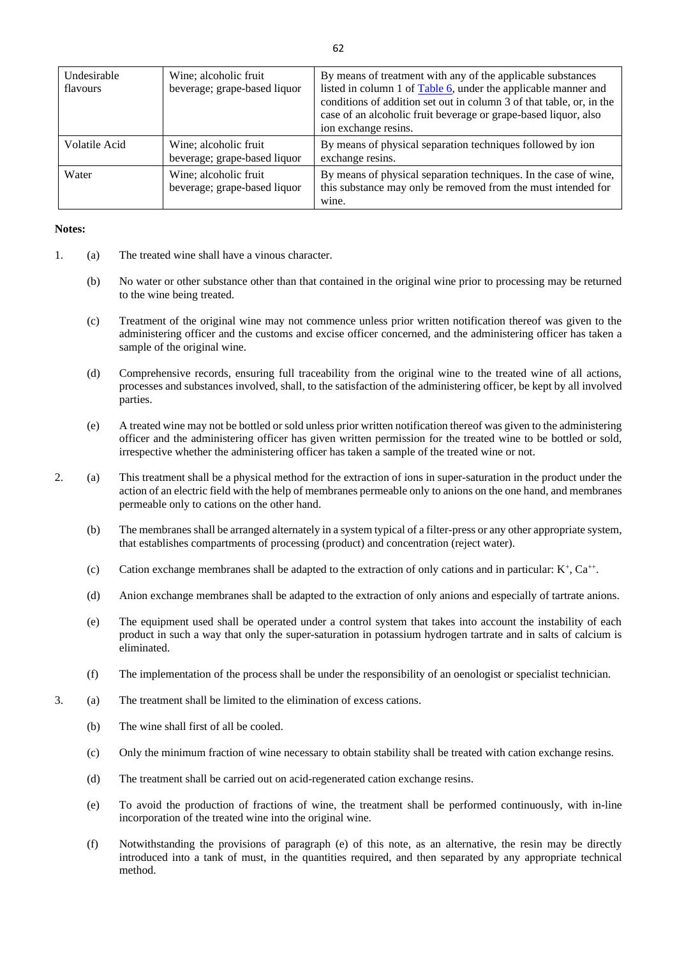| Undesirable<br>flavours | Wine; alcoholic fruit<br>beverage; grape-based liquor | By means of treatment with any of the applicable substances<br>listed in column 1 of Table 6, under the applicable manner and<br>conditions of addition set out in column 3 of that table, or, in the<br>case of an alcoholic fruit beverage or grape-based liquor, also<br>ion exchange resins. |
|-------------------------|-------------------------------------------------------|--------------------------------------------------------------------------------------------------------------------------------------------------------------------------------------------------------------------------------------------------------------------------------------------------|
| Volatile Acid           | Wine; alcoholic fruit<br>beverage; grape-based liquor | By means of physical separation techniques followed by ion<br>exchange resins.                                                                                                                                                                                                                   |
| Water                   | Wine; alcoholic fruit<br>beverage; grape-based liquor | By means of physical separation techniques. In the case of wine,<br>this substance may only be removed from the must intended for<br>wine.                                                                                                                                                       |

#### **Notes:**

- <span id="page-61-0"></span>1. (a) The treated wine shall have a vinous character.
	- (b) No water or other substance other than that contained in the original wine prior to processing may be returned to the wine being treated.
	- (c) Treatment of the original wine may not commence unless prior written notification thereof was given to the administering officer and the customs and excise officer concerned, and the administering officer has taken a sample of the original wine.
	- (d) Comprehensive records, ensuring full traceability from the original wine to the treated wine of all actions, processes and substances involved, shall, to the satisfaction of the administering officer, be kept by all involved parties.
	- (e) A treated wine may not be bottled or sold unless prior written notification thereof was given to the administering officer and the administering officer has given written permission for the treated wine to be bottled or sold, irrespective whether the administering officer has taken a sample of the treated wine or not.
- <span id="page-61-1"></span>2. (a) This treatment shall be a physical method for the extraction of ions in super-saturation in the product under the action of an electric field with the help of membranes permeable only to anions on the one hand, and membranes permeable only to cations on the other hand.
	- (b) The membranes shall be arranged alternately in a system typical of a filter-press or any other appropriate system, that establishes compartments of processing (product) and concentration (reject water).
	- (c) Cation exchange membranes shall be adapted to the extraction of only cations and in particular:  $K^+$ ,  $Ca^{++}$ .
	- (d) Anion exchange membranes shall be adapted to the extraction of only anions and especially of tartrate anions.
	- (e) The equipment used shall be operated under a control system that takes into account the instability of each product in such a way that only the super-saturation in potassium hydrogen tartrate and in salts of calcium is eliminated.
	- (f) The implementation of the process shall be under the responsibility of an oenologist or specialist technician.
- <span id="page-61-2"></span>3. (a) The treatment shall be limited to the elimination of excess cations.
	- (b) The wine shall first of all be cooled.
	- (c) Only the minimum fraction of wine necessary to obtain stability shall be treated with cation exchange resins.
	- (d) The treatment shall be carried out on acid-regenerated cation exchange resins.
	- (e) To avoid the production of fractions of wine, the treatment shall be performed continuously, with in-line incorporation of the treated wine into the original wine.
	- (f) Notwithstanding the provisions of paragraph (e) of this note, as an alternative, the resin may be directly introduced into a tank of must, in the quantities required, and then separated by any appropriate technical method.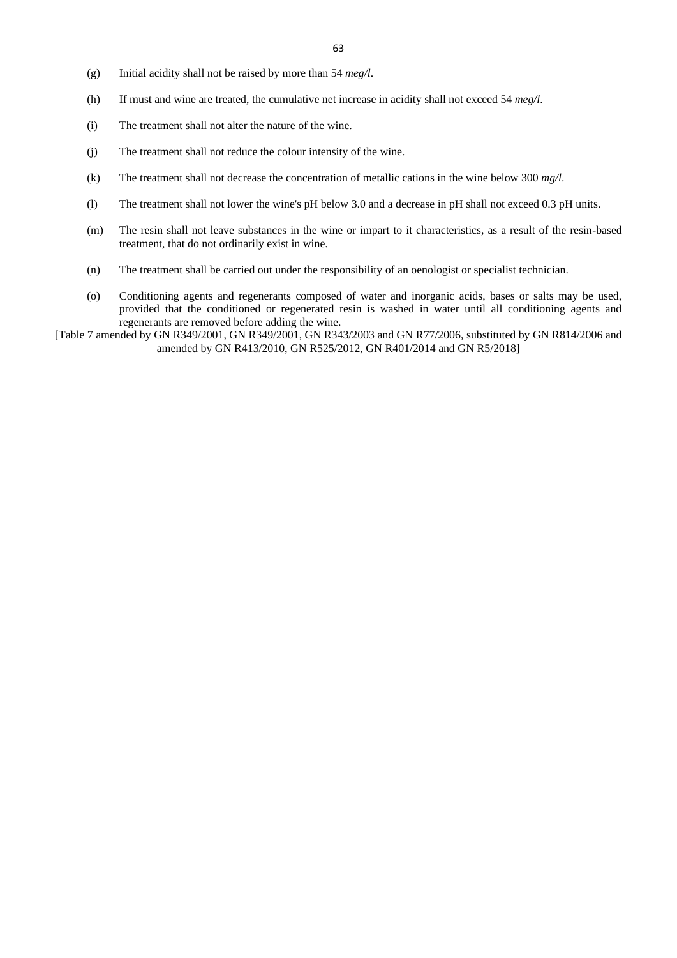- (g) Initial acidity shall not be raised by more than 54 *meg/l*.
- (h) If must and wine are treated, the cumulative net increase in acidity shall not exceed 54 *meg/l*.
- (i) The treatment shall not alter the nature of the wine.
- (j) The treatment shall not reduce the colour intensity of the wine.
- (k) The treatment shall not decrease the concentration of metallic cations in the wine below 300 *mg/l*.
- (l) The treatment shall not lower the wine's pH below 3.0 and a decrease in pH shall not exceed 0.3 pH units.
- (m) The resin shall not leave substances in the wine or impart to it characteristics, as a result of the resin-based treatment, that do not ordinarily exist in wine.
- (n) The treatment shall be carried out under the responsibility of an oenologist or specialist technician.
- (o) Conditioning agents and regenerants composed of water and inorganic acids, bases or salts may be used, provided that the conditioned or regenerated resin is washed in water until all conditioning agents and regenerants are removed before adding the wine.

[Table 7 amended by GN R349/2001, GN R349/2001, GN R343/2003 and GN R77/2006, substituted by GN R814/2006 and amended by GN R413/2010, GN R525/2012, GN R401/2014 and GN R5/2018]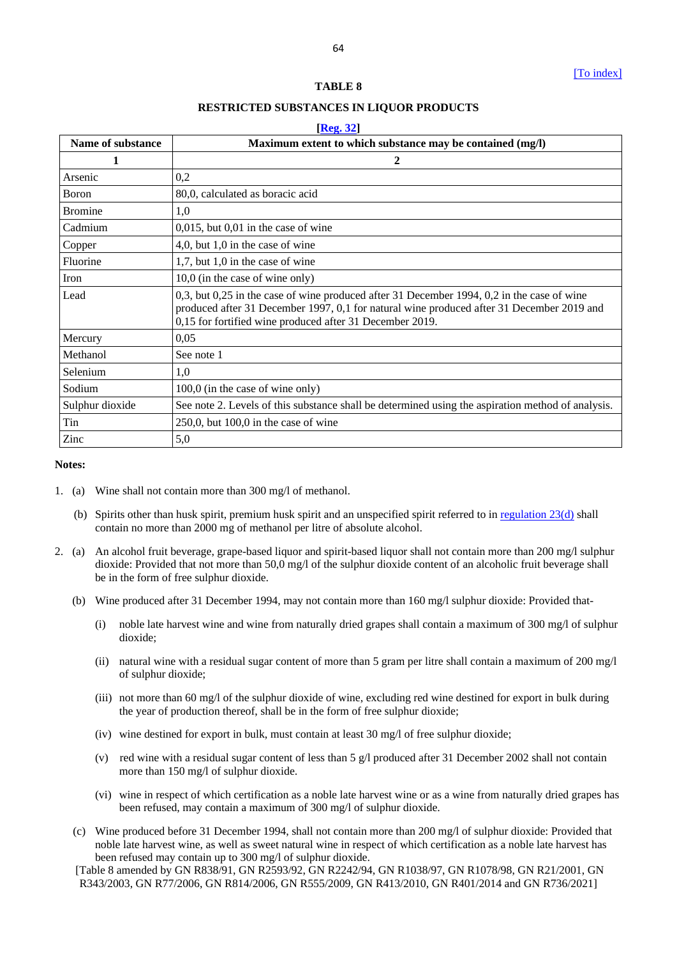## **TABLE 8**

### **RESTRICTED SUBSTANCES IN LIQUOR PRODUCTS**

<span id="page-63-0"></span>

| <b>Name of substance</b> | Maximum extent to which substance may be contained (mg/l)                                                                                                                                                                                           |
|--------------------------|-----------------------------------------------------------------------------------------------------------------------------------------------------------------------------------------------------------------------------------------------------|
| 1                        | 2                                                                                                                                                                                                                                                   |
| Arsenic                  | 0,2                                                                                                                                                                                                                                                 |
| Boron                    | 80.0, calculated as boracic acid                                                                                                                                                                                                                    |
| <b>Bromine</b>           | 1,0                                                                                                                                                                                                                                                 |
| Cadmium                  | $0,015$ , but $0,01$ in the case of wine                                                                                                                                                                                                            |
| Copper                   | 4,0, but $1,0$ in the case of wine                                                                                                                                                                                                                  |
| Fluorine                 | 1,7, but $1,0$ in the case of wine                                                                                                                                                                                                                  |
| Iron                     | 10,0 (in the case of wine only)                                                                                                                                                                                                                     |
| Lead                     | 0,3, but 0,25 in the case of wine produced after 31 December 1994, 0,2 in the case of wine<br>produced after 31 December 1997, 0,1 for natural wine produced after 31 December 2019 and<br>0,15 for fortified wine produced after 31 December 2019. |
| Mercury                  | 0,05                                                                                                                                                                                                                                                |
| Methanol                 | See note 1                                                                                                                                                                                                                                          |
| Selenium                 | 1,0                                                                                                                                                                                                                                                 |
| Sodium                   | 100,0 (in the case of wine only)                                                                                                                                                                                                                    |
| Sulphur dioxide          | See note 2. Levels of this substance shall be determined using the aspiration method of analysis.                                                                                                                                                   |
| Tin                      | $250,0$ , but $100,0$ in the case of wine                                                                                                                                                                                                           |
| Zinc                     | 5,0                                                                                                                                                                                                                                                 |

#### **Notes:**

- 1. (a) Wine shall not contain more than 300 mg/l of methanol.
	- (b) Spirits other than husk spirit, premium husk spirit and an unspecified spirit referred to in [regulation 23\(d\)](#page-10-7) shall contain no more than 2000 mg of methanol per litre of absolute alcohol.
- 2. (a) An alcohol fruit beverage, grape-based liquor and spirit-based liquor shall not contain more than 200 mg/l sulphur dioxide: Provided that not more than 50,0 mg/l of the sulphur dioxide content of an alcoholic fruit beverage shall be in the form of free sulphur dioxide.
	- (b) Wine produced after 31 December 1994, may not contain more than 160 mg/l sulphur dioxide: Provided that-
		- (i) noble late harvest wine and wine from naturally dried grapes shall contain a maximum of 300 mg/l of sulphur dioxide;
		- (ii) natural wine with a residual sugar content of more than 5 gram per litre shall contain a maximum of 200 mg/l of sulphur dioxide;
		- (iii) not more than 60 mg/l of the sulphur dioxide of wine, excluding red wine destined for export in bulk during the year of production thereof, shall be in the form of free sulphur dioxide;
		- (iv) wine destined for export in bulk, must contain at least 30 mg/l of free sulphur dioxide;
		- (v) red wine with a residual sugar content of less than 5 g/l produced after 31 December 2002 shall not contain more than 150 mg/l of sulphur dioxide.
		- (vi) wine in respect of which certification as a noble late harvest wine or as a wine from naturally dried grapes has been refused, may contain a maximum of 300 mg/l of sulphur dioxide.
	- (c) Wine produced before 31 December 1994, shall not contain more than 200 mg/l of sulphur dioxide: Provided that noble late harvest wine, as well as sweet natural wine in respect of which certification as a noble late harvest has been refused may contain up to 300 mg/l of sulphur dioxide.

[Table 8 amended by GN R838/91, GN R2593/92, GN R2242/94, GN R1038/97, GN R1078/98, GN R21/2001, GN R343/2003, GN R77/2006, GN R814/2006, GN R555/2009, GN R413/2010, GN R401/2014 and GN R736/2021]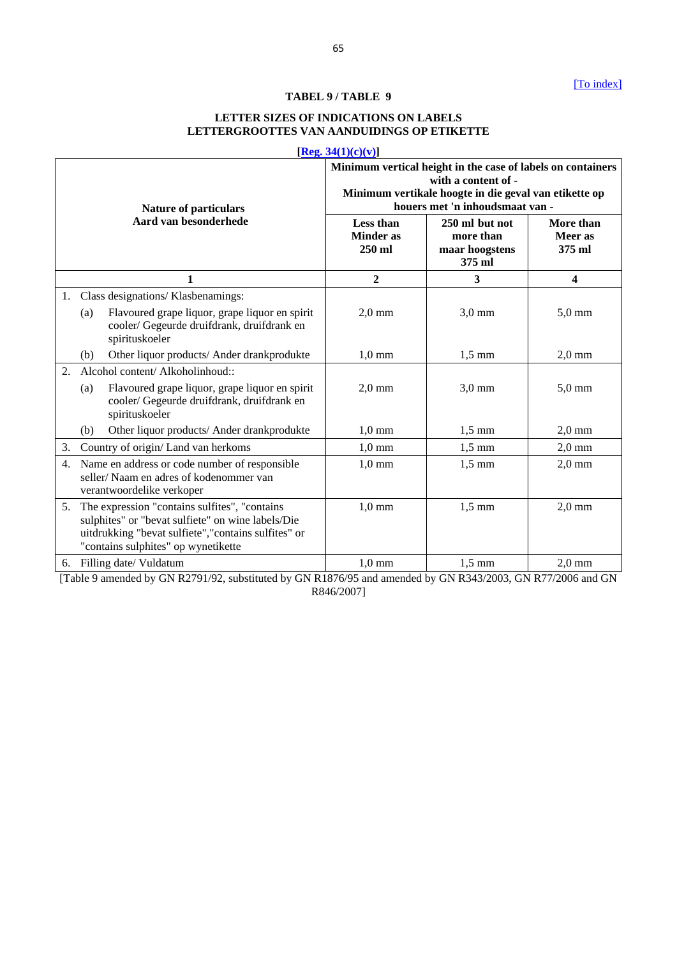# [\[To index\]](#page-1-6)

# **TABEL 9 / TABLE 9**

### **LETTER SIZES OF INDICATIONS ON LABELS LETTERGROOTTES VAN AANDUIDINGS OP ETIKETTE**

<span id="page-64-0"></span>

|                              | [Reg. $34(1)(c)(v)$ ]                                                                                                                                                                                |                                           |                                                                                                                                                                                |                                |  |
|------------------------------|------------------------------------------------------------------------------------------------------------------------------------------------------------------------------------------------------|-------------------------------------------|--------------------------------------------------------------------------------------------------------------------------------------------------------------------------------|--------------------------------|--|
| <b>Nature of particulars</b> |                                                                                                                                                                                                      |                                           | Minimum vertical height in the case of labels on containers<br>with a content of -<br>Minimum vertikale hoogte in die geval van etikette op<br>houers met 'n inhoudsmaat van - |                                |  |
|                              | Aard van besonderhede                                                                                                                                                                                | Less than<br><b>Minder</b> as<br>$250$ ml | 250 ml but not<br>more than<br>maar hoogstens<br>375 ml                                                                                                                        | More than<br>Meer as<br>375 ml |  |
|                              | 1                                                                                                                                                                                                    | $\overline{2}$                            | 3                                                                                                                                                                              | 4                              |  |
| 1.                           | Class designations/ Klasbenamings:                                                                                                                                                                   |                                           |                                                                                                                                                                                |                                |  |
|                              | Flavoured grape liquor, grape liquor en spirit<br>(a)<br>cooler/ Gegeurde druifdrank, druifdrank en<br>spirituskoeler                                                                                | $2,0$ mm                                  | $3,0$ mm                                                                                                                                                                       | $5,0$ mm                       |  |
|                              | Other liquor products/ Ander drankprodukte<br>(b)                                                                                                                                                    | $1,0$ mm                                  | $1,5$ mm                                                                                                                                                                       | $2,0$ mm                       |  |
| $\mathfrak{D}$ .             | Alcohol content/ Alkoholinhoud::<br>Flavoured grape liquor, grape liquor en spirit<br>(a)<br>cooler/ Gegeurde druifdrank, druifdrank en<br>spirituskoeler                                            | $2,0$ mm                                  | $3,0$ mm                                                                                                                                                                       | $5,0$ mm                       |  |
|                              | Other liquor products/ Ander drankprodukte<br>(b)                                                                                                                                                    | $1,0$ mm                                  | $1,5$ mm                                                                                                                                                                       | $2,0$ mm                       |  |
| 3.                           | Country of origin/ Land van herkoms                                                                                                                                                                  | $1,0$ mm                                  | $1,5$ mm                                                                                                                                                                       | $2,0$ mm                       |  |
|                              | 4. Name en address or code number of responsible<br>seller/Naam en adres of kodenommer van<br>verantwoordelike verkoper                                                                              | $1,0$ mm                                  | $1,5$ mm                                                                                                                                                                       | $2,0$ mm                       |  |
|                              | 5. The expression "contains sulfites", "contains<br>sulphites" or "bevat sulfiete" on wine labels/Die<br>uitdrukking "bevat sulfiete", "contains sulfites" or<br>"contains sulphites" op wynetikette | $1,0$ mm                                  | $1,5$ mm                                                                                                                                                                       | $2,0$ mm                       |  |
|                              | 6. Filling date/Vuldatum                                                                                                                                                                             | $1,0$ mm                                  | $1,5$ mm                                                                                                                                                                       | $2,0$ mm                       |  |

[Table 9 amended by GN R2791/92, substituted by GN R1876/95 and amended by GN R343/2003, GN R77/2006 and GN R846/2007]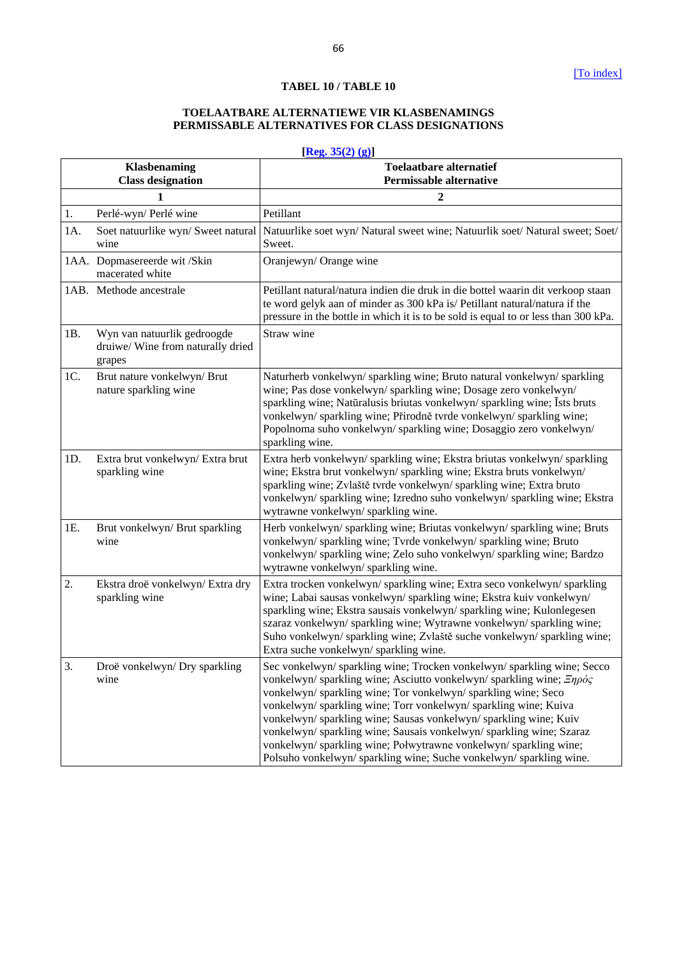# **TABEL 10 / TABLE 10**

# **TOELAATBARE ALTERNATIEWE VIR KLASBENAMINGS PERMISSABLE ALTERNATIVES FOR CLASS DESIGNATIONS**

# **[\[Reg. 35\(2\) \(g\)\]](#page-16-2)**

<span id="page-65-0"></span>

|     | <b>Klasbenaming</b><br><b>Class designation</b>                            | <b>Toelaatbare alternatief</b><br><b>Permissable alternative</b>                                                                                                                                                                                                                                                                                                                                                                                                                                                                                                        |
|-----|----------------------------------------------------------------------------|-------------------------------------------------------------------------------------------------------------------------------------------------------------------------------------------------------------------------------------------------------------------------------------------------------------------------------------------------------------------------------------------------------------------------------------------------------------------------------------------------------------------------------------------------------------------------|
|     | 1                                                                          | $\overline{2}$                                                                                                                                                                                                                                                                                                                                                                                                                                                                                                                                                          |
| 1.  | Perlé-wyn/ Perlé wine                                                      | Petillant                                                                                                                                                                                                                                                                                                                                                                                                                                                                                                                                                               |
| 1A. | Soet natuurlike wyn/ Sweet natural<br>wine                                 | Natuurlike soet wyn/ Natural sweet wine; Natuurlik soet/ Natural sweet; Soet/<br>Sweet.                                                                                                                                                                                                                                                                                                                                                                                                                                                                                 |
|     | 1AA. Dopmasereerde wit /Skin<br>macerated white                            | Oranjewyn/ Orange wine                                                                                                                                                                                                                                                                                                                                                                                                                                                                                                                                                  |
|     | 1AB. Methode ancestrale                                                    | Petillant natural/natura indien die druk in die bottel waarin dit verkoop staan<br>te word gelyk aan of minder as 300 kPa is/ Petillant natural/natura if the<br>pressure in the bottle in which it is to be sold is equal to or less than 300 kPa.                                                                                                                                                                                                                                                                                                                     |
| 1B. | Wyn van natuurlik gedroogde<br>druiwe/ Wine from naturally dried<br>grapes | Straw wine                                                                                                                                                                                                                                                                                                                                                                                                                                                                                                                                                              |
| 1C. | Brut nature vonkelwyn/Brut<br>nature sparkling wine                        | Naturherb vonkelwyn/sparkling wine; Bruto natural vonkelwyn/sparkling<br>wine; Pas dose vonkelwyn/sparkling wine; Dosage zero vonkelwyn/<br>sparkling wine; Natūralusis briutas vonkelwyn/sparkling wine; Ists bruts<br>vonkelwyn/ sparkling wine; Přirodně tvrde vonkelwyn/ sparkling wine;<br>Popolnoma suho vonkelwyn/ sparkling wine; Dosaggio zero vonkelwyn/<br>sparkling wine.                                                                                                                                                                                   |
| 1D. | Extra brut vonkelwyn/ Extra brut<br>sparkling wine                         | Extra herb vonkelwyn/ sparkling wine; Ekstra briutas vonkelwyn/ sparkling<br>wine; Ekstra brut vonkelwyn/ sparkling wine; Ekstra bruts vonkelwyn/<br>sparkling wine; Zvlaště tvrde vonkelwyn/sparkling wine; Extra bruto<br>vonkelwyn/sparkling wine; Izredno suho vonkelwyn/sparkling wine; Ekstra<br>wytrawne vonkelwyn/sparkling wine.                                                                                                                                                                                                                               |
| 1E. | Brut vonkelwyn/ Brut sparkling<br>wine                                     | Herb vonkelwyn/sparkling wine; Briutas vonkelwyn/sparkling wine; Bruts<br>vonkelwyn/sparkling wine; Tvrde vonkelwyn/sparkling wine; Bruto<br>vonkelwyn/sparkling wine; Zelo suho vonkelwyn/sparkling wine; Bardzo<br>wytrawne vonkelwyn/sparkling wine.                                                                                                                                                                                                                                                                                                                 |
| 2.  | Ekstra droë vonkelwyn/ Extra dry<br>sparkling wine                         | Extra trocken vonkelwyn/sparkling wine; Extra seco vonkelwyn/sparkling<br>wine; Labai sausas vonkelwyn/ sparkling wine; Ekstra kuiv vonkelwyn/<br>sparkling wine; Ekstra sausais vonkelwyn/sparkling wine; Kulonlegesen<br>szaraz vonkelwyn/sparkling wine; Wytrawne vonkelwyn/sparkling wine;<br>Suho vonkelwyn/sparkling wine; Zvlaště suche vonkelwyn/sparkling wine;<br>Extra suche vonkelwyn/sparkling wine.                                                                                                                                                       |
| 3.  | Droë vonkelwyn/ Dry sparkling<br>wine                                      | Sec vonkelwyn/sparkling wine; Trocken vonkelwyn/sparkling wine; Secco<br>vonkelwyn/ sparkling wine; Asciutto vonkelwyn/ sparkling wine; <i>Ξηρός</i><br>vonkelwyn/sparkling wine; Tor vonkelwyn/sparkling wine; Seco<br>vonkelwyn/sparkling wine; Torr vonkelwyn/sparkling wine; Kuiva<br>vonkelwyn/sparkling wine; Sausas vonkelwyn/sparkling wine; Kuiv<br>vonkelwyn/sparkling wine; Sausais vonkelwyn/sparkling wine; Szaraz<br>vonkelwyn/sparkling wine; Połwytrawne vonkelwyn/sparkling wine;<br>Polsuho vonkelwyn/sparkling wine; Suche vonkelwyn/sparkling wine. |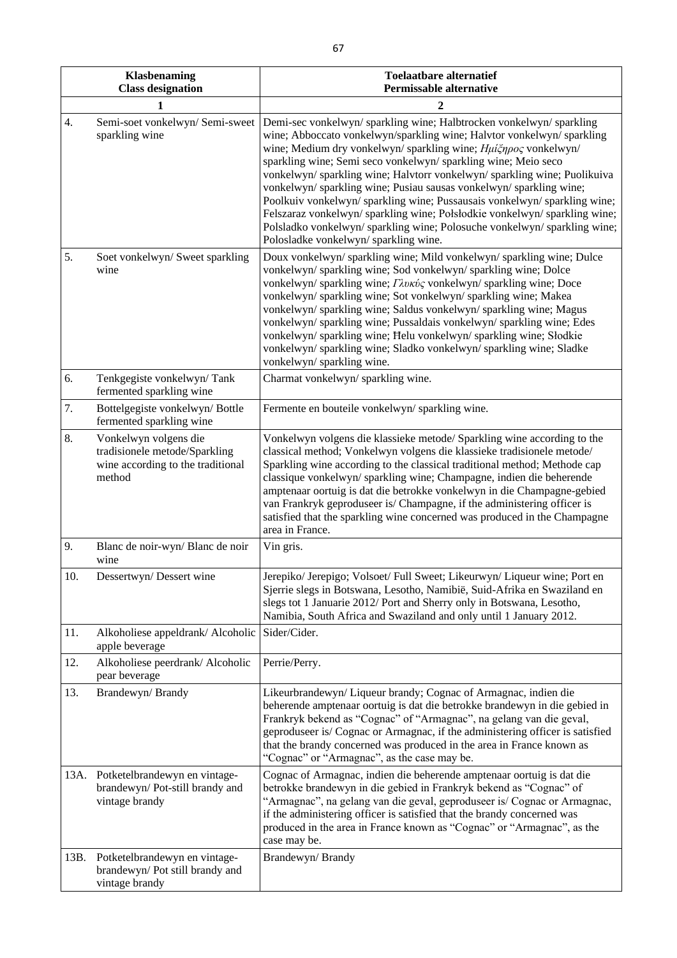|      | Klasbenaming<br><b>Class designation</b>                                                              | <b>Toelaatbare alternatief</b><br><b>Permissable alternative</b>                                                                                                                                                                                                                                                                                                                                                                                                                                                                                                                                                                                                                                          |
|------|-------------------------------------------------------------------------------------------------------|-----------------------------------------------------------------------------------------------------------------------------------------------------------------------------------------------------------------------------------------------------------------------------------------------------------------------------------------------------------------------------------------------------------------------------------------------------------------------------------------------------------------------------------------------------------------------------------------------------------------------------------------------------------------------------------------------------------|
|      | 1                                                                                                     | $\overline{2}$                                                                                                                                                                                                                                                                                                                                                                                                                                                                                                                                                                                                                                                                                            |
| 4.   | Semi-soet vonkelwyn/Semi-sweet<br>sparkling wine                                                      | Demi-sec vonkelwyn/sparkling wine; Halbtrocken vonkelwyn/sparkling<br>wine; Abboccato vonkelwyn/sparkling wine; Halvtor vonkelwyn/sparkling<br>wine; Medium dry vonkelwyn/ sparkling wine; Ημίζηρος vonkelwyn/<br>sparkling wine; Semi seco vonkelwyn/sparkling wine; Meio seco<br>vonkelwyn/sparkling wine; Halvtorr vonkelwyn/sparkling wine; Puolikuiva<br>vonkelwyn/sparkling wine; Pusiau sausas vonkelwyn/sparkling wine;<br>Poolkuiv vonkelwyn/sparkling wine; Pussausais vonkelwyn/sparkling wine;<br>Felszaraz vonkelwyn/sparkling wine; Połsłodkie vonkelwyn/sparkling wine;<br>Polsladko vonkelwyn/sparkling wine; Polosuche vonkelwyn/sparkling wine;<br>Polosladke vonkelwyn/sparkling wine. |
| 5.   | Soet vonkelwyn/Sweet sparkling<br>wine                                                                | Doux vonkelwyn/sparkling wine; Mild vonkelwyn/sparkling wine; Dulce<br>vonkelwyn/sparkling wine; Sod vonkelwyn/sparkling wine; Dolce<br>vonkelwyn/ sparkling wine; Γλυκύς vonkelwyn/ sparkling wine; Doce<br>vonkelwyn/sparkling wine; Sot vonkelwyn/sparkling wine; Makea<br>vonkelwyn/sparkling wine; Saldus vonkelwyn/sparkling wine; Magus<br>vonkelwyn/sparkling wine; Pussaldais vonkelwyn/sparkling wine; Edes<br>vonkelwyn/sparkling wine; Helu vonkelwyn/sparkling wine; Słodkie<br>vonkelwyn/sparkling wine; Sladko vonkelwyn/sparkling wine; Sladke<br>vonkelwyn/sparkling wine.                                                                                                               |
| 6.   | Tenkgegiste vonkelwyn/Tank<br>fermented sparkling wine                                                | Charmat vonkelwyn/sparkling wine.                                                                                                                                                                                                                                                                                                                                                                                                                                                                                                                                                                                                                                                                         |
| 7.   | Bottelgegiste vonkelwyn/Bottle<br>fermented sparkling wine                                            | Fermente en bouteile vonkelwyn/sparkling wine.                                                                                                                                                                                                                                                                                                                                                                                                                                                                                                                                                                                                                                                            |
| 8.   | Vonkelwyn volgens die<br>tradisionele metode/Sparkling<br>wine according to the traditional<br>method | Vonkelwyn volgens die klassieke metode/ Sparkling wine according to the<br>classical method; Vonkelwyn volgens die klassieke tradisionele metode/<br>Sparkling wine according to the classical traditional method; Methode cap<br>classique vonkelwyn/sparkling wine; Champagne, indien die beherende<br>amptenaar oortuig is dat die betrokke vonkelwyn in die Champagne-gebied<br>van Frankryk geproduseer is/ Champagne, if the administering officer is<br>satisfied that the sparkling wine concerned was produced in the Champagne<br>area in France.                                                                                                                                               |
| 9.   | Blanc de noir-wyn/Blanc de noir<br>wine                                                               | Vin gris.                                                                                                                                                                                                                                                                                                                                                                                                                                                                                                                                                                                                                                                                                                 |
| 10.  | Dessertwyn/Dessert wine                                                                               | Jerepiko/Jerepigo; Volsoet/Full Sweet; Likeurwyn/Liqueur wine; Port en<br>Sjerrie slegs in Botswana, Lesotho, Namibië, Suid-Afrika en Swaziland en<br>slegs tot 1 Januarie 2012/ Port and Sherry only in Botswana, Lesotho,<br>Namibia, South Africa and Swaziland and only until 1 January 2012.                                                                                                                                                                                                                                                                                                                                                                                                         |
| 11.  | Alkoholiese appeldrank/ Alcoholic<br>apple beverage                                                   | Sider/Cider.                                                                                                                                                                                                                                                                                                                                                                                                                                                                                                                                                                                                                                                                                              |
| 12.  | Alkoholiese peerdrank/ Alcoholic<br>pear beverage                                                     | Perrie/Perry.                                                                                                                                                                                                                                                                                                                                                                                                                                                                                                                                                                                                                                                                                             |
| 13.  | Brandewyn/Brandy                                                                                      | Likeurbrandewyn/ Liqueur brandy; Cognac of Armagnac, indien die<br>beherende amptenaar oortuig is dat die betrokke brandewyn in die gebied in<br>Frankryk bekend as "Cognac" of "Armagnac", na gelang van die geval,<br>geproduseer is/ Cognac or Armagnac, if the administering officer is satisfied<br>that the brandy concerned was produced in the area in France known as<br>"Cognac" or "Armagnac", as the case may be.                                                                                                                                                                                                                                                                             |
| 13A. | Potketelbrandewyn en vintage-<br>brandewyn/ Pot-still brandy and<br>vintage brandy                    | Cognac of Armagnac, indien die beherende amptenaar oortuig is dat die<br>betrokke brandewyn in die gebied in Frankryk bekend as "Cognac" of<br>"Armagnac", na gelang van die geval, geproduseer is/ Cognac or Armagnac,<br>if the administering officer is satisfied that the brandy concerned was<br>produced in the area in France known as "Cognac" or "Armagnac", as the<br>case may be.                                                                                                                                                                                                                                                                                                              |
| 13B. | Potketelbrandewyn en vintage-<br>brandewyn/ Pot still brandy and<br>vintage brandy                    | Brandewyn/Brandy                                                                                                                                                                                                                                                                                                                                                                                                                                                                                                                                                                                                                                                                                          |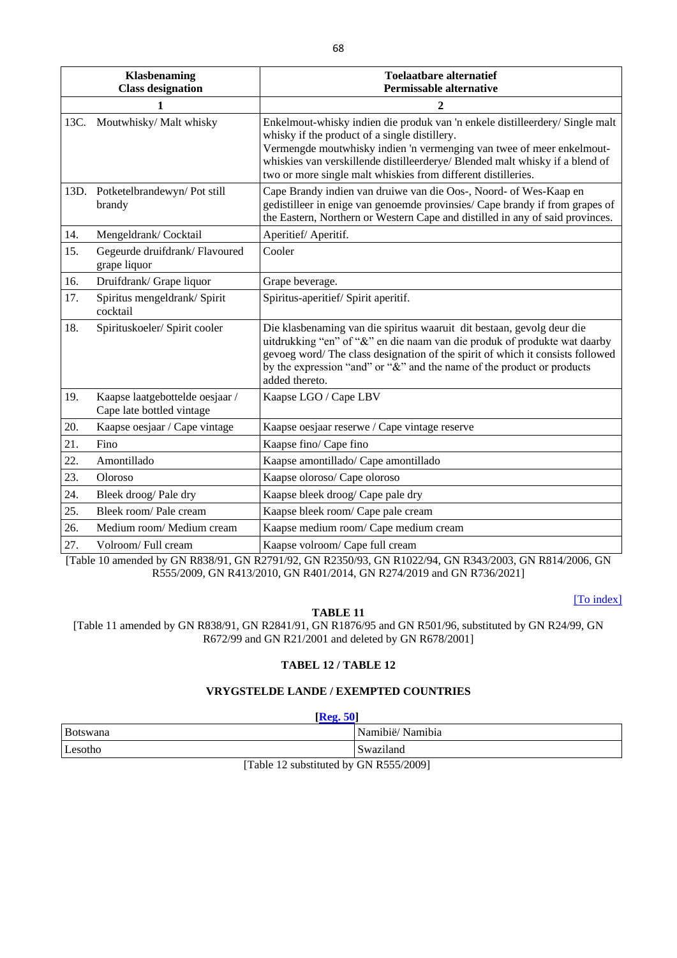|      | <b>Klasbenaming</b><br><b>Class designation</b>              | <b>Toelaatbare alternatief</b><br><b>Permissable alternative</b>                                                                                                                                                                                                                                                                                        |
|------|--------------------------------------------------------------|---------------------------------------------------------------------------------------------------------------------------------------------------------------------------------------------------------------------------------------------------------------------------------------------------------------------------------------------------------|
|      | 1                                                            | $\mathbf{2}$                                                                                                                                                                                                                                                                                                                                            |
| 13C. | Moutwhisky/ Malt whisky                                      | Enkelmout-whisky indien die produk van 'n enkele distilleerdery/ Single malt<br>whisky if the product of a single distillery.<br>Vermengde moutwhisky indien 'n vermenging van twee of meer enkelmout-<br>whiskies van verskillende distilleerderye/ Blended malt whisky if a blend of<br>two or more single malt whiskies from different distilleries. |
| 13D. | Potketelbrandewyn/Pot still<br>brandy                        | Cape Brandy indien van druiwe van die Oos-, Noord- of Wes-Kaap en<br>gedistilleer in enige van genoemde provinsies/ Cape brandy if from grapes of<br>the Eastern, Northern or Western Cape and distilled in any of said provinces.                                                                                                                      |
| 14.  | Mengeldrank/Cocktail                                         | Aperitief/Aperitif.                                                                                                                                                                                                                                                                                                                                     |
| 15.  | Gegeurde druifdrank/ Flavoured<br>grape liquor               | Cooler                                                                                                                                                                                                                                                                                                                                                  |
| 16.  | Druifdrank/ Grape liquor                                     | Grape beverage.                                                                                                                                                                                                                                                                                                                                         |
| 17.  | Spiritus mengeldrank/ Spirit<br>cocktail                     | Spiritus-aperitief/Spirit aperitif.                                                                                                                                                                                                                                                                                                                     |
| 18.  | Spirituskoeler/ Spirit cooler                                | Die klasbenaming van die spiritus waaruit dit bestaan, gevolg deur die<br>uitdrukking "en" of "&" en die naam van die produk of produkte wat daarby<br>gevoeg word/The class designation of the spirit of which it consists followed<br>by the expression "and" or "&" and the name of the product or products<br>added thereto.                        |
| 19.  | Kaapse laatgebottelde oesjaar /<br>Cape late bottled vintage | Kaapse LGO / Cape LBV                                                                                                                                                                                                                                                                                                                                   |
| 20.  | Kaapse oesjaar / Cape vintage                                | Kaapse oesjaar reserwe / Cape vintage reserve                                                                                                                                                                                                                                                                                                           |
| 21.  | Fino                                                         | Kaapse fino/ Cape fino                                                                                                                                                                                                                                                                                                                                  |
| 22.  | Amontillado                                                  | Kaapse amontillado/ Cape amontillado                                                                                                                                                                                                                                                                                                                    |
| 23.  | Oloroso                                                      | Kaapse oloroso/ Cape oloroso                                                                                                                                                                                                                                                                                                                            |
| 24.  | Bleek droog/Pale dry                                         | Kaapse bleek droog/ Cape pale dry                                                                                                                                                                                                                                                                                                                       |
| 25.  | Bleek room/Pale cream                                        | Kaapse bleek room/ Cape pale cream                                                                                                                                                                                                                                                                                                                      |
| 26.  | Medium room/Medium cream                                     | Kaapse medium room/ Cape medium cream                                                                                                                                                                                                                                                                                                                   |
| 27.  | Volroom/Full cream                                           | Kaapse volroom/ Cape full cream                                                                                                                                                                                                                                                                                                                         |

<span id="page-67-0"></span>[Table 10 amended by GN R838/91, GN R2791/92, GN R2350/93, GN R1022/94, GN R343/2003, GN R814/2006, GN R555/2009, GN R413/2010, GN R401/2014, GN R274/2019 and GN R736/2021]

**TABLE 11**

[\[To index\]](#page-1-6)

<span id="page-67-1"></span>[Table 11 amended by GN R838/91, GN R2841/91, GN R1876/95 and GN R501/96, substituted by GN R24/99, GN R672/99 and GN R21/2001 and deleted by GN R678/2001]

# **TABEL 12 / TABLE 12**

# **VRYGSTELDE LANDE / EXEMPTED COUNTRIES**

# **[\[Reg. 50\]](#page-28-0)**

<span id="page-67-2"></span>

| <b>Botswana</b>                            | Namibië/Namibia |  |
|--------------------------------------------|-----------------|--|
| Lesotho                                    | Swaziland       |  |
| $[T_9$ bla 12 eubetituted by GN R555/20001 |                 |  |

[Table 12 substituted by GN R555/2009]